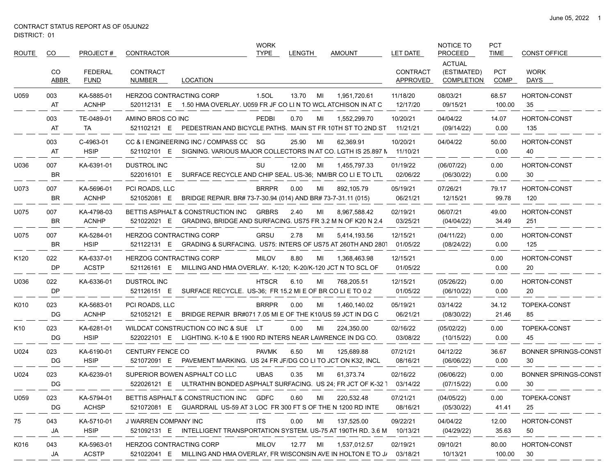$\overbrace{\hspace{25mm}}^{}$ 

| ROUTE | CO.              | PROJECT#                      | CONTRACTOR                                    |                                                                                                                  | <b>WORK</b><br><b>TYPE</b> | <b>LENGTH</b> |    | <b>AMOUNT</b> | LET DATE                    | NOTICE TO<br><b>PROCEED</b>                       | <b>PCT</b><br><b>TIME</b> | <b>CONST OFFICE</b>               |
|-------|------------------|-------------------------------|-----------------------------------------------|------------------------------------------------------------------------------------------------------------------|----------------------------|---------------|----|---------------|-----------------------------|---------------------------------------------------|---------------------------|-----------------------------------|
|       | CO<br>ABBR       | <b>FEDERAL</b><br><b>FUND</b> | <b>CONTRACT</b><br>NUMBER                     | LOCATION                                                                                                         |                            |               |    |               | <b>CONTRACT</b><br>APPROVED | <b>ACTUAL</b><br>(ESTIMATED)<br><b>COMPLETION</b> | <b>PCT</b><br>COMP        | <b>WORK</b><br>DAYS               |
| U059  | 003<br>AT        | KA-5885-01<br><b>ACNHP</b>    | <b>HERZOG CONTRACTING CORP</b>                | 520112131 E 1.50 HMA OVERLAY. U059 FR JF CO LIN TO WCL ATCHISON IN AT C                                          | 1.5OL                      | 13.70         | MI | 1,951,720.61  | 11/18/20<br>12/17/20        | 08/03/21<br>09/15/21                              | 68.57<br>100.00           | <b>HORTON-CONST</b><br>35         |
|       | 003<br>AT        | TE-0489-01<br>TA              | AMINO BROS CO INC<br>521102121 E              | PEDESTRIAN AND BICYCLE PATHS. MAIN ST FR 10TH ST TO 2ND ST                                                       | PEDBI                      | 0.70          | MI | 1,552,299.70  | 10/20/21<br>11/21/21        | 04/04/22<br>(09/14/22)                            | 14.07<br>0.00             | <b>HORTON-CONST</b><br>135        |
|       | 003<br>AT        | C-4963-01<br><b>HSIP</b>      | 521102101 E                                   | CC & I ENGINEERING INC / COMPASS CC SG<br>SIGNING. VARIOUS MAJOR COLLECTORS IN AT CO. LGTH IS 25.897 N 11/10/21  |                            | 25.90         | MI | 62,369.91     | 10/20/21                    | 04/04/22                                          | 50.00<br>0.00             | <b>HORTON-CONST</b><br>40         |
| U036  | 007<br><b>BR</b> | KA-6391-01                    | DUSTROL INC<br>522016101 E                    | SURFACE RECYCLE AND CHIP SEAL. US-36; NM/BR CO LI E TO LTL                                                       | SU                         | 12.00         | MI | 1,455,797.33  | 01/19/22<br>02/06/22        | (06/07/22)<br>(06/30/22)                          | 0.00<br>0.00              | <b>HORTON-CONST</b><br>30         |
| U073  | 007<br><b>BR</b> | KA-5696-01<br><b>ACNHP</b>    | PCI ROADS, LLC<br>521052081 E                 | BRIDGE REPAIR. BR# 73-7-30.94 (014) AND BR# 73-7-31.11 (015)                                                     | <b>BRRPR</b>               | 0.00          | MI | 892,105.79    | 05/19/21<br>06/21/21        | 07/26/21<br>12/15/21                              | 79.17<br>99.78            | <b>HORTON-CONST</b><br>120        |
| U075  | 007<br>BR        | KA-4798-03<br><b>ACNHP</b>    |                                               | BETTIS ASPHALT & CONSTRUCTION INC<br>521022021 E GRADING, BRIDGE AND SURFACING. US75 FR 3.2 M N OF K20 N 2.4     | <b>GRBRS</b>               | 2.40          | MI | 8,967,588.42  | 02/19/21<br>03/25/21        | 06/07/21<br>(04/04/22)                            | 49.00<br>34.49            | <b>HORTON-CONST</b><br>251        |
| U075  | 007<br><b>BR</b> | KA-5284-01<br><b>HSIP</b>     | <b>HERZOG CONTRACTING CORP</b>                | 521122131 E GRADING & SURFACING. US75: INTERS OF US75 AT 260TH AND 280                                           | <b>GRSU</b>                | 2.78          | MI | 5,414,193.56  | 12/15/21<br>01/05/22        | (04/11/22)<br>(08/24/22)                          | 0.00<br>0.00              | HORTON-CONST<br>125               |
| K120  | 022<br>DP        | KA-6337-01<br><b>ACSTP</b>    | <b>HERZOG CONTRACTING CORP</b><br>521126161 E | MILLING AND HMA OVERLAY. K-120; K-20/K-120 JCT N TO SCL OF                                                       | <b>MILOV</b>               | 8.80          | MI | 1,368,463.98  | 12/15/21<br>01/05/22        |                                                   | 0.00<br>0.00              | <b>HORTON-CONST</b><br>20         |
| U036  | 022<br><b>DP</b> | KA-6336-01                    | DUSTROL INC<br>521126151 E                    | SURFACE RECYCLE. US-36; FR 15.2 MI E OF BR CO LI E TO 0.2                                                        | <b>HTSCR</b>               | 6.10          | MI | 768,205.51    | 12/15/21<br>01/05/22        | (05/26/22)<br>(06/10/22)                          | 0.00<br>0.00              | HORTON-CONST<br>20                |
| K010  | 023<br>DG.       | KA-5683-01<br><b>ACNHP</b>    | PCI ROADS, LLC<br>521052121 E                 | BRIDGE REPAIR BR#071 7.05 MI E OF THE K10/US 59 JCT IN DG C                                                      | <b>BRRPR</b>               | 0.00          | MI | 1,460,140.02  | 05/19/21<br>06/21/21        | 03/14/22<br>(08/30/22)                            | 34.12<br>21.46            | TOPEKA-CONST<br>85                |
| K10   | 023<br>DG.       | KA-6281-01<br><b>HSIP</b>     |                                               | WILDCAT CONSTRUCTION CO INC & SUE LT<br>522022101 E LIGHTING. K-10 & E 1900 RD INTERS NEAR LAWRENCE IN DG CO.    |                            | 0.00          | МI | 224,350.00    | 02/16/22<br>03/08/22        | (05/02/22)<br>(10/15/22)                          | 0.00<br>0.00              | TOPEKA-CONST<br>45                |
| U024  | 023<br>DG.       | KA-6190-01<br><b>HSIP</b>     | <b>CENTURY FENCE CO</b><br>521072091 E        | PAVEMENT MARKING. US 24 FR JF/DG CO LI TO JCT ON K32, INCL                                                       | <b>PAVMK</b>               | 6.50          | MI | 125,689.88    | 07/21/21<br>08/16/21        | 04/12/22<br>(06/06/22)                            | 36.67<br>0.00             | <b>BONNER SPRINGS-CONST</b><br>30 |
| U024  | 023<br>DG.       | KA-6239-01                    | SUPERIOR BOWEN ASPHALT CO LLC                 | 522026121 E ULTRATHIN BONDED ASPHALT SURFACING. US 24; FR JCT OF K-32 1                                          | <b>UBAS</b>                | 0.35          | MI | 61,373.74     | 02/16/22<br>03/14/22        | (06/06/22)<br>(07/15/22)                          | 0.00<br>0.00              | <b>BONNER SPRINGS-CONST</b><br>30 |
| U059  | 023<br>DG        | KA-5794-01<br><b>ACHSP</b>    |                                               | BETTIS ASPHALT & CONSTRUCTION INC GDFC<br>521072081 E GUARDRAIL US-59 AT 3 LOC FR 300 FT S OF THE N 1200 RD INTE |                            | 0.60          | MI | 220,532.48    | 07/21/21<br>08/16/21        | (04/05/22)<br>(05/30/22)                          | 0.00<br>41.41             | TOPEKA-CONST<br>25                |
| 75    | 043<br>JA        | KA-5710-01<br><b>HSIP</b>     | J WARREN COMPANY INC                          | 521092131 E INTELLIGENT TRANSPORTATION SYSTEM. US-75 AT 190TH RD. 3.6 M                                          | <b>ITS</b>                 | 0.00          | MI | 137,525.00    | 09/22/21<br>10/13/21        | 04/04/22<br>(04/29/22)                            | 12.00<br>35.63            | HORTON-CONST<br>50                |
| K016  | 043<br>JA        | KA-5963-01<br><b>ACSTP</b>    | HERZOG CONTRACTING CORP                       | 521022041 E MILLING AND HMA OVERLAY, FR WISCONSIN AVE IN HOLTON E TO J/                                          | <b>MILOV</b>               | 12.77 MI      |    | 1,537,012.57  | 02/19/21<br>03/18/21        | 09/10/21<br>10/13/21                              | 80.00<br>100.00           | HORTON-CONST<br>30                |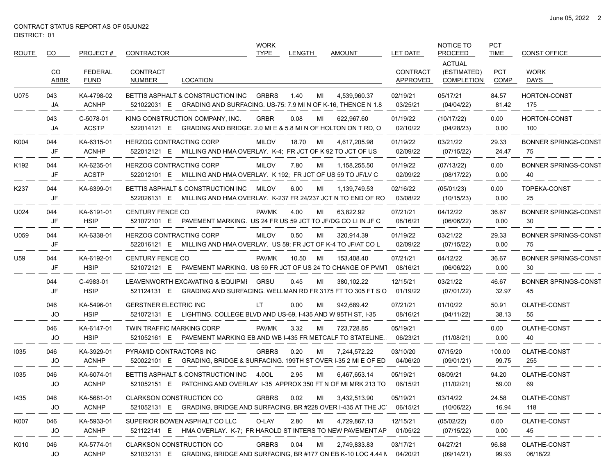$\sim$ 

| ROUTE | CO.         | PROJECT#                      | CONTRACTOR                             |                                                                                                              | WORK<br><b>TYPE</b> | <b>LENGTH</b> |    | <b>AMOUNT</b> | LET DATE                    | NOTICE TO<br><b>PROCEED</b>                       | <b>PCT</b><br><b>TIME</b> | <b>CONST OFFICE</b>               |
|-------|-------------|-------------------------------|----------------------------------------|--------------------------------------------------------------------------------------------------------------|---------------------|---------------|----|---------------|-----------------------------|---------------------------------------------------|---------------------------|-----------------------------------|
|       | CO.<br>ABBR | <b>FEDERAL</b><br><b>FUND</b> | <b>CONTRACT</b><br>NUMBER              | <b>LOCATION</b>                                                                                              |                     |               |    |               | <b>CONTRACT</b><br>APPROVED | <b>ACTUAL</b><br>(ESTIMATED)<br><b>COMPLETION</b> | <b>PCT</b><br><b>COMP</b> | <b>WORK</b><br>DAYS               |
| U075  | 043<br>JA   | KA-4798-02<br><b>ACNHP</b>    | 521022031 E                            | BETTIS ASPHALT & CONSTRUCTION INC<br>GRADING AND SURFACING. US-75: 7.9 MI N OF K-16, THENCE N 1.8            | <b>GRBRS</b>        | 1.40          | MI | 4.539.960.37  | 02/19/21<br>03/25/21        | 05/17/21<br>(04/04/22)                            | 84.57<br>81.42            | <b>HORTON-CONST</b><br>175        |
|       | 043<br>JA   | C-5078-01<br><b>ACSTP</b>     |                                        | KING CONSTRUCTION COMPANY, INC.<br>522014121 E GRADING AND BRIDGE. 2.0 MI E & 5.8 MI N OF HOLTON ON T RD, O  | <b>GRBR</b>         | 0.08          | ML | 622,967.60    | 01/19/22<br>02/10/22        | (10/17/22)<br>(04/28/23)                          | 0.00<br>0.00              | <b>HORTON-CONST</b><br>100        |
| K004  | 044<br>JF   | KA-6315-01<br><b>ACNHP</b>    | <b>HERZOG CONTRACTING CORP</b>         | 522012121 E MILLING AND HMA OVERLAY. K-4: FR JCT OF K 92 TO JCT OF US                                        | <b>MILOV</b>        | 18.70         | MI | 4,617,205.98  | 01/19/22<br>02/09/22        | 03/21/22<br>(07/15/22)                            | 29.33<br>24.47            | <b>BONNER SPRINGS-CONST</b><br>75 |
| K192  | 044<br>JF   | KA-6235-01<br><b>ACSTP</b>    | <b>HERZOG CONTRACTING CORP</b>         | 522012101 E MILLING AND HMA OVERLAY. K 192; FR JCT OF US 59 TO JF/LV C                                       | <b>MILOV</b>        | 7.80          | ML | 1,158,255.50  | 01/19/22<br>02/09/22        | (07/13/22)<br>(08/17/22)                          | 0.00<br>0.00              | <b>BONNER SPRINGS-CONST</b><br>40 |
| K237  | 044<br>JF   | KA-6399-01                    |                                        | BETTIS ASPHALT & CONSTRUCTION INC<br>522026131 E MILLING AND HMA OVERLAY. K-237 FR 24/237 JCT N TO END OF RO | MILOV               | 6.00          | MI | 1,139,749.53  | 02/16/22<br>03/08/22        | (05/01/23)<br>(10/15/23)                          | 0.00<br>0.00              | TOPEKA-CONST<br>25                |
| U024  | 044<br>JF   | KA-6191-01<br><b>HSIP</b>     | <b>CENTURY FENCE CO</b><br>521072101 E | PAVEMENT MARKING. US 24 FR US 59 JCT TO JF/DG CO LI IN JF C                                                  | <b>PAVMK</b>        | 4.00          | ML | 63,822.92     | 07/21/21<br>08/16/21        | 04/12/22<br>(06/06/22)                            | 36.67<br>0.00             | <b>BONNER SPRINGS-CONST</b><br>30 |
| U059  | 044<br>JF   | KA-6338-01                    | <b>HERZOG CONTRACTING CORP</b>         | 522016121 E MILLING AND HMA OVERLAY. US 59; FR JCT OF K-4 TO JF/AT CO L                                      | <b>MILOV</b>        | 0.50          | MI | 320,914.39    | 01/19/22<br>02/09/22        | 03/21/22<br>(07/15/22)                            | 29.33<br>0.00             | <b>BONNER SPRINGS-CONST</b><br>75 |
| U59   | 044<br>JF   | KA-6192-01<br><b>HSIP</b>     | <b>CENTURY FENCE CO</b><br>521072121 E | PAVEMENT MARKING. US 59 FR JCT OF US 24 TO CHANGE OF PVM1                                                    | <b>PAVMK</b>        | 10.50         | MI | 153,408.40    | 07/21/21<br>08/16/21        | 04/12/22<br>(06/06/22)                            | 36.67<br>0.00             | <b>BONNER SPRINGS-CONST</b><br>30 |
|       | 044<br>JF   | C-4983-01<br><b>HSIP</b>      |                                        | LEAVENWORTH EXCAVATING & EQUIPMI<br>521124131 E GRADING AND SURFACING. WELLMAN RD FR 3175 FT TO 305 FT S O   | GRSU                | 0.45          | MI | 380,102.22    | 12/15/21<br>01/19/22        | 03/21/22<br>(07/01/22)                            | 46.67<br>32.97            | <b>BONNER SPRINGS-CONST</b><br>45 |
|       | 046<br>JO   | KA-5496-01<br><b>HSIP</b>     | <b>GERSTNER ELECTRIC INC</b>           | 521072131 E LIGHTING. COLLEGE BLVD AND US-69, I-435 AND W 95TH ST, I-35                                      | LT.                 | 0.00          | MI | 942,689.42    | 07/21/21<br>08/16/21        | 01/10/22<br>(04/11/22)                            | 50.91<br>38.13            | OLATHE-CONST<br>55                |
|       | 046<br>JO   | KA-6147-01<br><b>HSIP</b>     | <b>TWIN TRAFFIC MARKING CORP</b>       | 521052161 E PAVEMENT MARKING EB AND WB I-435 FR METCALF TO STATELINE.                                        | <b>PAVMK</b>        | 3.32          | MI | 723,728.85    | 05/19/21<br>06/23/21        | (11/08/21)                                        | 0.00<br>0.00              | OLATHE-CONST<br>40                |
| 1035  | 046<br>JO   | KA-3929-01<br><b>ACNHP</b>    | PYRAMID CONTRACTORS INC                | 520022101 E GRADING, BRIDGE & SURFACING. 199TH ST OVER I-35 2 MI E OF ED                                     | <b>GRBRS</b>        | 0.20          | MI | 7,244,572.22  | 03/10/20<br>04/06/20        | 07/15/20<br>(09/01/21)                            | 100.00<br>99.75           | OLATHE-CONST<br>255               |
| 1035  | 046<br>JO   | KA-6074-01<br><b>ACNHP</b>    |                                        | BETTIS ASPHALT & CONSTRUCTION INC<br>521052151 E PATCHING AND OVERLAY 1-35 APPROX 350 FT N OF MI MRK 213 TO  | 4.0OL               | 2.95          | MI | 6,467,653.14  | 05/19/21<br>06/15/21        | 08/09/21<br>(11/02/21)                            | 94.20<br>59.00            | OLATHE-CONST<br>69                |
| 1435  | 046<br>JO   | KA-5681-01<br><b>ACNHP</b>    | <b>CLARKSON CONSTRUCTION CO</b>        | 521052131 E GRADING, BRIDGE AND SURFACING. BR #228 OVER I-435 AT THE JC                                      | <b>GRBRS</b>        | 0.02          | MI | 3,432,513.90  | 05/19/21<br>06/15/21        | 03/14/22<br>(10/06/22)                            | 24.58<br>16.94            | OLATHE-CONST<br>118               |
| K007  | 046<br>JO   | KA-5933-01<br><b>ACNHP</b>    |                                        | SUPERIOR BOWEN ASPHALT CO LLC<br>521122141 E HMA OVERLAY. K-7; FR HAROLD ST INTERS TO NEW PAVEMENT AP        | O-LAY               | 2.80          | MI | 4,729,867.13  | 12/15/21<br>01/05/22        | (05/02/22)<br>(07/15/22)                          | 0.00<br>0.00              | OLATHE-CONST<br>45                |
| K010  | 046<br>JO   | KA-5774-01<br><b>ACNHP</b>    | <b>CLARKSON CONSTRUCTION CO</b>        | 521032131 E GRADING, BRIDGE AND SURFACING, BR #177 ON EB K-10 LOC 4.44 N                                     | <b>GRBRS</b>        | 0.04          | MI | 2,749,833.83  | 03/17/21<br>04/20/21        | 04/27/21<br>(09/14/21)                            | 96.88<br>99.93            | OLATHE-CONST<br>06/18/22          |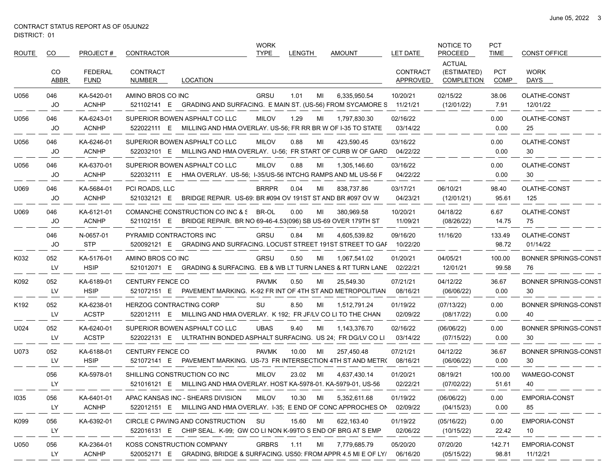$\overbrace{\hspace{25mm}}^{}$ 

| ROUTE | CO.              | PROJECT#                   | CONTRACTOR                                                                                                        | <b>WORK</b><br><b>TYPE</b> | <b>LENGTH</b> | <b>AMOUNT</b> | LET DATE                    | NOTICE TO<br><b>PROCEED</b>                       | <b>PCT</b><br><b>TIME</b> | <b>CONST OFFICE</b>               |
|-------|------------------|----------------------------|-------------------------------------------------------------------------------------------------------------------|----------------------------|---------------|---------------|-----------------------------|---------------------------------------------------|---------------------------|-----------------------------------|
|       | CO<br>ABBR       | FEDERAL<br><b>FUND</b>     | CONTRACT<br>NUMBER<br>LOCATION                                                                                    |                            |               |               | <b>CONTRACT</b><br>APPROVED | <b>ACTUAL</b><br>(ESTIMATED)<br><b>COMPLETION</b> | <b>PCT</b><br>COMP        | <b>WORK</b><br>DAYS               |
| U056  | 046<br>JO        | KA-5420-01<br><b>ACNHP</b> | AMINO BROS CO INC<br>521102141 E GRADING AND SURFACING. E MAIN ST. (US-56) FROM SYCAMORE S 11/21/21               | <b>GRSU</b>                | 1.01<br>MI    | 6,335,950.54  | 10/20/21                    | 02/15/22<br>(12/01/22)                            | 38.06<br>7.91             | OLATHE-CONST<br>12/01/22          |
| U056  | 046<br>JO        | KA-6243-01<br><b>ACNHP</b> | SUPERIOR BOWEN ASPHALT CO LLC<br>522022111 E MILLING AND HMA OVERLAY. US-56; FR RR BR W OF I-35 TO STATE          | <b>MILOV</b>               | 1.29<br>MI    | 1,797,830.30  | 02/16/22<br>03/14/22        |                                                   | 0.00<br>0.00              | OLATHE-CONST<br>25                |
| U056  | 046<br>JO        | KA-6246-01<br><b>ACNHP</b> | SUPERIOR BOWEN ASPHALT CO LLC<br>522032101 E MILLING AND HMA OVERLAY. U-56; FR START OF CURB W OF GARD            | <b>MILOV</b>               | 0.88<br>MI    | 423,590.45    | 03/16/22<br>04/22/22        |                                                   | 0.00<br>0.00              | OLATHE-CONST<br>30                |
| U056  | 046<br>JO        | KA-6370-01<br><b>ACNHP</b> | SUPERIOR BOWEN ASPHALT CO LLC<br>522032111 E HMA OVERLAY. US-56; I-35/US-56 INTCHG RAMPS AND ML US-56 F           | <b>MILOV</b>               | 0.88<br>MI    | 1,305,146.60  | 03/16/22<br>04/22/22        |                                                   | 0.00<br>0.00              | OLATHE-CONST<br>30                |
| U069  | 046<br>JO        | KA-5684-01<br><b>ACNHP</b> | PCI ROADS, LLC<br>521032121 E<br>BRIDGE REPAIR. US-69: BR #094 OV 191ST ST AND BR #097 OV W                       | <b>BRRPR</b>               | 0.04<br>MI    | 838,737.86    | 03/17/21<br>04/23/21        | 06/10/21<br>(12/01/21)                            | 98.40<br>95.61            | OLATHE-CONST<br>125               |
| U069  | 046<br>JO        | KA-6121-01<br><b>ACNHP</b> | COMANCHE CONSTRUCTION CO INC & S BR-OL<br>521102151 E BRIDGE REPAIR. BR NO 69-46-4.53(096) SB US-69 OVER 179TH ST |                            | 0.00<br>MI    | 380,969.58    | 10/20/21<br>11/09/21        | 04/18/22<br>(08/26/22)                            | 6.67<br>14.75             | OLATHE-CONST<br>75                |
|       | 046<br>JO        | N-0657-01<br><b>STP</b>    | PYRAMID CONTRACTORS INC<br>520092121 E GRADING AND SURFACING. LOCUST STREET 191ST STREET TO GAF                   | <b>GRSU</b>                | 0.84<br>MI    | 4,605,539.82  | 09/16/20<br>10/22/20        | 11/16/20                                          | 133.49<br>98.72           | OLATHE-CONST<br>01/14/22          |
| K032  | 052<br>LV        | KA-5176-01<br><b>HSIP</b>  | AMINO BROS CO INC<br>GRADING & SURFACING. EB & WB LT TURN LANES & RT TURN LANE<br>521012071 E                     | GRSU                       | 0.50<br>MI    | 1,067,541.02  | 01/20/21<br>02/22/21        | 04/05/21<br>12/01/21                              | 100.00<br>99.58           | <b>BONNER SPRINGS-CONST</b><br>76 |
| K092  | 052<br>LV        | KA-6189-01<br><b>HSIP</b>  | <b>CENTURY FENCE CO</b><br>521072151 E PAVEMENT MARKING. K-92 FR INT OF 4TH ST AND METROPOLITIAN                  | <b>PAVMK</b>               | 0.50<br>MI    | 25,549.30     | 07/21/21<br>08/16/21        | 04/12/22<br>(06/06/22)                            | 36.67<br>0.00             | <b>BONNER SPRINGS-CONST</b><br>30 |
| K192  | 052<br>LV        | KA-6238-01<br><b>ACSTP</b> | <b>HERZOG CONTRACTING CORP</b><br>522012111 E MILLING AND HMA OVERLAY. K 192; FR JF/LV CO LI TO THE CHAN          | SU                         | 8.50<br>MI    | 1,512,791.24  | 01/19/22<br>02/09/22        | (07/13/22)<br>(08/17/22)                          | 0.00<br>0.00              | <b>BONNER SPRINGS-CONST</b><br>40 |
| U024  | 052<br>LV        | KA-6240-01<br><b>ACSTP</b> | SUPERIOR BOWEN ASPHALT CO LLC<br>522022131 E ULTRATHIN BONDED ASPHALT SURFACING. US 24; FR DG/LV CO LI            | <b>UBAS</b>                | 9.40<br>MI    | 1,143,376.70  | 02/16/22<br>03/14/22        | (06/06/22)<br>(07/15/22)                          | 0.00<br>0.00              | <b>BONNER SPRINGS-CONST</b><br>30 |
| U073  | 052<br>LV        | KA-6188-01<br><b>HSIP</b>  | <b>CENTURY FENCE CO</b><br>PAVEMENT MARKING. US-73 FR INTERSECTION 4TH ST AND METR(<br>521072141 E                | <b>PAVMK</b>               | 10.00<br>MI   | 257,450.48    | 07/21/21<br>08/16/21        | 04/12/22<br>(06/06/22)                            | 36.67<br>0.00             | <b>BONNER SPRINGS-CONST</b><br>30 |
|       | 056<br>LY        | KA-5978-01                 | SHILLING CONSTRUCTION CO INC<br>521016121 E MILLING AND HMA OVERLAY. HOST KA-5978-01. KA-5979-01, US-56           | <b>MILOV</b>               | 23.02<br>MI   | 4,637,430.14  | 01/20/21<br>02/22/21        | 08/19/21<br>(07/02/22)                            | 100.00<br>51.61           | WAMEGO-CONST<br>40                |
| 1035  | 056<br><b>LY</b> | KA-6401-01<br><b>ACNHP</b> | APAC KANSAS INC - SHEARS DIVISION<br>522012151 E MILLING AND HMA OVERLAY. I-35; E END OF CONC APPROCHES ON        | MILOV                      | 10.30<br>MI   | 5,352,611.68  | 01/19/22<br>02/09/22        | (06/06/22)<br>(04/15/23)                          | 0.00<br>0.00              | <b>EMPORIA-CONST</b><br>85        |
| K099  | 056<br><b>LY</b> | KA-6392-01                 | CIRCLE C PAVING AND CONSTRUCTION SU<br>522016131 E CHIP SEAL. K-99: GW CO LI NON K-99TO S END OF BRG AT S EMP     |                            | 15.60 MI      | 622,163.40    | 01/19/22<br>02/06/22        | (05/16/22)<br>(10/15/22)                          | 0.00<br>22.42             | <b>EMPORIA-CONST</b><br>10        |
| U050  | 056<br>LY        | KA-2364-01<br><b>ACNHP</b> | KOSS CONSTRUCTION COMPANY<br>520052171 E GRADING, BRIDGE & SURFACING. US50: FROM APPR 4.5 MI E OF LY/             | <b>GRBRS</b>               | 1.11<br>MI    | 7,779,685.79  | 05/20/20<br>06/16/20        | 07/20/20<br>(05/15/22)                            | 142.71<br>98.81           | EMPORIA-CONST<br>11/12/21         |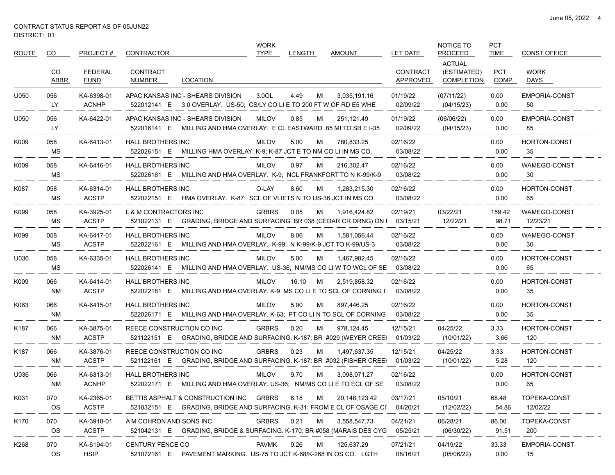| <b>ROUTE</b>     | CO.              | PROJECT#                   | CONTRACTOR                        |                                                                                                             | <b>WORK</b><br><b>TYPE</b> | <b>LENGTH</b> |    | <b>AMOUNT</b>    | LET DATE                    | NOTICE TO<br><b>PROCEED</b>                       | <b>PCT</b><br><b>TIME</b> | <b>CONST OFFICE</b>        |
|------------------|------------------|----------------------------|-----------------------------------|-------------------------------------------------------------------------------------------------------------|----------------------------|---------------|----|------------------|-----------------------------|---------------------------------------------------|---------------------------|----------------------------|
|                  | CO<br>ABBR       | FEDERAL<br><b>FUND</b>     | <b>CONTRACT</b><br>NUMBER         | LOCATION                                                                                                    |                            |               |    |                  | <b>CONTRACT</b><br>APPROVED | <b>ACTUAL</b><br>(ESTIMATED)<br><b>COMPLETION</b> | <b>PCT</b><br>COMP        | <b>WORK</b><br>DAYS        |
| U050             | 056<br>LY        | KA-6398-01<br><b>ACNHP</b> | APAC KANSAS INC - SHEARS DIVISION | 522012141 E 3.0 OVERLAY. US-50; CS/LY CO LI E TO 200 FT W OF RD E5 WHE                                      | 3.0OL                      | 4.49          | MI | 3,035,191.16     | 01/19/22<br>02/09/22        | (07/11/22)<br>(04/15/23)                          | 0.00<br>0.00              | <b>EMPORIA-CONST</b><br>50 |
| U050             | 056<br><b>LY</b> | KA-6422-01                 | APAC KANSAS INC - SHEARS DIVISION | 522016141 E MILLING AND HMA OVERLAY. E CL EASTWARD 85 MI TO SB E I-35                                       | <b>MILOV</b>               | 0.85          | ML | 251,121.49       | 01/19/22<br>02/09/22        | (06/06/22)<br>(04/15/23)                          | 0.00<br>0.00              | <b>EMPORIA-CONST</b><br>85 |
| K009             | 058<br>MS        | KA-6413-01                 | <b>HALL BROTHERS INC</b>          | 522026151 E MILLING HMA OVERLAY. K-9; K-87 JCT E TO NM CO LI IN MS CO.                                      | <b>MILOV</b>               | 5.00          | MI | 780.833.25       | 02/16/22<br>03/08/22        |                                                   | 0.00<br>0.00              | HORTON-CONST<br>35         |
| K009             | 058<br>MS        | KA-6416-01                 | <b>HALL BROTHERS INC</b>          | 522026161 E MILLING AND HMA OVERLAY. K-9; NCL FRANKFORT TO N K-99/K-9                                       | <b>MILOV</b>               | 0.97          | MI | 216,302.47       | 02/16/22<br>03/08/22        |                                                   | 0.00<br>0.00              | WAMEGO-CONST<br>30         |
| K087             | 058<br>МS        | KA-6314-01<br><b>ACSTP</b> | <b>HALL BROTHERS INC</b>          | 522022151 E HMA OVERLAY. K-87; SCL OF VLIETS N TO US-36 JCT IN MS CO.                                       | O-LAY                      | 8.60          | MI | 1,283,215.30     | 02/16/22<br>03/08/22        |                                                   | 0.00<br>0.00              | HORTON-CONST<br>65         |
| K099             | 058<br>МS        | KA-3925-01<br><b>ACSTP</b> | L & M CONTRACTORS INC             | 521022131 E GRADING, BRIDGE AND SURFACING. BR 038 (CEDAR CR DRNG) ON I                                      | <b>GRBRS</b>               | 0.05          | MI | 1,916,424.82     | 02/19/21<br>03/15/21        | 03/22/21<br>12/22/21                              | 159.42<br>98.71           | WAMEGO-CONST<br>12/23/21   |
| K099             | 058<br>MS        | KA-6417-01<br><b>ACSTP</b> | <b>HALL BROTHERS INC</b>          | 522022161 E MILLING AND HMA OVERLAY. K-99; N K-99/K-9 JCT TO K-99/US-3                                      | <b>MILOV</b>               | 8.06          | MI | 1,581,056.44     | 02/16/22<br>03/08/22        |                                                   | 0.00<br>0.00              | WAMEGO-CONST<br>30         |
| U036             | 058<br>MS        | KA-6335-01                 | <b>HALL BROTHERS INC</b>          | 522026141 E MILLING AND HMA OVERLAY. US-36; NM/MS CO LI W TO WCL OF SE                                      | <b>MILOV</b>               | 5.00          | MI | 1,467,982.45     | 02/16/22<br>03/08/22        |                                                   | 0.00<br>0.00              | HORTON-CONST<br>65         |
| K009             | 066<br>NM        | KA-6414-01<br><b>ACSTP</b> | <b>HALL BROTHERS INC</b>          | 522022181 E MILLING AND HMA OVERLAY. K-9 MS CO LI E TO SCL OF CORNING I                                     | <b>MILOV</b>               | 16.10         | MI | 2,519,858.32     | 02/16/22<br>03/08/22        |                                                   | 0.00<br>0.00              | HORTON-CONST<br>35         |
| K063             | 066<br>NM        | KA-6415-01                 | <b>HALL BROTHERS INC</b>          | 522026171 E MILLING AND HMA OVERLAY. K-63; PT CO LI N TO SCL OF CORNING                                     | <b>MILOV</b>               | 5.90          | MI | 897,446.25       | 02/16/22<br>03/08/22        |                                                   | 0.00<br>0.00              | <b>HORTON-CONST</b><br>35  |
| K187             | 066<br>NM        | KA-3875-01<br><b>ACSTP</b> | REECE CONSTRUCTION CO INC         | 521122151 E GRADING, BRIDGE AND SURFACING. K-187: BR #029 (WEYER CREEI                                      | <b>GRBRS</b>               | 0.20          | MI | 978,124.45       | 12/15/21<br>01/03/22        | 04/25/22<br>(10/01/22)                            | 3.33<br>3.66              | HORTON-CONST<br>120        |
| K <sub>187</sub> | 066<br>NM        | KA-3876-01<br><b>ACSTP</b> | REECE CONSTRUCTION CO INC         | 521122161 E GRADING, BRIDGE AND SURFACING. K-187: BR #032 (FISHER CREEI)                                    | <b>GRBRS</b>               | 0.23          | MI | 1,497,637.35     | 12/15/21<br>01/03/22        | 04/25/22<br>(10/01/22)                            | 3.33<br>5.28              | HORTON-CONST<br>120        |
| U036             | 066<br>NM        | KA-6313-01<br><b>ACNHP</b> | HALL BROTHERS INC                 | 522022171 E MILLING AND HMA OVERLAY. US-36; NM/MS CO LI E TO ECL OF SE                                      | <b>MILOV</b>               | 9.70          | MI | 3,098,071.27     | 02/16/22<br>03/08/22        |                                                   | 0.00<br>0.00              | HORTON-CONST<br>65         |
| K031             | 070<br>OS        | KA-2365-01<br><b>ACSTP</b> |                                   | BETTIS ASPHALT & CONSTRUCTION INC<br>521032151 E GRADING, BRIDGE AND SURFACING. K-31: FROM E CL OF OSAGE CI | <b>GRBRS</b>               | 6.18          | MI | 20, 148, 123. 42 | 03/17/21<br>04/20/21        | 05/10/21<br>(12/02/22)                            | 68.48<br>54.86            | TOPEKA-CONST<br>12/02/22   |
| K170             | 070<br>OS        | KA-3918-01<br><b>ACSTP</b> | A M COHRON AND SONS INC           | 521042131 E GRADING, BRIDGE & SURFACING. K-170: BR #058 (MARAIS DES CYG                                     | <b>GRBRS</b>               | 0.21          | MI | 3,558,547.73     | 04/21/21<br>05/25/21        | 06/28/21<br>(06/30/22)                            | 86.00<br>91.51            | TOPEKA-CONST<br>200        |
| K268             | 070<br>OS        | KA-6194-01<br><b>HSIP</b>  | <b>CENTURY FENCE CO</b>           | 521072161 E PAVEMENT MARKING. US-75 TO JCT K-68/K-268 IN OS CO. LGTH                                        | <b>PAVMK</b>               | 9.26          | MI | 125,637.29       | 07/21/21<br>08/16/21        | 04/19/22<br>(05/06/22)                            | 33.33<br>0.00             | EMPORIA-CONST<br>15        |

 $-$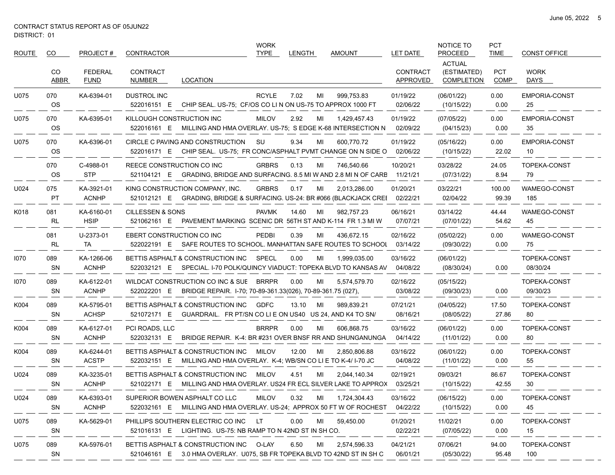$\overbrace{\hspace{25mm}}^{}$ 

| ROUTE | CO.              | PROJECT#                      | CONTRACTOR                                                                                                         |                                                             | <b>WORK</b><br><b>TYPE</b> | LENGTH |    | AMOUNT                                                                      | LET DATE                    | <b>NOTICE TO</b><br><b>PROCEED</b>                | <b>PCT</b><br><b>TIME</b> | <b>CONST OFFICE</b>        |
|-------|------------------|-------------------------------|--------------------------------------------------------------------------------------------------------------------|-------------------------------------------------------------|----------------------------|--------|----|-----------------------------------------------------------------------------|-----------------------------|---------------------------------------------------|---------------------------|----------------------------|
|       | CO.<br>ABBR      | <b>FEDERAL</b><br><b>FUND</b> | <b>CONTRACT</b><br>NUMBER<br>LOCATION                                                                              |                                                             |                            |        |    |                                                                             | <b>CONTRACT</b><br>APPROVED | <b>ACTUAL</b><br>(ESTIMATED)<br><b>COMPLETION</b> | <b>PCT</b><br><b>COMP</b> | <b>WORK</b><br>DAYS        |
| U075  | 070<br><b>OS</b> | KA-6394-01                    | <b>DUSTROL INC</b><br>522016151 E                                                                                  | CHIP SEAL. US-75; CF/OS CO LIN ON US-75 TO APPROX 1000 FT   | <b>RCYLE</b>               | 7.02   | MI | 999,753.83                                                                  | 01/19/22<br>02/06/22        | (06/01/22)<br>(10/15/22)                          | 0.00<br>0.00              | <b>EMPORIA-CONST</b><br>25 |
| U075  | 070<br><b>OS</b> | KA-6395-01                    | KILLOUGH CONSTRUCTION INC<br>522016161 E MILLING AND HMA OVERLAY. US-75: S EDGE K-68 INTERSECTION N                |                                                             | <b>MILOV</b>               | 2.92   | MI | 1,429,457.43                                                                | 01/19/22<br>02/09/22        | (07/05/22)<br>(04/15/23)                          | 0.00<br>0.00              | <b>EMPORIA-CONST</b><br>35 |
| U075  | 070<br><b>OS</b> | KA-6396-01                    | CIRCLE C PAVING AND CONSTRUCTION<br>522016171 E CHIP SEAL. US-75; FR CONC/ASPHALT PVMT CHANGE ON N SIDE O          |                                                             | SU                         | 9.34   | MI | 600,770.72                                                                  | 01/19/22<br>02/06/22        | (05/16/22)<br>(10/15/22)                          | 0.00<br>22.02             | <b>EMPORIA-CONST</b><br>10 |
|       | 070<br>OS        | C-4988-01<br><b>STP</b>       | REECE CONSTRUCTION CO INC<br>521104121 E GRADING, BRIDGE AND SURFACING. 8.5 MI W AND 2.8 MI N OF CARE              |                                                             | <b>GRBRS</b>               | 0.13   | MI | 746,540.66                                                                  | 10/20/21<br>11/21/21        | 03/28/22<br>(07/31/22)                            | 24.05<br>8.94             | TOPEKA-CONST<br>79         |
| U024  | 075<br>PT        | KA-3921-01<br><b>ACNHP</b>    | KING CONSTRUCTION COMPANY, INC.<br>521012121 E GRADING, BRIDGE & SURFACING. US-24: BR #066 (BLACKJACK CREI         |                                                             | <b>GRBRS</b>               | 0.17   | MI | 2,013,286.00                                                                | 01/20/21<br>02/22/21        | 03/22/21<br>02/04/22                              | 100.00<br>99.39           | WAMEGO-CONST<br>185        |
| K018  | 081<br>RL        | KA-6160-01<br><b>HSIP</b>     | <b>CILLESSEN &amp; SONS</b><br>521062161 E                                                                         |                                                             | <b>PAVMK</b>               | 14.60  | MI | 982,757.23<br>PAVEMENT MARKING SCENIC DR 56TH ST AND K-114 FR 1.3 MI W      | 06/16/21<br>07/07/21        | 03/14/22<br>(07/01/22)                            | 44.44<br>54.62            | WAMEGO-CONST<br>45         |
|       | 081<br><b>RL</b> | U-2373-01<br>TA.              | <b>EBERT CONSTRUCTION CO INC</b><br>522022191 E SAFE ROUTES TO SCHOOL. MANHATTAN SAFE ROUTES TO SCHOOL             |                                                             | <b>PEDBI</b>               | 0.39   | МI | 436,672.15                                                                  | 02/16/22<br>03/14/22        | (05/02/22)<br>(09/30/22)                          | 0.00<br>0.00              | WAMEGO-CONST<br>75         |
| 1070  | 089<br><b>SN</b> | KA-1266-06<br><b>ACNHP</b>    | BETTIS ASPHALT & CONSTRUCTION INC<br>522032121 E                                                                   |                                                             | SPECL                      | 0.00   | MI | 1,999,035.00<br>SPECIAL. I-70 POLK/QUINCY VIADUCT: TOPEKA BLVD TO KANSAS AV | 03/16/22<br>04/08/22        | (06/01/22)<br>(08/30/24)                          | 0.00                      | TOPEKA-CONST<br>08/30/24   |
| 1070  | 089<br><b>SN</b> | KA-6122-01<br><b>ACNHP</b>    | WILDCAT CONSTRUCTION CO INC & SUE<br>522022201 E                                                                   | BRIDGE REPAIR. I-70; 70-89-361.33(026), 70-89-361.75 (027), | BRRPR                      | 0.00   | МI | 5,574,579.70                                                                | 02/16/22<br>03/08/22        | (05/15/22)<br>(09/30/23)                          | 0.00                      | TOPEKA-CONST<br>09/30/23   |
| K004  | 089<br><b>SN</b> | KA-5795-01<br><b>ACHSP</b>    | BETTIS ASPHALT & CONSTRUCTION INC<br>521072171 E GUARDRAIL. FR PT/SN CO LI E ON US40 US 24, AND K4 TO SN/          |                                                             | <b>GDFC</b>                | 13.10  | MI | 989,839.21                                                                  | 07/21/21<br>08/16/21        | (04/05/22)<br>(08/05/22)                          | 17.50<br>27.86            | TOPEKA-CONST<br>80         |
| K004  | 089<br><b>SN</b> | KA-6127-01<br><b>ACNHP</b>    | PCI ROADS, LLC<br>522032131 E                                                                                      |                                                             | <b>BRRPR</b>               | 0.00   | МI | 606,868.75<br>BRIDGE REPAIR. K-4: BR #231 OVER BNSF RR AND SHUNGANUNGA      | 03/16/22<br>04/14/22        | (06/01/22)<br>(11/01/22)                          | 0.00<br>0.00              | TOPEKA-CONST<br>80         |
| K004  | 089<br><b>SN</b> | KA-6244-01<br><b>ACSTP</b>    | BETTIS ASPHALT & CONSTRUCTION INC<br>522032151 E                                                                   | MILLING AND HMA OVERLAY. K-4, WB/SN CO LI E TO K-4/ I-70 JC | MILOV                      | 12.00  | MI | 2,850,806.88                                                                | 03/16/22<br>04/08/22        | (06/01/22)<br>(11/01/22)                          | 0.00<br>0.00              | TOPEKA-CONST<br>55         |
| U024  | 089<br>SN        | KA-3235-01<br><b>ACNHP</b>    | BETTIS ASPHALT & CONSTRUCTION INC<br>521022171 E                                                                   |                                                             | <b>MILOV</b>               | 4.51   | МI | 2,044,140.34<br>MILLING AND HMA OVERLAY. US24 FR ECL SILVER LAKE TO APPROX  | 02/19/21<br>03/25/21        | 09/03/21<br>(10/15/22)                            | 86.67<br>42.55            | TOPEKA-CONST<br>30         |
| U024  | 089<br>SN        | KA-6393-01<br><b>ACNHP</b>    | SUPERIOR BOWEN ASPHALT CO LLC<br>522032161 E MILLING AND HMA OVERLAY. US-24; APPROX 50 FT W OF ROCHEST             |                                                             | <b>MILOV</b>               | 0.32   | MI | 1,724,304.43                                                                | 03/16/22<br>04/22/22        | (06/15/22)<br>(10/15/22)                          | 0.00<br>0.00              | TOPEKA-CONST<br>45         |
| U075  | 089<br><b>SN</b> | KA-5629-01                    | PHILLIPS SOUTHERN ELECTRIC CO INC LT<br>521016131 E LIGHTING. US-75: NB RAMP TO N 42ND ST IN SH CO.                |                                                             |                            | 0.00   | ML | 59,450.00                                                                   | 01/20/21<br>02/22/21        | 11/02/21<br>(07/05/22)                            | 0.00<br>0.00              | TOPEKA-CONST<br>15         |
| U075  | 089<br>SN        | KA-5976-01                    | BETTIS ASPHALT & CONSTRUCTION INC O-LAY<br>521046161 E 3.0 HMA OVERLAY. U075, SB FR TOPEKA BLVD TO 42ND ST IN SH C |                                                             |                            | 6.50   | ML | 2,574,596.33                                                                | 04/21/21<br>06/01/21        | 07/06/21<br>(05/30/22)                            | 94.00<br>95.48            | TOPEKA-CONST<br>100        |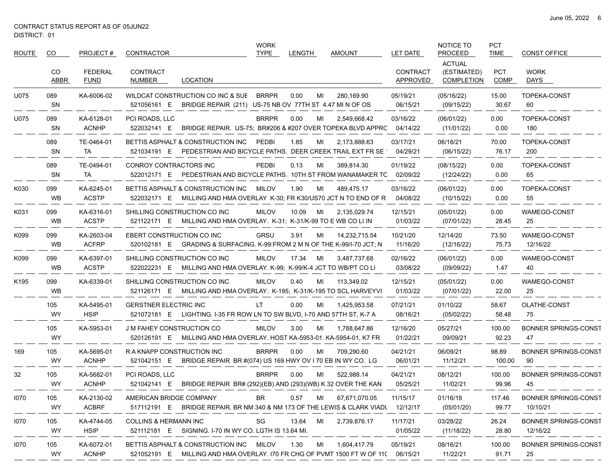| <b>ROUTE</b>     | CO                | PROJECT#                      | <b>CONTRACTOR</b>                                                                                                            | <b>WORK</b><br><b>TYPE</b> | <b>LENGTH</b> | <b>AMOUNT</b>   | LET DATE                    | NOTICE TO<br><b>PROCEED</b>                       | <b>PCT</b><br><b>TIME</b> | <b>CONST OFFICE</b>                     |
|------------------|-------------------|-------------------------------|------------------------------------------------------------------------------------------------------------------------------|----------------------------|---------------|-----------------|-----------------------------|---------------------------------------------------|---------------------------|-----------------------------------------|
|                  | CO<br><b>ABBR</b> | <b>FEDERAL</b><br><b>FUND</b> | <b>CONTRACT</b><br><b>LOCATION</b><br>NUMBER                                                                                 |                            |               |                 | <b>CONTRACT</b><br>APPROVED | <b>ACTUAL</b><br>(ESTIMATED)<br><b>COMPLETION</b> | <b>PCT</b><br><b>COMP</b> | <b>WORK</b><br>DAYS                     |
| U075             | 089<br>SN         | KA-6006-02                    | WILDCAT CONSTRUCTION CO INC & SUE<br>521056161 E<br>BRIDGE REPAIR (211) US-75 NB OV 77TH ST 4.47 MI N OF OS                  | <b>BRRPR</b>               | 0.00<br>MI    | 280,169.90      | 05/19/21<br>06/15/21        | (05/16/22)<br>(09/15/22)                          | 15.00<br>30.67            | <b>TOPEKA-CONST</b><br>60               |
| U075             | 089<br><b>SN</b>  | KA-6128-01<br><b>ACNHP</b>    | PCI ROADS, LLC<br>BRIDGE REPAIR. US-75; BR#206 & #207 OVER TOPEKA BLVD APPRC<br>522032141 E                                  | <b>BRRPR</b>               | 0.00<br>MI    | 2,549,668.42    | 03/16/22<br>04/14/22        | (06/01/22)<br>(11/01/22)                          | 0.00<br>0.00              | <b>TOPEKA-CONST</b><br>180              |
|                  | 089<br>SN         | TE-0464-01<br>TA              | BETTIS ASPHALT & CONSTRUCTION INC<br>PEDESTRIAN AND BICYCLE PATHS. DEER CREEK TRAIL EXT FR SE<br>521034191 E                 | PEDBI                      | 1.85<br>MI    | 2,173,888.63    | 03/17/21<br>04/29/21        | 06/18/21<br>(06/15/22)                            | 70.00<br>76.17            | TOPEKA-CONST<br>200                     |
|                  | 089<br>SN         | TE-0494-01<br>TA              | CONROY CONTRACTORS INC<br>PEDESTRIAN AND BICYCLE PATHS. 10TH ST FROM WANAMAKER TC<br>522012171 E                             | <b>PEDBI</b>               | 0.13<br>MI    | 389,814.30      | 01/19/22<br>02/09/22        | (08/15/22)<br>(12/24/22)                          | 0.00<br>0.00              | <b>TOPEKA-CONST</b><br>65               |
| K030             | 099<br>WB         | KA-6245-01<br><b>ACSTP</b>    | BETTIS ASPHALT & CONSTRUCTION INC<br>MILLING AND HMA OVERLAY K-30; FR K30/US70 JCT N TO END OF R<br>522032171 E              | MILOV                      | 1.90<br>MI    | 489,475.17      | 03/16/22<br>04/08/22        | (06/01/22)<br>(10/15/22)                          | 0.00<br>0.00              | TOPEKA-CONST<br>55                      |
| K031             | 099<br>WB         | KA-6316-01<br><b>ACSTP</b>    | SHILLING CONSTRUCTION CO INC<br>MILLING AND HMA OVERLAY. K-31; K-31/K-99 TO E WB CO LI IN<br>521122171 E                     | <b>MILOV</b>               | 10.09<br>MI   | 2,135,029.74    | 12/15/21<br>01/03/22        | (05/01/22)<br>(07/01/22)                          | 0.00<br>28.45             | WAMEGO-CONST<br>25                      |
| K099             | 099<br>WB         | KA-2603-04<br><b>ACFRP</b>    | EBERT CONSTRUCTION CO INC<br>520102181 E<br>GRADING & SURFACING. K-99:FROM 2 M N OF THE K-99/I-70 JCT; N                     | <b>GRSU</b>                | 3.91<br>MI    | 14,232,715.54   | 10/21/20<br>11/16/20        | 12/14/20<br>(12/16/22)                            | 73.50<br>75.73            | WAMEGO-CONST<br>12/16/22                |
| K099             | 099<br>WB         | KA-6397-01<br><b>ACSTP</b>    | SHILLING CONSTRUCTION CO INC<br>MILLING AND HMA OVERLAY. K-99; K-99/K-4 JCT TO WB/PT CO LI<br>522022231 E                    | <b>MILOV</b>               | 17.34<br>MI   | 3,487,737.68    | 02/16/22<br>03/08/22        | (06/01/22)<br>(09/09/22)                          | 0.00<br>1.47              | WAMEGO-CONST<br>40                      |
| K <sub>195</sub> | 099<br><b>WB</b>  | KA-6339-01                    | SHILLING CONSTRUCTION CO INC<br>521126171 E MILLING AND HMA OVERLAY. K-195; K-31/K-195 TO SCL HARVEYVI                       | <b>MILOV</b>               | 0.40<br>MI    | 113,349.02      | 12/15/21<br>01/03/22        | (05/01/22)<br>(07/01/22)                          | 0.00<br>22.00             | WAMEGO-CONST<br>25                      |
|                  | 105<br>WY         | KA-5495-01<br><b>HSIP</b>     | <b>GERSTNER ELECTRIC INC</b><br>521072181 E<br>LIGHTING. I-35 FR ROW LN TO SW BLVD, I-70 AND 57TH ST, K-7 A                  | LT                         | 0.00<br>MI    | 1,425,953.58    | 07/21/21<br>08/16/21        | 01/10/22<br>(05/02/22)                            | 58.67<br>58.48            | OLATHE-CONST<br>75                      |
|                  | 105<br>WY         | KA-5953-01                    | <b>J M FAHEY CONSTRUCTION CO</b><br>MILLING AND HMA OVERLAY. HOST KA-5953-01. KA-5954-01, K7 FR<br>520126191 E               | <b>MILOV</b>               | 3.00<br>MI    | 1,788,647.86    | 12/16/20<br>01/22/21        | 05/27/21<br>09/09/21                              | 100.00<br>92.23           | <b>BONNER SPRINGS-CONST</b><br>47       |
| 169              | 105<br>WY         | KA-5695-01<br><b>ACNHP</b>    | RAKNAPP CONSTRUCTION INC<br>BRIDGE REPAIR BR #(074) US 169 HWY OV I 70 EB IN WY CO. LG<br>521042151 E                        | <b>BRRPR</b>               | 0.00<br>MI    | 709,290.60      | 04/21/21<br>06/01/21        | 06/09/21<br>11/12/21                              | 98.89<br>100.00           | <b>BONNER SPRINGS-CONST</b><br>90       |
| 32               | 105<br>WY         | KA-5682-01<br><b>ACNHP</b>    | PCI ROADS, LLC<br>BRIDGE REPAIR BR# (292)(EB) AND (293)(WB) K 32 OVER THE KAN<br>521042141 E                                 | <b>BRRPR</b>               | 0.00<br>MI    | 522,988.14      | 04/21/21<br>05/25/21        | 08/12/21<br>11/02/21                              | 100.00<br>99.96           | <b>BONNER SPRINGS-CONST</b><br>45       |
| 1070             | 105<br><b>WY</b>  | KA-2130-02<br><b>ACBRF</b>    | AMERICAN BRIDGE COMPANY<br>517112191 E BRIDGE REPAIR. BR NM 340 & NM 173 OF THE LEWIS & CLARK VIADU 12/12/17                 | BR                         | 0.57<br>MI    | 67,671,070.05   | 11/15/17                    | 01/16/18<br>(05/01/20)                            | 117.46<br>99.77           | <b>BONNER SPRINGS-CONST</b><br>10/10/21 |
| 1070             | 105<br>WY         | KA-4744-05<br><b>HSIP</b>     | COLLINS & HERMANN INC<br>521112181 E SIGNING. I-70 IN WY CO. LGTH IS 13.64 MI.                                               | SG                         | 13.64<br>MI   | 2,739,876.17    | 11/17/21<br>01/05/22        | 03/28/22<br>(11/18/22)                            | 26.24<br>28.80            | <b>BONNER SPRINGS-CONST</b><br>12/16/22 |
| 1070             | 105<br>WY         | KA-6072-01<br><b>ACNHP</b>    | BETTIS ASPHALT & CONSTRUCTION INC MILOV<br>521052191 E MILLING AND HMA OVERLAY. 170 FR CHG OF PVMT 1500 FT W OF 11( 06/15/21 |                            | 1.30          | MI 1,604,417.79 | 05/19/21                    | 08/16/21<br>11/22/21                              | 100.00<br>91.71           | <b>BONNER SPRINGS-CONST</b><br>25       |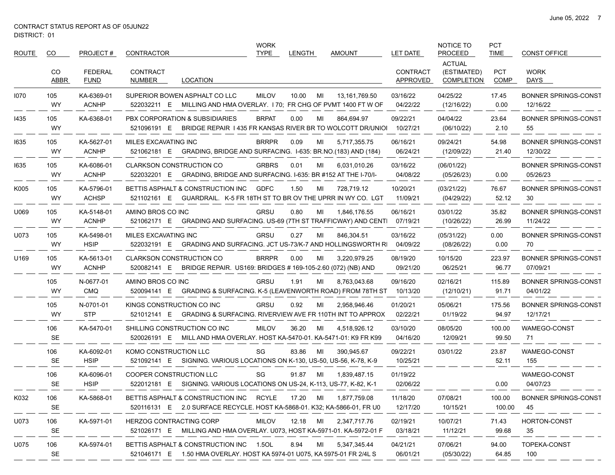$\overbrace{\hspace{25mm}}^{}$ 

| ROUTE | CO.              | PROJECT#                      | CONTRACTOR                                                                                                          | <b>WORK</b><br><b>TYPE</b> | <b>LENGTH</b> | <b>AMOUNT</b> | LET DATE                    | NOTICE TO<br><b>PROCEED</b>                       | <b>PCT</b><br><b>TIME</b> | <b>CONST OFFICE</b>                     |
|-------|------------------|-------------------------------|---------------------------------------------------------------------------------------------------------------------|----------------------------|---------------|---------------|-----------------------------|---------------------------------------------------|---------------------------|-----------------------------------------|
|       | CO<br>ABBR       | <b>FEDERAL</b><br><b>FUND</b> | <b>CONTRACT</b><br>NUMBER<br>LOCATION                                                                               |                            |               |               | <b>CONTRACT</b><br>APPROVED | <b>ACTUAL</b><br>(ESTIMATED)<br><b>COMPLETION</b> | <b>PCT</b><br><b>COMP</b> | <b>WORK</b><br>DAYS                     |
| 1070  | 105<br><b>WY</b> | KA-6369-01<br><b>ACNHP</b>    | SUPERIOR BOWEN ASPHALT CO LLC<br>522032211 E MILLING AND HMA OVERLAY. 170; FR CHG OF PVMT 1400 FT W OF              | <b>MILOV</b>               | 10.00<br>MI   | 13,161,769.50 | 03/16/22<br>04/22/22        | 04/25/22<br>(12/16/22)                            | 17.45<br>0.00             | <b>BONNER SPRINGS-CONST</b><br>12/16/22 |
| 1435  | 105<br><b>WY</b> | KA-6368-01                    | PBX CORPORATION & SUBSIDIARIES<br>521096191 E BRIDGE REPAIR 1435 FR KANSAS RIVER BR TO WOLCOTT DR/UNIOI             | <b>BRPAT</b>               | 0.00<br>MI    | 864,694.97    | 09/22/21<br>10/27/21        | 04/04/22<br>(06/10/22)                            | 23.64<br>2.10             | <b>BONNER SPRINGS-CONST</b><br>55       |
| 1635  | 105<br><b>WY</b> | KA-5627-01<br><b>ACNHP</b>    | MILES EXCAVATING INC<br>521062181 E GRADING, BRIDGE AND SURFACING. I-635: BR.NO.(183) AND (184)                     | <b>BRRPR</b>               | 0.09<br>MI    | 5,717,355.75  | 06/16/21<br>06/24/21        | 09/24/21<br>(12/09/22)                            | 54.98<br>21.40            | <b>BONNER SPRINGS-CONST</b><br>12/30/22 |
| 1635  | 105<br><b>WY</b> | KA-6086-01<br><b>ACNHP</b>    | <b>CLARKSON CONSTRUCTION CO</b><br>522032201 E GRADING, BRIDGE AND SURFACING. I-635: BR #152 AT THE I-70/I-         | <b>GRBRS</b>               | 0.01<br>MI    | 6,031,010.26  | 03/16/22<br>04/08/22        | (06/01/22)<br>(05/26/23)                          | 0.00                      | <b>BONNER SPRINGS-CONST</b><br>05/26/23 |
| K005  | 105<br><b>WY</b> | KA-5796-01<br><b>ACHSP</b>    | BETTIS ASPHALT & CONSTRUCTION INC<br>GUARDRAIL. K-5 FR 18TH ST TO BR OV THE UPRR IN WY CO. LGT<br>521102161 E       | <b>GDFC</b>                | 1.50<br>MI    | 728,719.12    | 10/20/21<br>11/09/21        | (03/21/22)<br>(04/29/22)                          | 76.67<br>52.12            | <b>BONNER SPRINGS-CONST</b><br>30       |
| U069  | 105<br><b>WY</b> | KA-5148-01<br><b>ACNHP</b>    | AMINO BROS CO INC<br>521062171 E GRADING AND SURFACING. US-69 (7TH ST TRAFFICWAY) AND CENTI                         | GRSU                       | 0.80<br>MI    | 1,846,176.55  | 06/16/21<br>07/19/21        | 03/01/22<br>(10/26/22)                            | 35.82<br>26.99            | <b>BONNER SPRINGS-CONST</b><br>11/24/22 |
| U073  | 105<br>WY        | KA-5498-01<br><b>HSIP</b>     | MILES EXCAVATING INC<br>522032191 E GRADING AND SURFACING. JCT US-73/K-7 AND HOLLINGSWORTH RI                       | <b>GRSU</b>                | 0.27<br>MI    | 846,304.51    | 03/16/22<br>04/09/22        | (05/31/22)<br>(08/26/22)                          | 0.00<br>0.00              | <b>BONNER SPRINGS-CONST</b><br>70       |
| U169  | 105<br><b>WY</b> | KA-5613-01<br><b>ACNHP</b>    | <b>CLARKSON CONSTRUCTION CO</b><br>520082141 E BRIDGE REPAIR. US169: BRIDGES # 169-105-2.60 (072) (NB) AND          | <b>BRRPR</b>               | 0.00<br>MI    | 3,220,979.25  | 08/19/20<br>09/21/20        | 10/15/20<br>06/25/21                              | 223.97<br>96.77           | <b>BONNER SPRINGS-CONST</b><br>07/09/21 |
|       | 105<br><b>WY</b> | N-0677-01<br><b>CMQ</b>       | AMINO BROS CO INC<br>520094141 E GRADING & SURFACING. K-5 (LEAVENWORTH ROAD) FROM 78TH ST 10/13/20                  | GRSU                       | 1.91<br>MI    | 8,763,043.68  | 09/16/20                    | 02/16/21<br>(12/10/21)                            | 115.89<br>91.71           | <b>BONNER SPRINGS-CONST</b><br>04/01/22 |
|       | 105<br><b>WY</b> | N-0701-01<br><b>STP</b>       | KINGS CONSTRUCTION CO INC<br>521012141 E GRADING & SURFACING. RIVERVIEW AVE FR 110TH INT TO APPROX                  | GRSU                       | 0.92<br>MI    | 2,958,946.46  | 01/20/21<br>02/22/21        | 05/06/21<br>01/19/22                              | 175.56<br>94.97           | <b>BONNER SPRINGS-CONST</b><br>12/17/21 |
|       | 106<br><b>SE</b> | KA-5470-01                    | SHILLING CONSTRUCTION CO INC<br>520026191 E MILL AND HMA OVERLAY. HOST KA-5470-01. KA-5471-01: K9 FR K99            | <b>MILOV</b>               | 36.20<br>MI   | 4,518,926.12  | 03/10/20<br>04/16/20        | 08/05/20<br>12/09/21                              | 100.00<br>99.50           | WAMEGO-CONST<br>71                      |
|       | 106<br><b>SE</b> | KA-6092-01<br><b>HSIP</b>     | KOMO CONSTRUCTION LLC<br>521092141 E SIGNING. VARIOUS LOCATIONS ON K-130, US-50, US-56, K-78, K-9                   | SG                         | 83.86<br>MI   | 390,945.67    | 09/22/21<br>10/25/21        | 03/01/22                                          | 23.87<br>52.11            | WAMEGO-CONST<br>155                     |
|       | 106<br><b>SE</b> | KA-6096-01<br><b>HSIP</b>     | COOPER CONSTRUCTION LLC<br>522012181 E SIGNING. VARIOUS LOCATIONS ON US-24, K-113, US-77, K-82, K-1                 | SG                         | 91.87<br>MI   | 1,839,487.15  | 01/19/22<br>02/06/22        |                                                   | 0.00                      | WAMEGO-CONST<br>04/07/23                |
| K032  | 106<br>SE        | KA-5868-01                    | BETTIS ASPHALT & CONSTRUCTION INC RCYLE<br>520116131 E 2.0 SURFACE RECYCLE. HOST KA-5868-01. K32; KA-5866-01, FR U0 |                            | 17.20 MI      | 1,877,759.08  | 11/18/20<br>12/17/20        | 07/08/21<br>10/15/21                              | 100.00<br>100.00          | <b>BONNER SPRINGS-CONST</b><br>45       |
| U073  | 106<br><b>SE</b> | KA-5971-01                    | HERZOG CONTRACTING CORP<br>521026171 E MILLING AND HMA OVERLAY. U073, HOST KA-5971-01. KA-5972-01 F                 | MILOV                      | 12.18 MI      | 2,347,717.76  | 02/19/21<br>03/18/21        | 10/07/21<br>11/12/21                              | 71.43<br>99.68            | HORTON-CONST<br>35                      |
| U075  | 106<br>SE        | KA-5974-01                    | BETTIS ASPHALT & CONSTRUCTION INC 1.5OL<br>521046171 E 1.50 HMA OVERLAY. HOST KA 5974-01 U075, KA 5975-01 FR 2/4L S |                            | 8.94<br>MI    | 5,347,345.44  | 04/21/21<br>06/01/21        | 07/06/21<br>(05/30/22)                            | 94.00<br>64.85            | TOPEKA-CONST<br>100                     |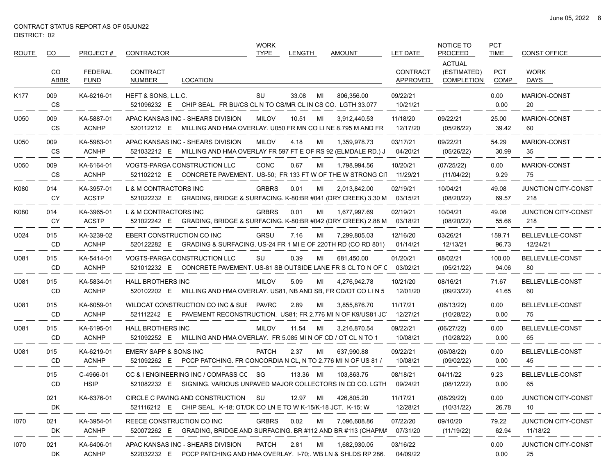| ROUTE | CO.        | PROJECT#                   | CONTRACTOR                                                                                                        | WORK<br><b>TYPE</b> | <b>LENGTH</b> |    | <b>AMOUNT</b> | LET DATE                    | NOTICE TO<br><b>PROCEED</b>                       | <b>PCT</b><br><b>TIME</b> | <b>CONST OFFICE</b>               |
|-------|------------|----------------------------|-------------------------------------------------------------------------------------------------------------------|---------------------|---------------|----|---------------|-----------------------------|---------------------------------------------------|---------------------------|-----------------------------------|
|       | CO<br>ABBR | FEDERAL<br><b>FUND</b>     | <b>CONTRACT</b><br>NUMBER<br>LOCATION                                                                             |                     |               |    |               | <b>CONTRACT</b><br>APPROVED | <b>ACTUAL</b><br>(ESTIMATED)<br><b>COMPLETION</b> | <b>PCT</b><br><b>COMP</b> | <b>WORK</b><br>DAYS               |
| K177  | 009<br>CS  | KA-6216-01                 | HEFT & SONS, L.L.C.<br>521096232 E CHIP SEAL. FR BU/CS CL N TO CS/MR CL IN CS CO. LGTH 33.077                     | SU                  | 33.08         | MI | 806,356.00    | 09/22/21<br>10/21/21        |                                                   | 0.00<br>0.00              | <b>MARION-CONST</b><br>20         |
| U050  | 009<br>CS  | KA-5887-01<br><b>ACNHP</b> | APAC KANSAS INC - SHEARS DIVISION<br>520112212 E MILLING AND HMA OVERLAY. U050 FR MN CO LI NE 8.795 M AND FR      | <b>MILOV</b>        | 10.51         | MI | 3,912,440.53  | 11/18/20<br>12/17/20        | 09/22/21<br>(05/26/22)                            | 25.00<br>39.42            | <b>MARION-CONST</b><br>60         |
| U050  | 009<br>CS  | KA-5983-01<br><b>ACNHP</b> | APAC KANSAS INC - SHEARS DIVISION<br>521032212 E MILLING AND HMA OVERLAY FR 597 FT E OF RS 92 (ELMDALE RD.) J     | <b>MILOV</b>        | 4.18          | MI | 1,359,978.73  | 03/17/21<br>04/20/21        | 09/22/21<br>(05/26/22)                            | 54.29<br>30.99            | MARION-CONST<br>35                |
| U050  | 009<br>CS  | KA-6164-01<br><b>ACNHP</b> | <b>VOGTS-PARGA CONSTRUCTION LLC</b><br>521102212 E CONCRETE PAVEMENT. US-50; FR 133 FT W OF THE W STRONG CIT      | <b>CONC</b>         | 0.67          | MI | 1,798,994.56  | 10/20/21<br>11/29/21        | (07/25/22)<br>(11/04/22)                          | 0.00<br>9.29              | MARION-CONST<br>75                |
| K080  | 014<br>CY  | KA-3957-01<br><b>ACSTP</b> | L & M CONTRACTORS INC<br>521022232 E<br>GRADING, BRIDGE & SURFACING. K-80:BR #041 (DRY CREEK) 3.30 M              | <b>GRBRS</b>        | 0.01          | MI | 2,013,842.00  | 02/19/21<br>03/15/21        | 10/04/21<br>(08/20/22)                            | 49.08<br>69.57            | <b>JUNCTION CITY-CONST</b><br>218 |
| K080  | 014<br>CY  | KA-3965-01<br><b>ACSTP</b> | L & M CONTRACTORS INC<br>521022242 E GRADING, BRIDGE & SURFACING. K-80:BR #042 (DRY CREEK) 2.88 M                 | <b>GRBRS</b>        | 0.01          | MI | 1,677,997.69  | 02/19/21<br>03/18/21        | 10/04/21<br>(08/20/22)                            | 49.08<br>55.66            | <b>JUNCTION CITY-CONST</b><br>218 |
| U024  | 015<br>CD  | KA-3239-02<br><b>ACNHP</b> | <b>EBERT CONSTRUCTION CO INC</b><br>GRADING & SURFACING. US-24 FR 1 MI E OF 220TH RD (CO RD 801)<br>520122282 E   | <b>GRSU</b>         | 7.16          | MI | 7,299,805.03  | 12/16/20<br>01/14/21        | 03/26/21<br>12/13/21                              | 159.71<br>96.73           | BELLEVILLE-CONST<br>12/24/21      |
| U081  | 015<br>CD  | KA-5414-01<br><b>ACNHP</b> | <b>VOGTS-PARGA CONSTRUCTION LLC</b><br>CONCRETE PAVEMENT. US-81 SB OUTSIDE LANE FR S CL TO N OF C<br>521012232 E  | SU                  | 0.39          | MI | 681,450.00    | 01/20/21<br>03/02/21        | 08/02/21<br>(05/21/22)                            | 100.00<br>94.06           | BELLEVILLE-CONST<br>80            |
| U081  | 015<br>CD  | KA-5834-01<br><b>ACNHP</b> | <b>HALL BROTHERS INC</b><br>520102202 E MILLING AND HMA OVERLAY. US81, NB AND SB, FR CD/OT CO LIN 5               | <b>MILOV</b>        | 5.09          | MI | 4,276,942.78  | 10/21/20<br>12/01/20        | 08/16/21<br>(09/23/22)                            | 71.67<br>41.65            | BELLEVILLE-CONST<br>60            |
| U081  | 015<br>CD  | KA-6059-01<br><b>ACNHP</b> | WILDCAT CONSTRUCTION CO INC & SUE PAVRC<br>521112242 E PAVEMENT RECONSTRUCTION. US81; FR 2.776 MI N OF K9/US81 JC |                     | 2.89          | MI | 3,855,876.70  | 11/17/21<br>12/27/21        | (06/13/22)<br>(10/28/22)                          | 0.00<br>0.00              | BELLEVILLE-CONST<br>75            |
| U081  | 015<br>CD  | KA-6195-01<br><b>ACNHP</b> | <b>HALL BROTHERS INC</b><br>MILLING AND HMA OVERLAY. FR 5.085 MI N OF CD / OT CL N TO 1<br>521092252 E            | <b>MILOV</b>        | 11.54         | MI | 3,216,870.54  | 09/22/21<br>10/08/21        | (06/27/22)<br>(10/28/22)                          | 0.00<br>0.00              | BELLEVILLE-CONST<br>65            |
| U081  | 015<br>CD  | KA-6219-01<br><b>ACNHP</b> | EMERY SAPP & SONS INC<br>521092262 E PCCP PATCHING. FR CONCORDIA N CL, N TO 2.776 MI N OF US 81 /                 | <b>PATCH</b>        | 2.37          | MI | 637,990.88    | 09/22/21<br>10/08/21        | (06/08/22)<br>(09/02/22)                          | 0.00<br>0.00              | BELLEVILLE-CONST<br>45            |
|       | 015<br>CD  | C-4966-01<br><b>HSIP</b>   | CC & I ENGINEERING INC / COMPASS CC SG<br>SIGNING. VARIOUS UNPAVED MAJOR COLLECTORS IN CD CO. LGTH<br>521082232 E |                     | 113.36 MI     |    | 103,863.75    | 08/18/21<br>09/24/21        | 04/11/22<br>(08/12/22)                            | 9.23<br>0.00              | BELLEVILLE-CONST<br>65            |
|       | 021<br>DK  | KA-6376-01                 | CIRCLE C PAVING AND CONSTRUCTION<br>521116212 E CHIP SEAL. K-18, OT/DK CO LN E TO W K-15/K-18 JCT. K-15, W        | – SU                | 12.97         | MI | 426,805.20    | 11/17/21<br>12/28/21        | (08/29/22)<br>(10/31/22)                          | 0.00<br>26.78             | JUNCTION CITY-CONST<br>10         |
| 1070  | 021<br>DK  | KA-3954-01<br><b>ACNHP</b> | REECE CONSTRUCTION CO INC<br>520072262 E GRADING, BRIDGE AND SURFACING. BR #112 AND BR #113 (CHAPMA               | <b>GRBRS</b>        | 0.02          | MI | 7,096,608.86  | 07/22/20<br>07/31/20        | 09/10/20<br>(11/19/22)                            | 79.22<br>62.94            | JUNCTION CITY-CONST<br>11/18/22   |
| 1070  | 021<br>DK  | KA-6406-01<br><b>ACNHP</b> | APAC KANSAS INC - SHEARS DIVISION<br>522032232 E PCCP PATCHING AND HMA OVERLAY. I-70: WB LN & SHLDS RP 286.       | PATCH               | 2.81          | MI | 1,682,930.05  | 03/16/22<br>04/09/22        |                                                   | 0.00<br>0.00              | JUNCTION CITY-CONST<br>25         |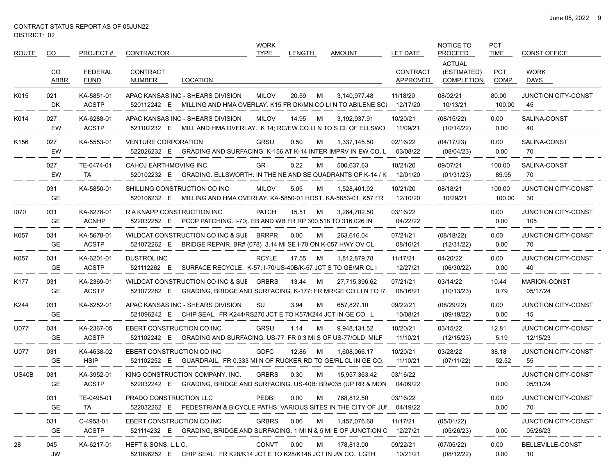| <b>ROUTE</b> | CO.              | PROJECT#                      | CONTRACTOR                                                                                                         | <b>WORK</b><br><b>TYPE</b>                                                  | LENGTH      | <b>AMOUNT</b>                                                                | <b>LET DATE</b>             | NOTICE TO<br><b>PROCEED</b>                       | <b>PCT</b><br><b>TIME</b> | <b>CONST OFFICE</b>               |
|--------------|------------------|-------------------------------|--------------------------------------------------------------------------------------------------------------------|-----------------------------------------------------------------------------|-------------|------------------------------------------------------------------------------|-----------------------------|---------------------------------------------------|---------------------------|-----------------------------------|
|              | CO<br>ABBR       | <b>FEDERAL</b><br><b>FUND</b> | <b>CONTRACT</b><br><b>LOCATION</b><br>NUMBER                                                                       |                                                                             |             |                                                                              | <b>CONTRACT</b><br>APPROVED | <b>ACTUAL</b><br>(ESTIMATED)<br><b>COMPLETION</b> | <b>PCT</b><br>COMP        | <b>WORK</b><br>DAYS               |
| K015         | 021<br>DK.       | KA-5851-01<br><b>ACSTP</b>    | APAC KANSAS INC - SHEARS DIVISION<br>520112242 E MILLING AND HMA OVERLAY. K15 FR DK/MN CO LI N TO ABILENE SCI      | <b>MILOV</b>                                                                | 20.59<br>MI | 3,140,977.48                                                                 | 11/18/20<br>12/17/20        | 08/02/21<br>10/13/21                              | 80.00<br>100.00           | <b>JUNCTION CITY-CONST</b><br>45  |
| K014         | 027<br>EW        | KA-6288-01<br><b>ACSTP</b>    | APAC KANSAS INC - SHEARS DIVISION<br>521102232 E MILL AND HMA OVERLAY. K 14; RC/EW CO LI N TO S CL OF ELLSWO       | <b>MILOV</b>                                                                | 14.95<br>MI | 3,192,937.91                                                                 | 10/20/21<br>11/09/21        | (08/15/22)<br>(10/14/22)                          | 0.00<br>0.00              | SALINA-CONST<br>40                |
| K156         | 027<br>EW        | KA-5553-01                    | <b>VENTURE CORPORATION</b><br>522026232 E                                                                          | GRSU                                                                        | 0.50<br>МI  | 1,337,145.50<br>GRADING AND SURFACING. K-156 AT K-14 INTER IMPRV IN EW CO. L | 02/16/22<br>03/08/22        | (04/17/23)<br>(08/04/23)                          | 0.00<br>0.00              | SALINA-CONST<br>70                |
|              | 027<br>EW        | TE-0474-01<br>TA              | CAHOJ EARTHMOVING INC.<br>520102232 E GRADING. ELLSWORTH: IN THE NE AND SE QUADRANTS OF K-14 / K                   | GR                                                                          | 0.22<br>MI  | 500,637.63                                                                   | 10/21/20<br>12/01/20        | 09/07/21<br>(01/31/23)                            | 100.00<br>85.95           | SALINA-CONST<br>70                |
|              | 031<br>GE        | KA-5850-01                    | SHILLING CONSTRUCTION CO INC<br>520106232 E MILLING AND HMA OVERLAY. KA-5850-01 HOST. KA-5853-01, K57 FR           | <b>MILOV</b>                                                                | 5.05<br>MI  | 1,528,401.92                                                                 | 10/21/20<br>12/10/20        | 08/18/21<br>10/29/21                              | 100.00<br>100.00          | <b>JUNCTION CITY-CONST</b><br>30  |
| 1070         | 031<br>GE.       | KA-6278-01<br><b>ACNHP</b>    | R A KNAPP CONSTRUCTION INC<br>522032252 E PCCP PATCHING. I-70;. EB AND WB FR RP 300.518 TO 316.026 IN              | <b>PATCH</b>                                                                | 15.51<br>MI | 3,264,702.50                                                                 | 03/16/22<br>04/22/22        |                                                   | 0.00<br>0.00              | <b>JUNCTION CITY-CONST</b><br>105 |
| K057         | 031<br>GE.       | KA-5678-01<br><b>ACSTP</b>    | WILDCAT CONSTRUCTION CO INC & SUE BRRPR<br>521072262 E                                                             | BRIDGE REPAIR. BR# (078) 3.14 MI SE I-70 ON K-057 HWY OV CL                 | 0.00<br>МI  | 263,616.04                                                                   | 07/21/21<br>08/16/21        | (08/18/22)<br>(12/31/22)                          | 0.00<br>0.00              | JUNCTION CITY-CONST<br>70         |
| K057         | 031<br>GE        | KA-6201-01<br><b>ACSTP</b>    | DUSTROL INC<br>521112262 E                                                                                         | <b>RCYLE</b><br>SURFACE RECYCLE. K-57; I-70/US-40B/K-57 JCT S TO GE/MR CL I | 17.55<br>MI | 1,812,879.78                                                                 | 11/17/21<br>12/27/21        | 04/20/22<br>(06/30/22)                            | 0.00<br>0.00              | JUNCTION CITY-CONST<br>40         |
| K177         | 031<br><b>GE</b> | KA-2369-01<br><b>ACSTP</b>    | WILDCAT CONSTRUCTION CO INC & SUE<br>521072282 E GRADING, BRIDGE AND SURFACING. K-177: FR MR/GE CO LI N TO 17      | <b>GRBRS</b>                                                                | 13.44<br>MI | 27,715,396.62                                                                | 07/21/21<br>08/16/21        | 03/14/22<br>(10/13/23)                            | 10.44<br>0.79             | <b>MARION-CONST</b><br>05/17/24   |
| K244         | 031<br>GE        | KA-6252-01                    | APAC KANSAS INC - SHEARS DIVISION<br>521096242 E CHIP SEAL. FR K244/RS270 JCT E TO K57/K244 JCT IN GE CO. L        | SU                                                                          | 3.94<br>MI  | 657,827.10                                                                   | 09/22/21<br>10/08/21        | (08/29/22)<br>(09/19/22)                          | 0.00<br>0.00              | JUNCTION CITY-CONST<br>15         |
| U077         | 031<br>GE.       | KA-2367-05<br><b>ACSTP</b>    | EBERT CONSTRUCTION CO INC<br>521102242 E GRADING AND SURFACING. US-77: FR 0.3 MI S OF US-77/OLD MILF               | GRSU                                                                        | 1.14<br>МI  | 9,948,131.52                                                                 | 10/20/21<br>11/10/21        | 03/15/22<br>(12/15/23)                            | 12.81<br>5.19             | JUNCTION CITY-CONST<br>12/15/23   |
| U077         | 031<br>GE        | KA-4638-02<br><b>HSIP</b>     | EBERT CONSTRUCTION CO INC<br>521102252 E                                                                           | <b>GDFC</b>                                                                 | 12.86<br>MI | 1,608,066.17<br>GUARDRAIL. FR 0.333 MI N OF RUCKER RD TO GE/RL CL IN GE CO.  | 10/20/21<br>11/10/21        | 03/28/22<br>(07/11/22)                            | 38.18<br>52.52            | <b>JUNCTION CITY-CONST</b><br>55  |
| <b>US40B</b> | 031<br>GE        | KA-3952-01<br><b>ACSTP</b>    | KING CONSTRUCTION COMPANY, INC.<br>522032242 E GRADING, BRIDGE AND SURFACING. US-40B: BR#035 (UP RR & MON 04/09/22 | <b>GRBRS</b>                                                                | 0.30<br>MI  | 15,957,363.42                                                                | 03/16/22                    |                                                   | 0.00                      | JUNCTION CITY-CONST<br>05/31/24   |
|              | 031<br>GE.       | TE-0495-01<br>TA              | PRADO CONSTRUCTION LLC<br>522032262 E PEDESTRIAN & BICYCLE PATHS. VARIOUS SITES IN THE CITY OF JUI 04/19/22        | PEDBI                                                                       | 0.00<br>MI  | 768,812.50                                                                   | 03/16/22                    |                                                   | 0.00<br>0.00              | JUNCTION CITY-CONST<br>70         |
|              | 031<br>GE        | C-4953-01<br><b>ACSTP</b>     | EBERT CONSTRUCTION CO INC<br>521114232 E GRADING, BRIDGE AND SURFACING. 1 MI N & 5 MI E OF JUNCTION C              | <b>GRBRS</b>                                                                | 0.06<br>MI  | 1,457,076.68                                                                 | 11/17/21<br>12/27/21        | (05/01/22)<br>(05/26/23)                          | 0.00                      | JUNCTION CITY-CONST<br>05/26/23   |
| 28           | 045<br>JW        | KA-6217-01                    | HEFT & SONS, L.L.C.<br>521096252 E CHIP SEAL. FR K28/K14 JCT E TO K28/K148 JCT IN JW CO. LGTH                      | <b>CONVT</b>                                                                | 0.00<br>MI  | 178,813.00                                                                   | 09/22/21<br>10/21/21        | (07/05/22)<br>(08/12/22)                          | 0.00<br>0.00              | BELLEVILLE-CONST<br>10            |

 $\overline{\phantom{0}}$  $\overline{\phantom{0}}$  $\overbrace{\phantom{aaaaa}}$  $\hspace{0.05cm}$ 

 $\overbrace{\hspace{25mm}}^{}$ 

 $\overline{\phantom{0}}$ 

- -

— —  $\overline{\phantom{0}}$  $\overline{\phantom{0}}$  $\overline{\phantom{0}}$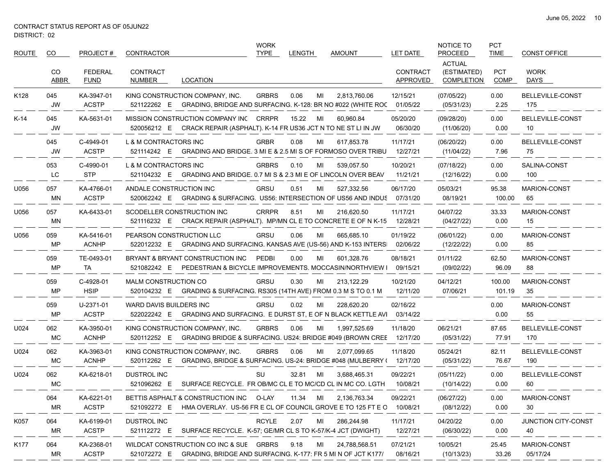| <b>ROUTE</b> | CO               | PROJECT#                      | <b>CONTRACTOR</b>                                                                                                      | <b>WORK</b><br><b>TYPE</b> | <b>LENGTH</b> | <b>AMOUNT</b> | <b>LET DATE</b>             | NOTICE TO<br><b>PROCEED</b>                       | <b>PCT</b><br><b>TIME</b> | <b>CONST OFFICE</b>            |
|--------------|------------------|-------------------------------|------------------------------------------------------------------------------------------------------------------------|----------------------------|---------------|---------------|-----------------------------|---------------------------------------------------|---------------------------|--------------------------------|
|              | CO<br>ABBR       | <b>FEDERAL</b><br><b>FUND</b> | <b>CONTRACT</b><br><b>LOCATION</b><br>NUMBER                                                                           |                            |               |               | <b>CONTRACT</b><br>APPROVED | <b>ACTUAL</b><br>(ESTIMATED)<br><b>COMPLETION</b> | <b>PCT</b><br><b>COMP</b> | <b>WORK</b><br>DAYS            |
| K128         | 045<br><b>JW</b> | KA-3947-01<br><b>ACSTP</b>    | KING CONSTRUCTION COMPANY, INC.<br>521122262 E GRADING, BRIDGE AND SURFACING. K-128: BR NO #022 (WHITE ROC             | <b>GRBRS</b>               | 0.06<br>MI    | 2.813.760.06  | 12/15/21<br>01/05/22        | (07/05/22)<br>(05/31/23)                          | 0.00<br>2.25              | BELLEVILLE-CONST<br>175        |
| $K-14$       | 045<br><b>JW</b> | KA-5631-01                    | MISSION CONSTRUCTION COMPANY INC CRRPR<br>520056212 E CRACK REPAIR (ASPHALT). K-14 FR US36 JCT N TO NE ST LI IN JW     |                            | 15.22<br>MI   | 60.960.84     | 05/20/20<br>06/30/20        | (09/28/20)<br>(11/06/20)                          | 0.00<br>0.00              | BELLEVILLE-CONST<br>10         |
|              | 045<br><b>JW</b> | C-4949-01<br><b>ACSTP</b>     | L & M CONTRACTORS INC<br>GRADING AND BRIDGE. 3 MI E & 2.5 MI S OF FORMOSO OVER TRIBU<br>521114242 E                    | <b>GRBR</b>                | 0.08<br>MI    | 617,853.78    | 11/17/21<br>12/27/21        | (06/20/22)<br>(11/04/22)                          | 0.00<br>7.96              | <b>BELLEVILLE-CONST</b><br>75  |
|              | 053<br>LC        | C-4990-01<br><b>STP</b>       | L & M CONTRACTORS INC<br>521104232 E<br>GRADING AND BRIDGE. 0.7 MI S & 2.3 MI E OF LINCOLN OVER BEAV                   | <b>GRBRS</b>               | 0.10<br>MI    | 539,057.50    | 10/20/21<br>11/21/21        | (07/18/22)<br>(12/16/22)                          | 0.00<br>0.00              | SALINA-CONST<br>100            |
| U056         | 057<br>ΜN        | KA-4766-01<br><b>ACSTP</b>    | ANDALE CONSTRUCTION INC<br><b>GRADING &amp; SURFACING. US56: INTERSECTION OF US56 AND INDUS</b><br>520062242 E         | <b>GRSU</b>                | 0.51<br>MI    | 527,332.56    | 06/17/20<br>07/31/20        | 05/03/21<br>08/19/21                              | 95.38<br>100.00           | <b>MARION-CONST</b><br>65      |
| U056         | 057<br>MN        | KA-6433-01                    | SCODELLER CONSTRUCTION INC<br>521116232 E CRACK REPAIR (ASPHALT). MP/MN CL E TO CONCRETE E OF N K-15                   | <b>CRRPR</b>               | 8.51<br>MI    | 216,620.50    | 11/17/21<br>12/28/21        | 04/07/22<br>(04/27/22)                            | 33.33<br>0.00             | <b>MARION-CONST</b><br>15      |
| U056         | 059<br>MP        | KA-5416-01<br><b>ACNHP</b>    | PEARSON CONSTRUCTION LLC<br>522012232 E GRADING AND SURFACING. KANSAS AVE (US-56) AND K-153 INTERS                     | <b>GRSU</b>                | 0.06<br>MI    | 665,685.10    | 01/19/22<br>02/06/22        | (06/01/22)<br>(12/22/22)                          | 0.00<br>0.00              | MARION-CONST<br>85             |
|              | 059<br>MP        | TE-0493-01<br>TA              | BRYANT & BRYANT CONSTRUCTION INC<br>PEDESTRIAN & BICYCLE IMPROVEMENTS. MOCCASIN/NORTHVIEW I<br>521082242 E             | PEDBI                      | 0.00<br>МI    | 601.328.76    | 08/18/21<br>09/15/21        | 01/11/22<br>(09/02/22)                            | 62.50<br>96.09            | MARION-CONST<br>88             |
|              | 059<br>MP        | C-4928-01<br><b>HSIP</b>      | MALM CONSTRUCTION CO<br>520104232 E<br>GRADING & SURFACING. RS305 (14TH AVE) FROM 0.3 M S TO 0.1 M                     | <b>GRSU</b>                | 0.30<br>MI    | 213,122.29    | 10/21/20<br>12/11/20        | 04/12/21<br>07/06/21                              | 100.00<br>101.19          | <b>MARION-CONST</b><br>35      |
|              | 059<br>MP        | U-2371-01<br><b>ACSTP</b>     | WARD DAVIS BUILDERS INC<br>GRADING AND SURFACING. E DURST ST, E OF N BLACK KETTLE AVI<br>522022242 E                   | <b>GRSU</b>                | 0.02<br>MI    | 228,620.20    | 02/16/22<br>03/14/22        |                                                   | 0.00<br>0.00              | MARION-CONST<br>55             |
| U024         | 062<br>MC        | KA-3950-01<br><b>ACNHP</b>    | KING CONSTRUCTION COMPANY, INC.<br>520112252 E<br>GRADING BRIDGE & SURFACING. US24: BRIDGE #049 (BROWN CREE            | <b>GRBRS</b>               | 0.06<br>MI    | 1,997,525.69  | 11/18/20<br>12/17/20        | 06/21/21<br>(05/31/22)                            | 87.65<br>77.91            | BELLEVILLE-CONST<br>170        |
| U024         | 062<br>MC        | KA-3963-01<br><b>ACNHP</b>    | KING CONSTRUCTION COMPANY, INC.<br>GRADING, BRIDGE & SURFACING. US-24: BRIDGE #048 (MULBERRY (12/17/20)<br>520112262 E | <b>GRBRS</b>               | 0.06<br>MI    | 2.077.099.65  | 11/18/20                    | 05/24/21<br>(05/31/22)                            | 82.11<br>76.67            | <b>BELLEVILLE-CONST</b><br>190 |
| U024         | 062<br><b>MC</b> | KA-6218-01                    | <b>DUSTROL INC</b><br>SURFACE RECYCLE. FR OB/MC CL E TO MC/CD CL IN MC CO. LGTH<br>521096262 E                         | SU                         | 32.81<br>MI   | 3,688,465.31  | 09/22/21<br>10/08/21        | (05/11/22)<br>(10/14/22)                          | 0.00<br>0.00              | BELLEVILLE-CONST<br>60         |
|              | 064<br>MR        | KA-6221-01<br><b>ACSTP</b>    | BETTIS ASPHALT & CONSTRUCTION INC O-LAY<br>521092272 E<br>HMA OVERLAY. US-56 FR E CL OF COUNCIL GROVE E TO 125 FT E C  |                            | 11.34<br>MI   | 2,136,763.34  | 09/22/21<br>10/08/21        | (06/27/22)<br>(08/12/22)                          | 0.00<br>0.00              | MARION-CONST<br>30             |
| K057         | 064<br>MR        | KA-6199-01<br><b>ACSTP</b>    | <b>DUSTROL INC</b><br>521112272 E<br>SURFACE RECYCLE. K-57; GE/MR CL S TO K-57/K-4 JCT (DWIGHT)                        | <b>RCYLE</b>               | 2.07<br>MI    | 286,244.98    | 11/17/21<br>12/27/21        | 04/20/22<br>(06/30/22)                            | 0.00<br>0.00              | JUNCTION CITY-CONST<br>40      |
| K177         | 064<br>MR        | KA-2368-01<br><b>ACSTP</b>    | WILDCAT CONSTRUCTION CO INC & SUE GRBRS<br>521072272 E<br>GRADING, BRIDGE AND SURFACING. K-177: FR 5 MI N OF JCT K177/ |                            | 9.18<br>ML    | 24,788,568.51 | 07/21/21<br>08/16/21        | 10/05/21<br>(10/13/23)                            | 25.45<br>33.26            | MARION-CONST<br>05/17/24       |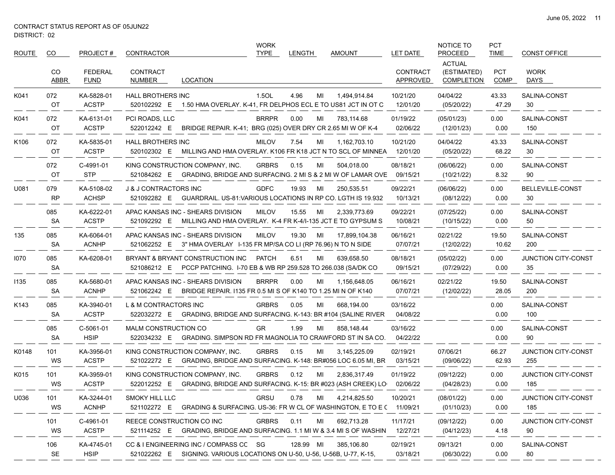$\hspace{0.05cm}$ 

| ROUTE | CO.              | PROJECT#                      | CONTRACTOR                                                                                                         | <b>WORK</b><br><b>TYPE</b> | <b>LENGTH</b> | <b>AMOUNT</b> | <b>LET DATE</b>             | NOTICE TO<br><b>PROCEED</b>                       | <b>PCT</b><br><b>TIME</b> | <b>CONST OFFICE</b>               |
|-------|------------------|-------------------------------|--------------------------------------------------------------------------------------------------------------------|----------------------------|---------------|---------------|-----------------------------|---------------------------------------------------|---------------------------|-----------------------------------|
|       | CO<br>ABBR       | <b>FEDERAL</b><br><b>FUND</b> | CONTRACT<br>NUMBER<br>LOCATION                                                                                     |                            |               |               | <b>CONTRACT</b><br>APPROVED | <b>ACTUAL</b><br>(ESTIMATED)<br><b>COMPLETION</b> | <b>PCT</b><br>COMP        | <b>WORK</b><br>DAYS               |
| K041  | 072<br>OT        | KA-5828-01<br><b>ACSTP</b>    | HALL BROTHERS INC<br>1.50 HMA OVERLAY. K-41, FR DELPHOS ECL E TO US81 JCT IN OT C<br>520102292 E                   | 1.5OL                      | 4.96<br>МI    | 1,494,914.84  | 10/21/20<br>12/01/20        | 04/04/22<br>(05/20/22)                            | 43.33<br>47.29            | SALINA-CONST<br>30                |
| K041  | 072<br>OT        | KA-6131-01<br><b>ACSTP</b>    | PCI ROADS, LLC<br>BRIDGE REPAIR. K-41; BRG (025) OVER DRY CR 2.65 MI W OF K-4<br>522012242 E                       | <b>BRRPR</b>               | 0.00<br>MI    | 783,114.68    | 01/19/22<br>02/06/22        | (05/01/23)<br>(12/01/23)                          | 0.00<br>0.00              | SALINA-CONST<br>150               |
| K106  | 072<br>OT        | KA-5835-01<br><b>ACSTP</b>    | <b>HALL BROTHERS INC</b><br>520102302 E<br>MILLING AND HMA OVERLAY. K106 FR K18 JCT N TO SCL OF MINNEA             | <b>MILOV</b>               | 7.54<br>MI    | 1,162,703.10  | 10/21/20<br>12/01/20        | 04/04/22<br>(05/20/22)                            | 43.33<br>68.22            | SALINA-CONST<br>30                |
|       | 072<br>OT        | C-4991-01<br><b>STP</b>       | KING CONSTRUCTION COMPANY, INC.<br>521084262 E GRADING, BRIDGE AND SURFACING. 2 MI S & 2 MI W OF LAMAR OVE         | <b>GRBRS</b>               | 0.15<br>МI    | 504,018.00    | 08/18/21<br>09/15/21        | (06/06/22)<br>(10/21/22)                          | 0.00<br>8.32              | SALINA-CONST<br>90                |
| U081  | 079<br><b>RP</b> | KA-5108-02<br><b>ACHSP</b>    | <b>J &amp; J CONTRACTORS INC</b><br>521092282 E GUARDRAIL. US-81: VARIOUS LOCATIONS IN RP CO. LGTH IS 19.932       | <b>GDFC</b>                | 19.93<br>MI   | 250,535.51    | 09/22/21<br>10/13/21        | (06/06/22)<br>(08/12/22)                          | 0.00<br>0.00              | BELLEVILLE-CONST<br>30            |
|       | 085<br><b>SA</b> | KA-6222-01<br><b>ACSTP</b>    | APAC KANSAS INC - SHEARS DIVISION<br>MILLING AND HMA OVERLAY. K-4 FR K-4/I-135 JCT E TO GYPSUM S<br>521092292 E    | <b>MILOV</b>               | 15.55<br>MI   | 2,339,773.69  | 09/22/21<br>10/08/21        | (07/25/22)<br>(10/15/22)                          | 0.00<br>0.00              | SALINA-CONST<br>50                |
| 135   | 085<br><b>SA</b> | KA-6064-01<br><b>ACNHP</b>    | APAC KANSAS INC - SHEARS DIVISION<br>521062252 E 3" HMA OVERLAY I-135 FR MP/SA CO LI (RP 76.96) N TO N SIDE        | <b>MILOV</b>               | 19.30<br>MI   | 17,899,104.38 | 06/16/21<br>07/07/21        | 02/21/22<br>(12/02/22)                            | 19.50<br>10.62            | SALINA-CONST<br>200               |
| 1070  | 085<br><b>SA</b> | KA-6208-01                    | BRYANT & BRYANT CONSTRUCTION INC<br>521086212 E PCCP PATCHING. I-70 EB & WB RP 259.528 TO 266.038 (SA/DK CO        | <b>PATCH</b>               | 6.51<br>МI    | 639,658.50    | 08/18/21<br>09/15/21        | (05/02/22)<br>(07/29/22)                          | 0.00<br>0.00              | JUNCTION CITY-CONST<br>35         |
| 1135  | 085<br><b>SA</b> | KA-5680-01<br><b>ACNHP</b>    | APAC KANSAS INC - SHEARS DIVISION<br>521062242 E<br>BRIDGE REPAIR. 1135 FR 0.5 MI S OF K140 TO 1.25 MI N OF K140   | <b>BRRPR</b>               | 0.00<br>МI    | 1,156,648.05  | 06/16/21<br>07/07/21        | 02/21/22<br>(12/02/22)                            | 19.50<br>28.05            | SALINA-CONST<br>200               |
| K143  | 085<br><b>SA</b> | KA-3940-01<br><b>ACSTP</b>    | L & M CONTRACTORS INC<br>GRADING, BRIDGE AND SURFACING. K-143: BR #104 (SALINE RIVER<br>522032272 E                | <b>GRBRS</b>               | 0.05<br>МI    | 668,194.00    | 03/16/22<br>04/08/22        |                                                   | 0.00<br>0.00              | SALINA-CONST<br>100               |
|       | 085<br><b>SA</b> | C-5061-01<br><b>HSIP</b>      | MALM CONSTRUCTION CO<br>GRADING. SIMPSON RD FR MAGNOLIA TO CRAWFORD ST IN SA CO.<br>522034232 E                    | GR                         | 1.99<br>МI    | 858,148.44    | 03/16/22<br>04/22/22        |                                                   | 0.00<br>0.00              | SALINA-CONST<br>90                |
| K0148 | 101<br>WS        | KA-3956-01<br><b>ACSTP</b>    | KING CONSTRUCTION COMPANY, INC.<br>GRADING, BRIDGE AND SURFACING. K-148: BR#056 LOC 6.05 MI, BR<br>521022272 E     | <b>GRBRS</b>               | 0.15<br>MI    | 3,145,225.09  | 02/19/21<br>03/15/21        | 07/06/21<br>(09/06/22)                            | 66.27<br>62.93            | JUNCTION CITY-CONST<br>255        |
| K015  | 101<br>WS        | KA-3959-01<br><b>ACSTP</b>    | KING CONSTRUCTION COMPANY, INC.<br>522012252 E GRADING, BRIDGE AND SURFACING. K-15: BR #023 (ASH CREEK) LO         | <b>GRBRS</b>               | 0.12<br>МI    | 2,836,317.49  | 01/19/22<br>02/06/22        | (09/12/22)<br>(04/28/23)                          | 0.00<br>0.00              | <b>JUNCTION CITY-CONST</b><br>185 |
| U036  | 101<br>WS        | KA-3244-01<br><b>ACNHP</b>    | <b>SMOKY HILL LLC</b><br>521102272 E GRADING & SURFACING. US-36: FR W CL OF WASHINGTON, E TO E ( 11/09/21          | <b>GRSU</b>                | 0.78<br>MI    | 4,214,825.50  | 10/20/21                    | (08/01/22)<br>(01/10/23)                          | 0.00<br>0.00              | JUNCTION CITY-CONST<br>185        |
|       | 101<br>WS        | C-4961-01<br><b>ACSTP</b>     | REECE CONSTRUCTION CO INC<br>521114252 E GRADING, BRIDGE AND SURFACING. 1.1 MI W & 3.4 MI S OF WASHIN              | <b>GRBRS</b>               | 0.11<br>MI    | 692,713.28    | 11/17/21<br>12/27/21        | (09/12/22)<br>(04/12/23)                          | 0.00<br>4.18              | JUNCTION CITY-CONST<br>90         |
|       | 106<br>SE        | KA-4745-01<br><b>HSIP</b>     | CC & I ENGINEERING INC / COMPASS CC SG<br>521022262 E SIGNING. VARIOUS LOCATIONS ON U-50, U-56, U-56B, U-77, K-15, |                            | 128.99 MI     | 385,106.80    | 02/19/21<br>03/18/21        | 09/13/21<br>(06/30/22)                            | 0.00<br>0.00              | SALINA-CONST<br>80                |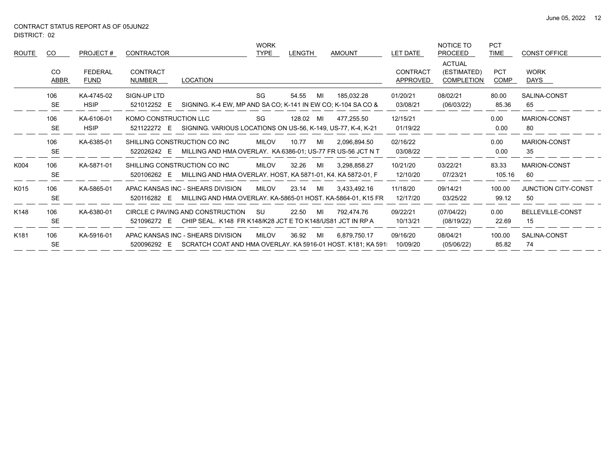| K181  | 106<br><b>SE</b> | KA-5916-01                    | 520096292 E                | APAC KANSAS INC - SHEARS DIVISION<br>SCRATCH COAT AND HMA OVERLAY, KA 5916-01 HOST, K181, KA 591  | <b>MILOV</b>        | 36.92     | MI | 6.879.750.17  | 09/16/20<br>10/09/20        | 08/04/21<br>(05/06/22)                            | 100.00<br>85.82           | SALINA-CONST<br>74               |
|-------|------------------|-------------------------------|----------------------------|---------------------------------------------------------------------------------------------------|---------------------|-----------|----|---------------|-----------------------------|---------------------------------------------------|---------------------------|----------------------------------|
| K148  | 106<br><b>SE</b> | KA-6380-01                    | 521096272 E                | CIRCLE C PAVING AND CONSTRUCTION<br>CHIP SEAL. K148 FR K148/K28 JCT E TO K148/US81 JCT IN RP A    | SU                  | 22.50     | MI | 792.474.76    | 09/22/21<br>10/13/21        | (07/04/22)<br>(08/19/22)                          | 0.00<br>22.69             | BELLEVILLE-CONST<br>15           |
| K015  | 106<br><b>SE</b> | KA-5865-01                    | 520116282 E                | APAC KANSAS INC - SHEARS DIVISION<br>MILLING AND HMA OVERLAY. KA-5865-01 HOST. KA-5864-01, K15 FR | <b>MILOV</b>        | 23.14     | MI | 3.433.492.16  | 11/18/20<br>12/17/20        | 09/14/21<br>03/25/22                              | 100.00<br>99.12           | <b>JUNCTION CITY-CONST</b><br>50 |
| K004  | 106<br><b>SE</b> | KA-5871-01                    | 520106262 E                | SHILLING CONSTRUCTION CO INC<br>MILLING AND HMA OVERLAY. HOST, KA 5871-01, K4. KA 5872-01, F      | <b>MILOV</b>        | 32.26     | MI | 3,298,858.27  | 10/21/20<br>12/10/20        | 03/22/21<br>07/23/21                              | 83.33<br>105.16           | <b>MARION-CONST</b><br>60        |
|       | 106<br><b>SE</b> | KA-6385-01                    | 522026242 E                | SHILLING CONSTRUCTION CO INC<br>MILLING AND HMA OVERLAY. KA 6386-01; US-77 FR US-56 JCT N T       | <b>MILOV</b>        | 10.77     | MI | 2.096.894.50  | 02/16/22<br>03/08/22        |                                                   | 0.00<br>0.00              | MARION-CONST<br>35               |
|       | 106<br><b>SE</b> | KA-6106-01<br><b>HSIP</b>     | KOMO CONSTRUCTION LLC      | 521122272 E SIGNING. VARIOUS LOCATIONS ON US-56, K-149, US-77, K-4, K-21                          | SG                  | 128.02 MI |    | 477.255.50    | 12/15/21<br>01/19/22        |                                                   | 0.00<br>0.00              | MARION-CONST<br>80               |
|       | 106<br><b>SE</b> | KA-4745-02<br><b>HSIP</b>     | SIGN-UP LTD<br>521012252 E | SIGNING. K-4 EW, MP AND SA CO; K-141 IN EW CO; K-104 SA CO &                                      | SG                  | 54.55     | MI | 185,032.28    | 01/20/21<br>03/08/21        | 08/02/21<br>(06/03/22)                            | 80.00<br>85.36            | SALINA-CONST<br>65               |
|       | CO.<br>ABBR      | <b>FEDERAL</b><br><b>FUND</b> | CONTRACT<br>NUMBER         | <b>LOCATION</b>                                                                                   |                     |           |    |               | <b>CONTRACT</b><br>APPROVED | <b>ACTUAL</b><br>(ESTIMATED)<br><b>COMPLETION</b> | <b>PCT</b><br><b>COMP</b> | <b>WORK</b><br>DAYS              |
| ROUTE | CO.              | PROJECT#                      | <b>CONTRACTOR</b>          |                                                                                                   | <b>WORK</b><br>TYPE | LENGTH    |    | <b>AMOUNT</b> | LET DATE                    | NOTICE TO<br><b>PROCEED</b>                       | <b>PCT</b><br><b>TIME</b> | <b>CONST OFFICE</b>              |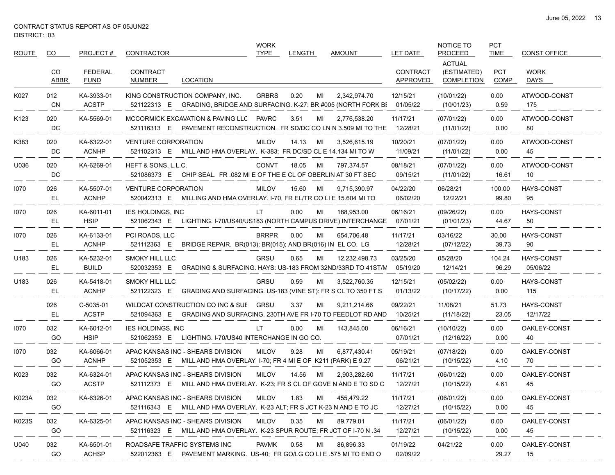| <b>ROUTE</b>     | CO          | PROJECT#                      | <b>CONTRACTOR</b>                                                                                                   | <b>WORK</b><br><b>TYPE</b> | <b>LENGTH</b> | <b>AMOUNT</b> | <b>LET DATE</b>             | NOTICE TO<br><b>PROCEED</b>                       | <b>PCT</b><br><b>TIME</b> | <b>CONST OFFICE</b>           |
|------------------|-------------|-------------------------------|---------------------------------------------------------------------------------------------------------------------|----------------------------|---------------|---------------|-----------------------------|---------------------------------------------------|---------------------------|-------------------------------|
|                  | CO.<br>ABBR | <b>FEDERAL</b><br><b>FUND</b> | <b>CONTRACT</b><br><b>LOCATION</b><br>NUMBER                                                                        |                            |               |               | <b>CONTRACT</b><br>APPROVED | <b>ACTUAL</b><br>(ESTIMATED)<br><b>COMPLETION</b> | <b>PCT</b><br>COMP        | <b>WORK</b><br>DAYS           |
| K027             | 012<br>CN   | KA-3933-01<br><b>ACSTP</b>    | KING CONSTRUCTION COMPANY, INC.<br>521122313 E GRADING, BRIDGE AND SURFACING. K-27: BR #005 (NORTH FORK BI          | <b>GRBRS</b>               | 0.20<br>MI    | 2,342,974.70  | 12/15/21<br>01/05/22        | (10/01/22)<br>(10/01/23)                          | 0.00<br>0.59              | ATWOOD-CONST<br>175           |
| K <sub>123</sub> | 020<br>DC   | KA-5569-01                    | MCCORMICK EXCAVATION & PAVING LLC PAVRC<br>PAVEMENT RECONSTRUCTION. FR SD/DC CO LN N 3.509 MI TO THE<br>521116313 E |                            | 3.51<br>MI    | 2,776,538.20  | 11/17/21<br>12/28/21        | (07/01/22)<br>(11/01/22)                          | 0.00<br>0.00              | ATWOOD-CONST<br>80            |
| K383             | 020<br>DC   | KA-6322-01<br><b>ACNHP</b>    | <b>VENTURE CORPORATION</b><br>521102313 E<br>MILL AND HMA OVERLAY. K-383; FR DC/SD CL E 14.134 MI TO W              | <b>MILOV</b>               | 14.13<br>MI   | 3.526.615.19  | 10/20/21<br>11/09/21        | (07/01/22)<br>(11/01/22)                          | 0.00<br>0.00              | ATWOOD-CONST<br>45            |
| U036             | 020<br>DC   | KA-6269-01                    | HEFT & SONS, L.L.C.<br>521086373 E<br>CHIP SEAL. FR .082 MI E OF THE E CL OF OBERLIN AT 30 FT SEC                   | <b>CONVT</b>               | 18.05<br>MI   | 797,374.57    | 08/18/21<br>09/15/21        | (07/01/22)<br>(11/01/22)                          | 0.00<br>16.61             | ATWOOD-CONST<br>10            |
| 1070             | 026<br>EL.  | KA-5507-01<br><b>ACNHP</b>    | <b>VENTURE CORPORATION</b><br>520042313 E<br>MILLING AND HMA OVERLAY. I-70, FR EL/TR CO LI E 15.604 MI TO           | <b>MILOV</b>               | 15.60<br>MI   | 9,715,390.97  | 04/22/20<br>06/02/20        | 06/28/21<br>12/22/21                              | 100.00<br>99.80           | <b>HAYS-CONST</b><br>95       |
| 1070             | 026<br>EL,  | KA-6011-01<br><b>HSIP</b>     | <b>IES HOLDINGS, INC</b><br>LIGHTING. I-70/US40/US183 (NORTH CAMPUS DRIVE) INTERCHANGE<br>521062343 E               | LT.                        | 0.00<br>MI    | 188,953.00    | 06/16/21<br>07/01/21        | (09/26/22)<br>(01/01/23)                          | 0.00<br>44.67             | <b>HAYS-CONST</b><br>50       |
| 1070             | 026<br>EL   | KA-6133-01<br><b>ACNHP</b>    | PCI ROADS, LLC<br>521112363 E<br>BRIDGE REPAIR. BR(013); BR(015); AND BR(016) IN EL CO. LG                          | <b>BRRPR</b>               | 0.00<br>MI    | 654.706.48    | 11/17/21<br>12/28/21        | 03/16/22<br>(07/12/22)                            | 30.00<br>39.73            | <b>HAYS-CONST</b><br>90       |
| U183             | 026<br>EL.  | KA-5232-01<br><b>BUILD</b>    | <b>SMOKY HILL LLC</b><br>GRADING & SURFACING. HAYS: US-183 FROM 32ND/33RD TO 41ST/N<br>520032353 E                  | <b>GRSU</b>                | 0.65<br>MI    | 12,232,498.73 | 03/25/20<br>05/19/20        | 05/28/20<br>12/14/21                              | 104.24<br>96.29           | <b>HAYS-CONST</b><br>05/06/22 |
| U183             | 026<br>EL.  | KA-5418-01<br><b>ACNHP</b>    | <b>SMOKY HILL LLC</b><br>521122323 E<br>GRADING AND SURFACING. US-183 (VINE ST): FR S CL TO 350 FT S                | GRSU                       | 0.59<br>MI    | 3,522,760.35  | 12/15/21<br>01/13/22        | (05/02/22)<br>(10/17/22)                          | 0.00<br>0.00              | <b>HAYS-CONST</b><br>115      |
|                  | 026<br>EL   | C-5035-01<br><b>ACSTP</b>     | WILDCAT CONSTRUCTION CO INC & SUE GRSU<br>521094363 E<br>GRADING AND SURFACING. 230TH AVE FR I-70 TO FEEDLOT RD AND |                            | 3.37<br>MI    | 9,211,214.66  | 09/22/21<br>10/25/21        | 11/08/21<br>(11/18/22)                            | 51.73<br>23.05            | <b>HAYS-CONST</b><br>12/17/22 |
| 1070             | 032<br>GO   | KA-6012-01<br><b>HSIP</b>     | <b>IES HOLDINGS, INC</b><br>521062353 E<br>LIGHTING. I-70/US40 INTERCHANGE IN GO CO.                                | LT.                        | 0.00<br>MI    | 143,845.00    | 06/16/21<br>07/01/21        | (10/10/22)<br>(12/16/22)                          | 0.00<br>0.00              | OAKLEY-CONST<br>40            |
| 1070             | 032<br>GO   | KA-6066-01<br><b>ACNHP</b>    | APAC KANSAS INC - SHEARS DIVISION<br>521052353 E<br>MILL AND HMA OVERLAY 1-70; FR 4 MI E OF K211 (PARK) E 9.27      | <b>MILOV</b>               | 9.28<br>MI    | 6,877,430.41  | 05/19/21<br>06/21/21        | (07/18/22)<br>(10/15/22)                          | 0.00<br>4.10              | OAKLEY-CONST<br>70            |
| K023             | 032<br>GO   | KA-6324-01<br><b>ACSTP</b>    | APAC KANSAS INC - SHEARS DIVISION<br>521112373 E MILL AND HMA OVERLAY. K-23; FR S CL OF GOVE N AND E TO SD C        | <b>MILOV</b>               | 14.56<br>MI   | 2,903,282.60  | 11/17/21<br>12/27/21        | (06/01/22)<br>(10/15/22)                          | 0.00<br>4.61              | OAKLEY-CONST<br>45            |
| K023A            | 032<br>GO   | KA-6326-01                    | APAC KANSAS INC - SHEARS DIVISION<br>521116343 E MILL AND HMA OVERLAY. K-23 ALT; FR S JCT K-23 N AND E TO JC        | MILOV                      | 1.83          | MI 455,479.22 | 11/17/21<br>12/27/21        | (06/01/22)<br>(10/15/22)                          | 0.00<br>0.00              | OAKLEY-CONST<br>45            |
| K023S            | 032<br>GO.  | KA-6325-01                    | APAC KANSAS INC - SHEARS DIVISION<br>521116323 E MILL AND HMA OVERLAY. K-23 SPUR ROUTE; FR JCT OF I-70 N .34        | MILOV                      | 0.35<br>MILL  | 89,779.01     | 11/17/21<br>12/27/21        | (06/01/22)<br>(10/15/22)                          | 0.00<br>0.00              | OAKLEY-CONST<br>45            |
| U040             | 032<br>GO   | KA-6501-01<br><b>ACHSP</b>    | ROADSAFE TRAFFIC SYSTEMS INC<br>522012363 E PAVEMENT MARKING. US-40; FR GO/LG CO LI E .575 MI TO END O              | PAVMK                      | 0.58<br>MI    | 86,896.33     | 01/19/22<br>02/09/22        | 04/21/22                                          | 0.00<br>29.27             | OAKLEY-CONST<br>15            |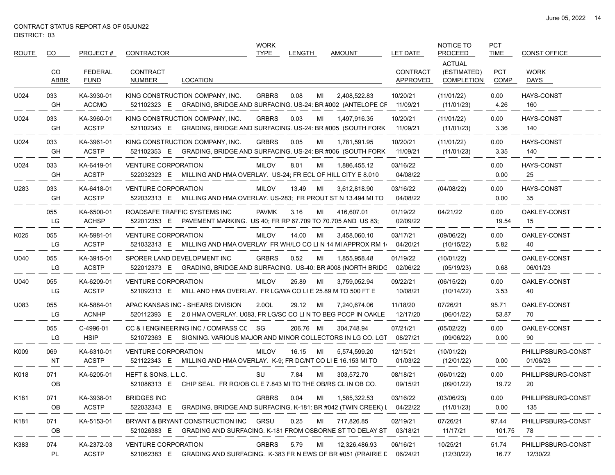| <b>ROUTE</b>     | CO         | PROJECT#                      | <b>CONTRACTOR</b>                                                                                                  | <b>WORK</b><br><b>TYPE</b> | <b>LENGTH</b> | <b>AMOUNT</b> | <b>LET DATE</b>             | NOTICE TO<br><b>PROCEED</b>                       | <b>PCT</b><br><b>TIME</b> | <b>CONST OFFICE</b>            |
|------------------|------------|-------------------------------|--------------------------------------------------------------------------------------------------------------------|----------------------------|---------------|---------------|-----------------------------|---------------------------------------------------|---------------------------|--------------------------------|
|                  | CO<br>ABBR | <b>FEDERAL</b><br><b>FUND</b> | <b>CONTRACT</b><br><b>LOCATION</b><br>NUMBER                                                                       |                            |               |               | <b>CONTRACT</b><br>APPROVED | <b>ACTUAL</b><br>(ESTIMATED)<br><b>COMPLETION</b> | <b>PCT</b><br>COMP        | <b>WORK</b><br>DAYS            |
| U024             | 033<br>GH  | KA-3930-01<br><b>ACCMQ</b>    | KING CONSTRUCTION COMPANY, INC.<br>521102323 E GRADING, BRIDGE AND SURFACING. US-24: BR #002 (ANTELOPE CF          | <b>GRBRS</b>               | 0.08<br>MI    | 2,408,522.83  | 10/20/21<br>11/09/21        | (11/01/22)<br>(11/01/23)                          | 0.00<br>4.26              | <b>HAYS-CONST</b><br>160       |
| U024             | 033<br>GH  | KA-3960-01<br><b>ACSTP</b>    | KING CONSTRUCTION COMPANY, INC.<br>521102343 E<br>GRADING, BRIDGE AND SURFACING. US-24: BR #005 (SOUTH FORK        | <b>GRBRS</b>               | 0.03<br>MI    | 1,497,916.35  | 10/20/21<br>11/09/21        | (11/01/22)<br>(11/01/23)                          | 0.00<br>3.36              | <b>HAYS-CONST</b><br>140       |
| U024             | 033<br>GH  | KA-3961-01<br><b>ACSTP</b>    | KING CONSTRUCTION COMPANY, INC.<br>521102353 E GRADING, BRIDGE AND SURFACING. US-24: BR #006 (SOUTH FORK)          | <b>GRBRS</b>               | 0.05<br>MI    | 1,781,591.95  | 10/20/21<br>11/09/21        | (11/01/22)<br>(11/01/23)                          | 0.00<br>3.35              | <b>HAYS-CONST</b><br>140       |
| U024             | 033<br>GH  | KA-6419-01<br><b>ACSTP</b>    | <b>VENTURE CORPORATION</b><br>522032323 E<br>MILLING AND HMA OVERLAY. US-24; FR ECL OF HILL CITY E 8.010           | <b>MILOV</b>               | 8.01<br>MI    | 1,886,455.12  | 03/16/22<br>04/08/22        |                                                   | 0.00<br>0.00              | <b>HAYS-CONST</b><br>25        |
| U283             | 033<br>GH  | KA-6418-01<br><b>ACSTP</b>    | <b>VENTURE CORPORATION</b><br>522032313 E<br>MILLING AND HMA OVERLAY. US-283: FR PROUT ST N 13.494 MI TO           | <b>MILOV</b>               | 13.49<br>MI   | 3,612,818.90  | 03/16/22<br>04/08/22        | (04/08/22)                                        | 0.00<br>0.00              | <b>HAYS-CONST</b><br>35        |
|                  | 055<br>LG  | KA-6500-01<br><b>ACHSP</b>    | ROADSAFE TRAFFIC SYSTEMS INC<br>PAVEMENT MARKING. US 40; FR RP 67.709 TO 70.705 AND US 83;<br>522012353 E          | <b>PAVMK</b>               | 3.16<br>MI    | 416,607.01    | 01/19/22<br>02/09/22        | 04/21/22                                          | 0.00<br>19.54             | OAKLEY-CONST<br>15             |
| K025             | 055<br>LG  | KA-5981-01<br><b>ACSTP</b>    | <b>VENTURE CORPORATION</b><br>521032313 E<br>MILLING AND HMA OVERLAY FR WH/LO CO LI N 14 MI APPROX RM 1.           | <b>MILOV</b>               | 14.00<br>MI   | 3,458,060.10  | 03/17/21<br>04/20/21        | (09/06/22)<br>(10/15/22)                          | 0.00<br>5.82              | OAKLEY-CONST<br>40             |
| U040             | 055<br>LG  | KA-3915-01<br><b>ACSTP</b>    | SPORER LAND DEVELOPMENT INC<br>522012373 E<br>GRADING, BRIDGE AND SURFACING. US-40: BR #008 (NORTH BRIDG           | <b>GRBRS</b>               | 0.52<br>MI    | 1,855,958.48  | 01/19/22<br>02/06/22        | (10/01/22)<br>(05/19/23)                          | 0.68                      | OAKLEY-CONST<br>06/01/23       |
| U040             | 055<br>LG  | KA-6209-01<br><b>ACSTP</b>    | <b>VENTURE CORPORATION</b><br>MILL AND HMA OVERLAY. FR LG/WA CO LI E 25.89 M TO 500 FT E<br>521092313 E            | <b>MILOV</b>               | 25.89<br>MI   | 3,759,052.94  | 09/22/21<br>10/08/21        | (06/15/22)<br>(10/14/22)                          | 0.00<br>3.53              | OAKLEY-CONST<br>40             |
| U083             | 055<br>LG  | KA-5884-01<br><b>ACNHP</b>    | APAC KANSAS INC - SHEARS DIVISION<br>2.0 HMA OVERLAY. U083, FR LG/SC CO LI N TO BEG PCCP IN OAKLE<br>520112393 E   | 2.0OL                      | 29.12<br>MI   | 7,240,674.06  | 11/18/20<br>12/17/20        | 07/26/21<br>(06/01/22)                            | 95.71<br>53.87            | OAKLEY-CONST<br>70             |
|                  | 055<br>LG  | C-4996-01<br><b>HSIP</b>      | CC & I ENGINEERING INC / COMPASS CC SG<br>SIGNING. VARIOUS MAJOR AND MINOR COLLECTORS IN LG CO. LGT<br>521072363 E |                            | 206.76 MI     | 304,748.94    | 07/21/21<br>08/27/21        | (05/02/22)<br>(09/06/22)                          | 0.00<br>0.00              | OAKLEY-CONST<br>90             |
| K009             | 069<br>NT  | KA-6310-01<br><b>ACSTP</b>    | <b>VENTURE CORPORATION</b><br>521122343 E<br>MILLING AND HMA OVERLAY. K-9; FR DC/NT CO LI E 16.153 MI TO           | <b>MILOV</b>               | 16.15<br>MI   | 5.574.599.20  | 12/15/21<br>01/03/22        | (10/01/22)<br>(12/01/22)                          | 0.00                      | PHILLIPSBURG-CONST<br>01/06/23 |
| K018             | 071<br>OB  | KA-6205-01                    | HEFT & SONS, L.L.C.<br>521086313 E CHIP SEAL. FR RO/OB CL E 7.843 MI TO THE OB/RS CL IN OB CO.                     | SU                         | 7.84<br>MI    | 303,572.70    | 08/18/21<br>09/15/21        | (06/01/22)<br>(09/01/22)                          | 0.00<br>19.72             | PHILLIPSBURG-CONST<br>20       |
| K <sub>181</sub> | 071<br>OB  | KA-3938-01<br><b>ACSTP</b>    | <b>BRIDGES INC</b><br>522032343 E GRADING, BRIDGE AND SURFACING. K-181: BR #042 (TWIN CREEK) L                     | <b>GRBRS</b>               | 0.04<br>MI    | 1,585,322.53  | 03/16/22<br>04/22/22        | (03/06/23)<br>(11/01/23)                          | 0.00<br>0.00              | PHILLIPSBURG-CONST<br>135      |
| K181             | 071<br>OB  | KA-5153-01                    | BRYANT & BRYANT CONSTRUCTION INC GRSU<br>GRADING AND SURFACING. K-181 FROM OSBORNE ST TO DELAY ST<br>521026383 E   |                            | 0.25<br>MI    | 717,826.85    | 02/19/21<br>03/18/21        | 07/26/21<br>11/17/21                              | 97.44<br>101.75           | PHILLIPSBURG-CONST<br>78       |
| K383             | 074<br>PL  | KA-2372-03<br><b>ACSTP</b>    | <b>VENTURE CORPORATION</b><br>521062383 E GRADING AND SURFACING. K-383 FR N EWS OF BR #051 (PRAIRIE L              | <b>GRBRS</b>               | 5.79<br>MI    | 12,326,486.93 | 06/16/21<br>06/24/21        | 10/25/21<br>(12/30/22)                            | 51.74<br>16.77            | PHILLIPSBURG-CONST<br>12/30/22 |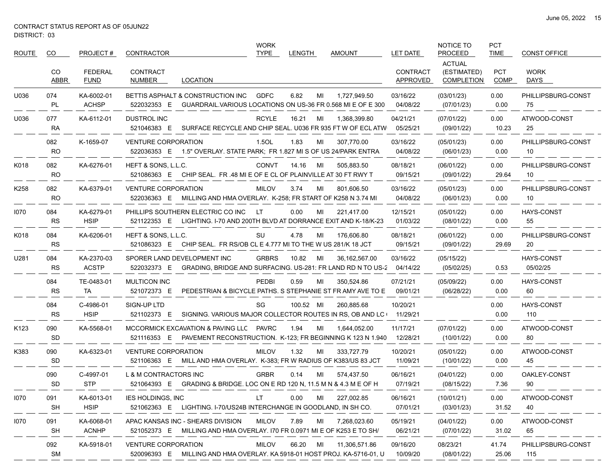$\qquad \qquad -$ 

| ROUTE | CO.              | PROJECT#                      | CONTRACTOR                        |                                                                                                                      | <b>WORK</b><br>TYPE | <b>LENGTH</b> |    | <b>AMOUNT</b>   | <b>LET DATE</b>             | NOTICE TO<br><b>PROCEED</b>                       | <b>PCT</b><br><b>TIME</b> | <b>CONST OFFICE</b>           |
|-------|------------------|-------------------------------|-----------------------------------|----------------------------------------------------------------------------------------------------------------------|---------------------|---------------|----|-----------------|-----------------------------|---------------------------------------------------|---------------------------|-------------------------------|
|       | CO<br>ABBR       | <b>FEDERAL</b><br><b>FUND</b> | CONTRACT<br>NUMBER                | LOCATION                                                                                                             |                     |               |    |                 | <b>CONTRACT</b><br>APPROVED | <b>ACTUAL</b><br>(ESTIMATED)<br><b>COMPLETION</b> | <b>PCT</b><br>COMP        | <b>WORK</b><br>DAYS           |
| U036  | 074<br>PL        | KA-6002-01<br><b>ACHSP</b>    | 522032353 E                       | BETTIS ASPHALT & CONSTRUCTION INC<br>GUARDRAIL.VARIOUS LOCATIONS ON US-36 FR 0.568 MI E OF E 300                     | <b>GDFC</b>         | 6.82          | МI | 1.727.949.50    | 03/16/22<br>04/08/22        | (03/01/23)<br>(07/01/23)                          | 0.00<br>0.00              | PHILLIPSBURG-CONST<br>75      |
| U036  | 077<br>RA        | KA-6112-01                    | <b>DUSTROL INC</b><br>521046383 E | SURFACE RECYCLE AND CHIP SEAL, U036 FR 935 FT W OF ECL ATW                                                           | <b>RCYLE</b>        | 16.21         | MI | 1,368,399.80    | 04/21/21<br>05/25/21        | (07/01/22)<br>(09/01/22)                          | 0.00<br>10.23             | ATWOOD-CONST<br>25            |
|       | 082<br><b>RO</b> | K-1659-07                     | <b>VENTURE CORPORATION</b>        | 522036353 E 1.5" OVERLAY. STATE PARK; FR 1.827 MI S OF US 24/PARK ENTRA                                              | 1.5OL               | 1.83          | MI | 307.770.00      | 03/16/22<br>04/08/22        | (05/01/23)<br>(06/01/23)                          | 0.00<br>0.00              | PHILLIPSBURG-CONST<br>10      |
| K018  | 082<br><b>RO</b> | KA-6276-01                    | HEFT & SONS, L.L.C.               | 521086363 E CHIP SEAL. FR.48 MI E OF E CL OF PLAINVILLE AT 30 FT RWY T                                               | <b>CONVT</b>        | 14.16         | MI | 505,883.50      | 08/18/21<br>09/15/21        | (06/01/22)<br>(09/01/22)                          | 0.00<br>29.64             | PHILLIPSBURG-CONST<br>10      |
| K258  | 082<br><b>RO</b> | KA-6379-01                    | <b>VENTURE CORPORATION</b>        | 522036363 E MILLING AND HMA OVERLAY. K-258; FR START OF K258 N 3.74 MI                                               | <b>MILOV</b>        | 3.74          | MI | 801,606.50      | 03/16/22<br>04/08/22        | (05/01/23)<br>(06/01/23)                          | 0.00<br>0.00              | PHILLIPSBURG-CONST<br>10      |
| 1070  | 084<br>RS        | KA-6279-01<br><b>HSIP</b>     |                                   | PHILLIPS SOUTHERN ELECTRIC CO INC<br>521122353 E LIGHTING. I-70 AND 200TH BLVD AT DORRANCE EXIT AND K-18/K-23        | LT.                 | 0.00          | MI | 221,417.00      | 12/15/21<br>01/03/22        | (05/01/22)<br>(08/01/22)                          | 0.00<br>0.00              | <b>HAYS-CONST</b><br>55       |
| K018  | 084<br>RS        | KA-6206-01                    | HEFT & SONS, L.L.C.               | 521086323 E CHIP SEAL. FR RS/OB CL E 4.777 MI TO THE W US 281/K 18 JCT                                               | SU                  | 4.78          | MI | 176,606.80      | 08/18/21<br>09/15/21        | (06/01/22)<br>(09/01/22)                          | 0.00<br>29.69             | PHILLIPSBURG-CONST<br>20      |
| U281  | 084<br>RS        | KA-2370-03<br><b>ACSTP</b>    |                                   | SPORER LAND DEVELOPMENT INC<br>522032373 E GRADING, BRIDGE AND SURFACING. US-281: FR LAND RD N TO US-2               | <b>GRBRS</b>        | 10.82         | MI | 36, 162, 567.00 | 03/16/22<br>04/14/22        | (05/15/22)<br>(05/02/25)                          | 0.53                      | <b>HAYS-CONST</b><br>05/02/25 |
|       | 084<br><b>RS</b> | TE-0483-01<br>TA              | MULTICON INC<br>521072373 E       | PEDESTRIAN & BICYCLE PATHS. S STEPHANIE ST FR AMY AVE TO E                                                           | <b>PEDBI</b>        | 0.59          | МI | 350,524.86      | 07/21/21<br>09/01/21        | (05/09/22)<br>(06/28/22)                          | 0.00<br>0.00              | HAYS-CONST<br>60              |
|       | 084<br><b>RS</b> | C-4986-01<br><b>HSIP</b>      | SIGN-UP LTD<br>521102373 E        | SIGNING. VARIOUS MAJOR COLLECTOR ROUTES IN RS, OB AND LC+                                                            | SG                  | 100.52 MI     |    | 260,885.68      | 10/20/21<br>11/29/21        |                                                   | 0.00<br>0.00              | <b>HAYS-CONST</b><br>110      |
| K123  | 090<br><b>SD</b> | KA-5568-01                    |                                   | MCCORMICK EXCAVATION & PAVING LLC<br>521116353 E PAVEMENT RECONSTRUCTION. K-123; FR BEGINNING K 123 N 1.940 12/28/21 | <b>PAVRC</b>        | 1.94          | MI | 1,644,052.00    | 11/17/21                    | (07/01/22)<br>(10/01/22)                          | 0.00<br>0.00              | ATWOOD-CONST<br>80            |
| K383  | 090<br><b>SD</b> | KA-6323-01                    | <b>VENTURE CORPORATION</b>        | 521106363 E MILL AND HMA OVERLAY. K-383; FR W RADIUS OF K383/US 83 JCT                                               | <b>MILOV</b>        | 1.32          | MI | 333,727.79      | 10/20/21<br>11/09/21        | (05/01/22)<br>(10/01/22)                          | 0.00<br>0.00              | ATWOOD-CONST<br>45            |
|       | 090<br>SD        | C-4997-01<br><b>STP</b>       | <b>L &amp; M CONTRACTORS INC</b>  | 521064393 E GRADING & BRIDGE. LOC ON E RD 120 N, 11.5 M N & 4.3 M E OF H                                             | <b>GRBR</b>         | 0.14          | MI | 574,437.50      | 06/16/21<br>07/19/21        | (04/01/22)<br>(08/15/22)                          | 0.00<br>7.36              | OAKLEY-CONST<br>90            |
| 1070  | 091<br><b>SH</b> | KA-6013-01<br><b>HSIP</b>     | IES HOLDINGS, INC                 | 521062363 E LIGHTING. I-70/US24B INTERCHANGE IN GOODLAND, IN SH CO.                                                  | LT                  | 0.00          | MI | 227,002.85      | 06/16/21<br>07/01/21        | (10/01/21)<br>(03/01/23)                          | 0.00<br>31.52             | ATWOOD-CONST<br>40            |
| 1070  | 091<br><b>SH</b> | KA-6068-01<br><b>ACNHP</b>    |                                   | APAC KANSAS INC - SHEARS DIVISION<br>521052373 E MILLING AND HMA OVERLAY. 170 FR 0.0971 MI E OF K253 E TO SH/        | <b>MILOV</b>        | 7.89          | MI | 7,268,023.60    | 05/19/21<br>06/21/21        | (04/01/22)<br>(07/01/22)                          | 0.00<br>31.02             | ATWOOD-CONST<br>65            |
|       | 092<br>SM        | KA-5918-01                    | <b>VENTURE CORPORATION</b>        | 520096393 E MILLING AND HMA OVERLAY. KA 5918-01 HOST PROJ. KA-5716-01, U                                             | <b>MILOV</b>        | 66.20         | MI | 11,306,571.86   | 09/16/20<br>10/09/20        | 08/23/21<br>(08/01/22)                            | 41.74<br>25.06            | PHILLIPSBURG-CONST<br>115     |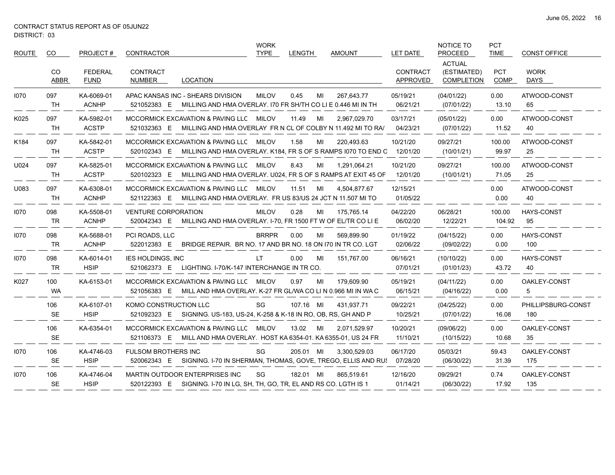| <b>ROUTE</b> | CO                 | PROJECT#                      | CONTRACTOR                                                                                                          | <b>WORK</b><br><b>TYPE</b>                                                  | LENGTH      | <b>AMOUNT</b> | LET DATE                    | <b>NOTICE TO</b><br>PROCEED                       | <b>PCT</b><br><b>TIME</b> | <b>CONST OFFICE</b>        |
|--------------|--------------------|-------------------------------|---------------------------------------------------------------------------------------------------------------------|-----------------------------------------------------------------------------|-------------|---------------|-----------------------------|---------------------------------------------------|---------------------------|----------------------------|
|              | CO.<br><b>ABBR</b> | <b>FEDERAL</b><br><b>FUND</b> | CONTRACT<br><b>LOCATION</b><br>NUMBER                                                                               |                                                                             |             |               | <b>CONTRACT</b><br>APPROVED | <b>ACTUAL</b><br>(ESTIMATED)<br><b>COMPLETION</b> | <b>PCT</b><br><b>COMP</b> | <b>WORK</b><br><b>DAYS</b> |
| 1070         | 097<br>TH          | KA-6069-01<br><b>ACNHP</b>    | APAC KANSAS INC - SHEARS DIVISION<br>521052383 E MILLING AND HMA OVERLAY. 170 FR SH/TH CO LI E 0.446 MI IN TH       | <b>MILOV</b>                                                                | 0.45<br>MI  | 267,643.77    | 05/19/21<br>06/21/21        | (04/01/22)<br>(07/01/22)                          | 0.00<br>13.10             | ATWOOD-CONST<br>65         |
| K025         | 097<br>TH          | KA-5982-01<br><b>ACSTP</b>    | MCCORMICK EXCAVATION & PAVING LLC MILOV<br>521032363 E MILLING AND HMA OVERLAY FR N CL OF COLBY N 11.492 MI TO RA   |                                                                             | 11.49<br>MI | 2,967,029.70  | 03/17/21<br>04/23/21        | (05/01/22)<br>(07/01/22)                          | 0.00<br>11.52             | ATWOOD-CONST<br>40         |
| K184         | 097<br><b>TH</b>   | KA-5842-01<br><b>ACSTP</b>    | MCCORMICK EXCAVATION & PAVING LLC MILOV<br>520102343 E MILLING AND HMA OVERLAY. K184, FR S OF S RAMPS 1070 TO END C |                                                                             | 1.58<br>MI  | 220,493.63    | 10/21/20<br>12/01/20        | 09/27/21<br>(10/01/21)                            | 100.00<br>99.97           | ATWOOD-CONST<br>25         |
| U024         | 097<br>TH          | KA-5825-01<br><b>ACSTP</b>    | MCCORMICK EXCAVATION & PAVING LLC MILOV<br>520102323 E MILLING AND HMA OVERLAY. U024, FR S OF S RAMPS AT EXIT 45 OF |                                                                             | 8.43<br>MI  | 1,291,064.21  | 10/21/20<br>12/01/20        | 09/27/21<br>(10/01/21)                            | 100.00<br>71.05           | ATWOOD-CONST<br>25         |
| U083         | 097<br>TH          | KA-6308-01<br><b>ACNHP</b>    | MCCORMICK EXCAVATION & PAVING LLC MILOV<br>521122363 E MILLING AND HMA OVERLAY. FR US 83/US 24 JCT N 11.507 MI TO   |                                                                             | 11.51<br>MI | 4,504,877.67  | 12/15/21<br>01/05/22        |                                                   | 0.00<br>0.00              | ATWOOD-CONST<br>40         |
| 1070         | 098<br><b>TR</b>   | KA-5508-01<br><b>ACNHP</b>    | <b>VENTURE CORPORATION</b><br>520042343 E MILLING AND HMA OVERLAY. I-70, FR 1500 FT W OF EL/TR CO LI E              | <b>MILOV</b>                                                                | 0.28<br>MI  | 175,765.14    | 04/22/20<br>06/02/20        | 06/28/21<br>12/22/21                              | 100.00<br>104.92          | <b>HAYS-CONST</b><br>95    |
| 1070         | 098<br><b>TR</b>   | KA-5688-01<br><b>ACNHP</b>    | PCI ROADS, LLC<br>522012383 E                                                                                       | <b>BRRPR</b><br>BRIDGE REPAIR. BR NO. 17 AND BR NO. 18 ON I70 IN TR CO. LGT | 0.00<br>MI  | 569,899.90    | 01/19/22<br>02/06/22        | (04/15/22)<br>(09/02/22)                          | 0.00<br>0.00              | HAYS-CONST<br>100          |
| 1070         | 098<br>TR          | KA-6014-01<br><b>HSIP</b>     | <b>IES HOLDINGS, INC</b><br>521062373 E LIGHTING. I-70/K-147 INTERCHANGE IN TR CO.                                  | LT.                                                                         | 0.00<br>MI  | 151,767.00    | 06/16/21<br>07/01/21        | (10/10/22)<br>(01/01/23)                          | 0.00<br>43.72             | <b>HAYS-CONST</b><br>40    |
| K027         | 100<br>WA          | KA-6153-01                    | MCCORMICK EXCAVATION & PAVING LLC MILOV<br>521056383 E MILL AND HMA OVERLAY. K-27 FR GL/WA CO LI N 0.966 MI IN WA C |                                                                             | 0.97<br>MI  | 179,609.90    | 05/19/21<br>06/15/21        | (04/11/22)<br>(04/16/22)                          | 0.00<br>0.00              | OAKLEY-CONST<br>5          |
|              | 106<br><b>SE</b>   | KA-6107-01<br><b>HSIP</b>     | KOMO CONSTRUCTION LLC<br>521092323 E SIGNING, US-183, US-24, K-258 & K-18 IN RO, OB, RS, GH AND P                   | SG                                                                          | 107.16 MI   | 431.937.71    | 09/22/21<br>10/25/21        | (04/25/22)<br>(07/01/22)                          | 0.00<br>16.08             | PHILLIPSBURG-CONST<br>180  |
|              | 106<br><b>SE</b>   | KA-6354-01                    | MCCORMICK EXCAVATION & PAVING LLC MILOV<br>521106373 E MILL AND HMA OVERLAY. HOST KA 6354-01. KA 6355-01, US 24 FR  |                                                                             | 13.02<br>MI | 2,071,529.97  | 10/20/21<br>11/10/21        | (09/06/22)<br>(10/15/22)                          | 0.00<br>10.68             | OAKLEY-CONST<br>35         |
| 1070         | 106<br><b>SE</b>   | KA-4746-03<br><b>HSIP</b>     | <b>FULSOM BROTHERS INC</b><br>520062343 E SIGNING. I-70 IN SHERMAN, THOMAS, GOVE, TREGO, ELLIS AND RUS              | SG                                                                          | 205.01 MI   | 3,300,529.03  | 06/17/20<br>07/28/20        | 05/03/21<br>(06/30/22)                            | 59.43<br>31.39            | OAKLEY-CONST<br>175        |
| 1070         | 106<br><b>SE</b>   | KA-4746-04<br><b>HSIP</b>     | <b>MARTIN OUTDOOR ENTERPRISES INC</b><br>520122393 E SIGNING. I-70 IN LG, SH, TH, GO, TR, EL AND RS CO. LGTH IS 1   | SG                                                                          | 182.01 MI   | 865,519.61    | 12/16/20<br>01/14/21        | 09/29/21<br>(06/30/22)                            | 0.74<br>17.92             | OAKLEY-CONST<br>135        |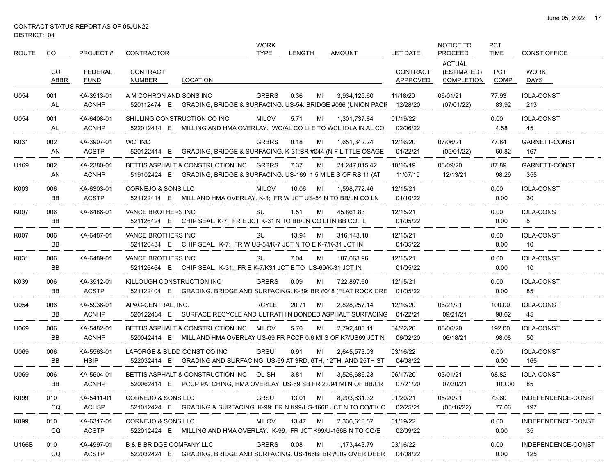$\overbrace{\hspace{25mm}}^{}$ 

| ROUTE | CO.              | PROJECT#                      | CONTRACTOR                          |                                                                                                               | <b>WORK</b><br><b>TYPE</b> | <b>LENGTH</b> |    | <b>AMOUNT</b> | LET DATE                    | <b>NOTICE TO</b><br><b>PROCEED</b>         | <b>PCT</b><br><b>TIME</b> | <b>CONST OFFICE</b>       |
|-------|------------------|-------------------------------|-------------------------------------|---------------------------------------------------------------------------------------------------------------|----------------------------|---------------|----|---------------|-----------------------------|--------------------------------------------|---------------------------|---------------------------|
|       | CO<br>ABBR       | <b>FEDERAL</b><br><b>FUND</b> | <b>CONTRACT</b><br>NUMBER           | LOCATION                                                                                                      |                            |               |    |               | <b>CONTRACT</b><br>APPROVED | <b>ACTUAL</b><br>(ESTIMATED)<br>COMPLETION | <b>PCT</b><br><b>COMP</b> | <b>WORK</b><br>DAYS       |
| U054  | 001<br>AL        | KA-3913-01<br><b>ACNHP</b>    | A M COHRON AND SONS INC             | 520112474 E GRADING, BRIDGE & SURFACING. US-54: BRIDGE #066 (UNION PACIF 12/28/20                             | <b>GRBRS</b>               | 0.36          | MI | 3.934.125.60  | 11/18/20                    | 06/01/21<br>(07/01/22)                     | 77.93<br>83.92            | <b>IOLA-CONST</b><br>213  |
| U054  | 001<br>AL        | KA-6408-01<br><b>ACNHP</b>    |                                     | SHILLING CONSTRUCTION CO INC<br>522012414 E MILLING AND HMA OVERLAY. WO/AL CO LI E TO WCL IOLA IN AL CO       | <b>MILOV</b>               | 5.71          | MI | 1,301,737.84  | 01/19/22<br>02/06/22        |                                            | 0.00<br>4.58              | <b>IOLA-CONST</b><br>45   |
| K031  | 002<br>AN        | KA-3907-01<br><b>ACSTP</b>    | <b>WCI INC</b><br>520122414 E       | GRADING, BRIDGE & SURFACING. K-31:BR #044 (N F LITTLE OSAGE                                                   | <b>GRBRS</b>               | 0.18          | MI | 1,651,342.24  | 12/16/20<br>01/22/21        | 07/06/21<br>(05/01/22)                     | 77.84<br>60.82            | GARNETT-CONST<br>167      |
| U169  | 002<br>AN        | KA-2380-01<br><b>ACNHP</b>    |                                     | BETTIS ASPHALT & CONSTRUCTION INC<br>519102424 E GRADING, BRIDGE & SURFACING. US-169: 1.5 MILE S OF RS 11 (AT | <b>GRBRS</b>               | 7.37          | ML | 21,247,015.42 | 10/16/19<br>11/07/19        | 03/09/20<br>12/13/21                       | 87.89<br>98.29            | GARNETT-CONST<br>355      |
| K003  | 006<br><b>BB</b> | KA-6303-01<br><b>ACSTP</b>    | CORNEJO & SONS LLC                  | 521122414 E MILL AND HMA OVERLAY. K-3; FR W JCT US-54 N TO BB/LN CO LN                                        | <b>MILOV</b>               | 10.06         | MI | 1,598,772.46  | 12/15/21<br>01/10/22        |                                            | 0.00<br>0.00              | <b>IOLA-CONST</b><br>30   |
| K007  | 006<br><b>BB</b> | KA-6486-01                    | VANCE BROTHERS INC                  | 521126424 E CHIP SEAL. K-7; FR E JCT K-31 N TO BB/LN CO LI IN BB CO. L                                        | SU                         | 1.51          | MI | 45,861.83     | 12/15/21<br>01/05/22        |                                            | 0.00<br>0.00              | <b>IOLA-CONST</b><br>5    |
| K007  | 006<br>BB        | KA-6487-01                    | <b>VANCE BROTHERS INC</b>           | 521126434 E CHIP SEAL. K-7; FR W US-54/K-7 JCT N TO E K-7/K-31 JCT IN                                         | SU                         | 13.94         | MI | 316,143.10    | 12/15/21<br>01/05/22        |                                            | 0.00<br>0.00              | <b>IOLA-CONST</b><br>10   |
| K031  | 006<br>BB        | KA-6489-01                    | VANCE BROTHERS INC                  | 521126464 E CHIP SEAL. K-31; FR E K-7/K31 JCT E TO US-69/K-31 JCT IN                                          | SU                         | 7.04          | MI | 187,063.96    | 12/15/21<br>01/05/22        |                                            | 0.00<br>0.00              | <b>IOLA-CONST</b><br>10   |
| K039  | 006<br>BB        | KA-3912-01<br><b>ACSTP</b>    | KILLOUGH CONSTRUCTION INC           | 521122404 E GRADING, BRIDGE AND SURFACING. K-39: BR #048 (FLAT ROCK CRE                                       | <b>GRBRS</b>               | 0.09          | MI | 722,897.60    | 12/15/21<br>01/05/22        |                                            | 0.00<br>0.00              | <b>IOLA-CONST</b><br>85   |
| U054  | 006<br>BB        | KA-5936-01<br><b>ACNHP</b>    | APAC-CENTRAL, INC.                  | 520122434 E SURFACE RECYCLE AND ULTRATHIN BONDED ASPHALT SURFACING                                            | <b>RCYLE</b>               | 20.71         | MI | 2,828,257.14  | 12/16/20<br>01/22/21        | 06/21/21<br>09/21/21                       | 100.00<br>98.62           | <b>IOLA-CONST</b><br>45   |
| U069  | 006<br><b>BB</b> | KA-5482-01<br><b>ACNHP</b>    |                                     | BETTIS ASPHALT & CONSTRUCTION INC<br>520042414 E MILL AND HMA OVERLAY US-69 FR PCCP 0.6 MI S OF K7/US69 JCT N | <b>MILOV</b>               | 5.70          | MI | 2,792,485.11  | 04/22/20<br>06/02/20        | 08/06/20<br>06/18/21                       | 192.00<br>98.08           | <b>IOLA-CONST</b><br>50   |
| U069  | 006<br>BB        | KA-5563-01<br><b>HSIP</b>     | LAFORGE & BUDD CONST CO INC         | 522032414 E GRADING AND SURFACING. US-69 AT 3RD, 6TH, 12TH, AND 25TH ST                                       | <b>GRSU</b>                | 0.91          | MI | 2,645,573.03  | 03/16/22<br>04/08/22        |                                            | 0.00<br>0.00              | <b>IOLA-CONST</b><br>165  |
| U069  | 006<br>BB        | KA-5604-01<br><b>ACNHP</b>    |                                     | BETTIS ASPHALT & CONSTRUCTION INC<br>520062414 E PCCP PATCHING, HMA OVERLAY. US-69 SB FR 2.094 MI N OF BB/CR  | OL-SH                      | 3.81          | MI | 3,526,686.23  | 06/17/20<br>07/21/20        | 03/01/21<br>07/20/21                       | 98.82<br>100.00           | <b>IOLA-CONST</b><br>85   |
| K099  | 010<br>CQ        | KA-5411-01<br><b>ACHSP</b>    | CORNEJO & SONS LLC                  | 521012424 E GRADING & SURFACING. K-99: FR N K99/US-166B JCT N TO CQ/EK C                                      | <b>GRSU</b>                | 13.01         | MI | 8,203,631.32  | 01/20/21<br>02/25/21        | 05/20/21<br>(05/16/22)                     | 73.60<br>77.06            | INDEPENDENCE-CONST<br>197 |
| K099  | 010<br>CQ        | KA-6317-01<br><b>ACSTP</b>    | CORNEJO & SONS LLC                  | 522012424 E MILLING AND HMA OVERLAY. K-99: FR JCT K99/U-166B N TO CQ/E                                        | <b>MILOV</b>               | 13.47 MI      |    | 2,336,618.57  | 01/19/22<br>02/09/22        |                                            | 0.00<br>0.00              | INDEPENDENCE-CONST<br>35  |
| U166B | 010<br>CQ        | KA-4997-01<br><b>ACSTP</b>    | <b>B &amp; B BRIDGE COMPANY LLC</b> | 522032424 E GRADING, BRIDGE AND SURFACING. US-166B: BR #009 OVER DEER                                         | <b>GRBRS</b>               | 0.08          | MI | 1,173,443.79  | 03/16/22<br>04/08/22        |                                            | 0.00<br>0.00              | INDEPENDENCE-CONST<br>125 |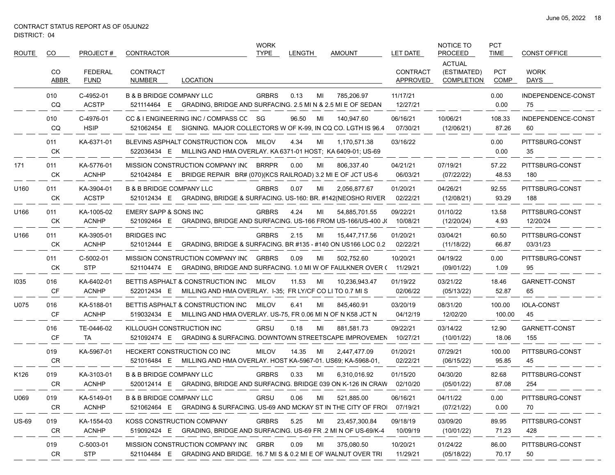$\sim$ 

| <b>ROUTE</b> | CO               | PROJECT#                      | CONTRACTOR                                                                                                             | <b>WORK</b><br><b>TYPE</b> | <b>LENGTH</b> | AMOUNT        | LET DATE                    | NOTICE TO<br><b>PROCEED</b>                       | <b>PCT</b><br><b>TIME</b> | <b>CONST OFFICE</b>         |
|--------------|------------------|-------------------------------|------------------------------------------------------------------------------------------------------------------------|----------------------------|---------------|---------------|-----------------------------|---------------------------------------------------|---------------------------|-----------------------------|
|              | CO<br>ABBR       | <b>FEDERAL</b><br><b>FUND</b> | <b>CONTRACT</b><br><b>LOCATION</b><br>NUMBER                                                                           |                            |               |               | <b>CONTRACT</b><br>APPROVED | <b>ACTUAL</b><br>(ESTIMATED)<br><b>COMPLETION</b> | <b>PCT</b><br><b>COMP</b> | <b>WORK</b><br>DAYS         |
|              | 010<br>CQ        | C-4952-01<br><b>ACSTP</b>     | <b>B &amp; B BRIDGE COMPANY LLC</b><br>521114464 E GRADING, BRIDGE AND SURFACING. 2.5 MI N & 2.5 MI E OF SEDAN         | <b>GRBRS</b>               | 0.13<br>MI    | 785.206.97    | 11/17/21<br>12/27/21        |                                                   | 0.00<br>0.00              | INDEPENDENCE-CONST<br>75    |
|              | 010<br>CQ        | C-4976-01<br><b>HSIP</b>      | CC & I ENGINEERING INC / COMPASS CC SG<br>521062454 E SIGNING. MAJOR COLLECTORS W OF K-99, IN CQ CO. LGTH IS 96.4      |                            | 96.50<br>MI   | 140,947.60    | 06/16/21<br>07/30/21        | 10/06/21<br>(12/06/21)                            | 108.33<br>87.26           | INDEPENDENCE-CONST<br>60    |
|              | 011<br>СK        | KA-6371-01                    | BLEVINS ASPHALT CONSTRUCTION CON MILOV<br>522036434 E<br>MILLING AND HMA OVERLAY. KA 6371-01 HOST: KA 6409-01, US-69   |                            | 4.34<br>MI    | 1,170,571.38  | 03/16/22                    |                                                   | 0.00<br>0.00              | PITTSBURG-CONST<br>35       |
| 171          | 011<br>СK        | KA-5776-01<br><b>ACNHP</b>    | MISSION CONSTRUCTION COMPANY INC BRRPR<br>521042484 E BRIDGE REPAIR BR# (070)(KCS RAILROAD) 3.2 MI E OF JCT US-6       |                            | 0.00<br>MI    | 806,337.40    | 04/21/21<br>06/03/21        | 07/19/21<br>(07/22/22)                            | 57.22<br>48.53            | PITTSBURG-CONST<br>180      |
| U160         | 011<br>СK        | KA-3904-01<br><b>ACSTP</b>    | <b>B &amp; B BRIDGE COMPANY LLC</b><br>521012434 E GRADING, BRIDGE & SURFACING. US-160: BR. #142(NEOSHO RIVER          | <b>GRBRS</b>               | 0.07<br>MI    | 2,056,877.67  | 01/20/21<br>02/22/21        | 04/26/21<br>(12/08/21)                            | 92.55<br>93.29            | PITTSBURG-CONST<br>188      |
| U166         | 011<br>СK        | KA-1005-02<br><b>ACNHP</b>    | EMERY SAPP & SONS INC<br>521092464 E GRADING, BRIDGE AND SURFACING. US-166 FROM US-166/US-400 J(                       | <b>GRBRS</b>               | 4.24<br>MI    | 54,885,701.55 | 09/22/21<br>10/08/21        | 01/10/22<br>(12/20/24)                            | 13.58<br>4.93             | PITTSBURG-CONST<br>12/20/24 |
| U166         | 011<br>СK        | KA-3905-01<br><b>ACNHP</b>    | <b>BRIDGES INC</b><br>521012444 E<br>GRADING, BRIDGE & SURFACING. BR #135 - #140 ON US166 LOC 0.2                      | <b>GRBRS</b>               | 2.15<br>MI    | 15,447,717.56 | 01/20/21<br>02/22/21        | 03/04/21<br>(11/18/22)                            | 60.50<br>66.87            | PITTSBURG-CONST<br>03/31/23 |
|              | 011<br><b>CK</b> | C-5002-01<br><b>STP</b>       | MISSION CONSTRUCTION COMPANY INC GRBRS<br>521104474 E GRADING, BRIDGE AND SURFACING. 1.0 MI W OF FAULKNER OVER (       |                            | 0.09<br>MI    | 502,752.60    | 10/20/21<br>11/29/21        | 04/19/22<br>(09/01/22)                            | 0.00<br>1.09              | PITTSBURG-CONST<br>95       |
| 1035         | 016<br>CF        | KA-6402-01<br><b>ACNHP</b>    | BETTIS ASPHALT & CONSTRUCTION INC<br>522012434 E MILLING AND HMA OVERLAY. I-35; FR LY/CF CO LI TO 0.7 MI S             | MILOV                      | 11.53<br>MI   | 10,236,943.47 | 01/19/22<br>02/06/22        | 03/21/22<br>(05/13/22)                            | 18.46<br>52.87            | GARNETT-CONST<br>65         |
| U075         | 016<br>CF        | KA-5188-01<br><b>ACNHP</b>    | BETTIS ASPHALT & CONSTRUCTION INC<br>519032434 E MILLING AND HMA OVERLAY. US-75, FR 0.06 MI N OF N K58 JCT N           | MILOV                      | 6.41<br>MI    | 845,460.91    | 03/20/19<br>04/12/19        | 08/31/20<br>12/02/20                              | 100.00<br>100.00          | <b>IOLA-CONST</b><br>45     |
|              | 016<br><b>CF</b> | TE-0446-02<br>TA              | KILLOUGH CONSTRUCTION INC<br>521092474 E GRADING & SURFACING. DOWNTOWN STREETSCAPE IMPROVEMEN 10/27/21                 | <b>GRSU</b>                | 0.18<br>MI    | 881,581.73    | 09/22/21                    | 03/14/22<br>(10/01/22)                            | 12.90<br>18.06            | GARNETT-CONST<br>155        |
|              | 019<br><b>CR</b> | KA-5967-01                    | <b>HECKERT CONSTRUCTION CO INC</b><br>521016484 E MILLING AND HMA OVERLAY. HOST KA-5967-01. US69; KA-5968-01.          | MILOV                      | 14.35<br>MI   | 2,447,477.09  | 01/20/21<br>02/22/21        | 07/29/21<br>(06/15/22)                            | 100.00<br>95.85           | PITTSBURG-CONST<br>45       |
| K126         | 019<br>CR        | KA-3103-01<br><b>ACNHP</b>    | <b>B &amp; B BRIDGE COMPANY LLC</b><br>520012414 E GRADING, BRIDGE AND SURFACING. BRIDGE 039 ON K-126 IN CRAW 02/10/20 | <b>GRBRS</b>               | 0.33<br>MI    | 6,310,016.92  | 01/15/20                    | 04/30/20<br>(05/01/22)                            | 82.68<br>87.08            | PITTSBURG-CONST<br>254      |
| U069         | 019<br>CR        | KA-5149-01<br><b>ACNHP</b>    | <b>B &amp; B BRIDGE COMPANY LLC</b><br>521062464 E GRADING & SURFACING. US-69 AND MCKAY ST IN THE CITY OF FROI         | <b>GRSU</b>                | 0.06<br>MI    | 521,885.00    | 06/16/21<br>07/19/21        | 04/11/22<br>(07/21/22)                            | 0.00<br>0.00              | PITTSBURG-CONST<br>70       |
| <b>US-69</b> | 019<br>CR        | KA-1554-03<br><b>ACNHP</b>    | KOSS CONSTRUCTION COMPANY<br>519092424 E GRADING, BRIDGE AND SURFACING. US-69 FR .2 MI N OF US-69/K-4                  | <b>GRBRS</b>               | 5.25<br>MI    | 23,457,300.84 | 09/18/19<br>10/09/19        | 03/09/20<br>(10/01/22)                            | 89.95<br>71.23            | PITTSBURG-CONST<br>428      |
|              | 019<br>CR        | C-5003-01<br><b>STP</b>       | MISSION CONSTRUCTION COMPANY INC GRBR<br>521104484 E GRADING AND BRIDGE. 16.7 MI S & 0.2 MI E OF WALNUT OVER TRI       |                            | 0.09<br>MI    | 375,080.50    | 10/20/21<br>11/29/21        | 01/24/22<br>(05/18/22)                            | 86.00<br>70.17            | PITTSBURG-CONST<br>50       |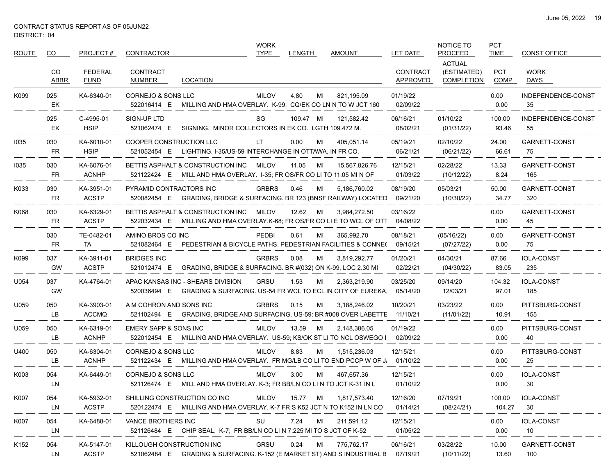$\sim$ 

| <b>ROUTE</b>     | CO.              | PROJECT#                      | CONTRACTOR                        |                                                                                                               | <b>WORK</b><br><b>TYPE</b> | <b>LENGTH</b> |    | <b>AMOUNT</b> | LET DATE                    | NOTICE TO<br><b>PROCEED</b>                       | PCT<br><b>TIME</b>        | <b>CONST OFFICE</b>      |
|------------------|------------------|-------------------------------|-----------------------------------|---------------------------------------------------------------------------------------------------------------|----------------------------|---------------|----|---------------|-----------------------------|---------------------------------------------------|---------------------------|--------------------------|
|                  | CO<br>ABBR       | <b>FEDERAL</b><br><b>FUND</b> | CONTRACT<br>NUMBER                | LOCATION                                                                                                      |                            |               |    |               | <b>CONTRACT</b><br>APPROVED | <b>ACTUAL</b><br>(ESTIMATED)<br><b>COMPLETION</b> | <b>PCT</b><br><b>COMP</b> | <b>WORK</b><br>DAYS      |
| K099             | 025<br>EK        | KA-6340-01                    | <b>CORNEJO &amp; SONS LLC</b>     | 522016414 E MILLING AND HMA OVERLAY. K-99; CQ/EK CO LN N TO W JCT 160                                         | <b>MILOV</b>               | 4.80          | MI | 821,195.09    | 01/19/22<br>02/09/22        |                                                   | 0.00<br>0.00              | INDEPENDENCE-CONST<br>35 |
|                  | 025<br>EK        | C-4995-01<br><b>HSIP</b>      | SIGN-UP LTD<br>521062474 E        | SIGNING. MINOR COLLECTORS IN EK CO. LGTH 109.472 M.                                                           | SG                         | 109.47 MI     |    | 121,582.42    | 06/16/21<br>08/02/21        | 01/10/22<br>(01/31/22)                            | 100.00<br>93.46           | INDEPENDENCE-CONST<br>55 |
| 1035             | 030<br>FR        | KA-6010-01<br><b>HSIP</b>     | COOPER CONSTRUCTION LLC           | 521052454 E LIGHTING. I-35/US-59 INTERCHANGE IN OTTAWA, IN FR CO.                                             | LT.                        | 0.00          | MI | 405.051.14    | 05/19/21<br>06/21/21        | 02/10/22<br>(06/21/22)                            | 24.00<br>66.61            | GARNETT-CONST<br>75      |
| 1035             | 030<br>FR        | KA-6076-01<br><b>ACNHP</b>    |                                   | BETTIS ASPHALT & CONSTRUCTION INC<br>521122424 E MILL AND HMA OVERLAY. I-35; FR OS/FR CO LI TO 11.05 MI N OF  | MILOV                      | 11.05         | MI | 15,567,826.76 | 12/15/21<br>01/03/22        | 02/28/22<br>(10/12/22)                            | 13.33<br>8.24             | GARNETT-CONST<br>165     |
| K033             | 030<br>FR        | KA-3951-01<br><b>ACSTP</b>    | PYRAMID CONTRACTORS INC           | 520082454 E GRADING, BRIDGE & SURFACING. BR 123 (BNSF RAILWAY) LOCATED                                        | <b>GRBRS</b>               | 0.46          | MI | 5,186,760.02  | 08/19/20<br>09/21/20        | 05/03/21<br>(10/30/22)                            | 50.00<br>34.77            | GARNETT-CONST<br>320     |
| K068             | 030<br>FR        | KA-6329-01<br><b>ACSTP</b>    |                                   | BETTIS ASPHALT & CONSTRUCTION INC<br>522032434 E MILLING AND HMA OVERLAY K-68; FR OS/FR CO LI E TO WCL OF OTT | MILOV                      | 12.62         | MI | 3,984,272.50  | 03/16/22<br>04/08/22        |                                                   | 0.00<br>0.00              | GARNETT-CONST<br>45      |
|                  | 030<br><b>FR</b> | TE-0482-01<br>TA.             | AMINO BROS CO INC<br>521082464 E  | PEDESTRIAN & BICYCLE PATHS. PEDESTRIAN FACILITIES & CONNE(                                                    | <b>PEDBI</b>               | 0.61          | MI | 365,992.70    | 08/18/21<br>09/15/21        | (05/16/22)<br>(07/27/22)                          | 0.00<br>0.00              | GARNETT-CONST<br>75      |
| K099             | 037<br>GW        | KA-3911-01<br><b>ACSTP</b>    | <b>BRIDGES INC</b><br>521012474 E | GRADING, BRIDGE & SURFACING. BR #(032) ON K-99, LOC 2.30 MI                                                   | <b>GRBRS</b>               | 0.08          | MI | 3,819,292.77  | 01/20/21<br>02/22/21        | 04/30/21<br>(04/30/22)                            | 87.66<br>83.05            | <b>IOLA-CONST</b><br>235 |
| U054             | 037<br>GW        | KA-4764-01                    |                                   | APAC KANSAS INC - SHEARS DIVISION<br>520036494 E GRADING & SURFACING. US-54 FR WCL TO ECL IN CITY OF EUREKA.  | <b>GRSU</b>                | 1.53          | MI | 2,363,219.90  | 03/25/20<br>05/14/20        | 09/14/20<br>12/03/21                              | 104.32<br>97.01           | <b>IOLA-CONST</b><br>185 |
| U059             | 050<br>LВ        | KA-3903-01<br><b>ACCMQ</b>    | A M COHRON AND SONS INC           | 521102494 E GRADING, BRIDGE AND SURFACING. US-59: BR #008 OVER LABETTE                                        | <b>GRBRS</b>               | 0.15          | MI | 3,188,246.02  | 10/20/21<br>11/10/21        | 03/23/22<br>(11/01/22)                            | 0.00<br>10.91             | PITTSBURG-CONST<br>155   |
| U059             | 050<br>LВ        | KA-6319-01<br><b>ACNHP</b>    | EMERY SAPP & SONS INC             | 522012454 E MILLING AND HMA OVERLAY. US-59; KS/OK ST LI TO NCL OSWEGO I                                       | <b>MILOV</b>               | 13.59         | MI | 2,148,386.05  | 01/19/22<br>02/09/22        |                                                   | 0.00<br>0.00              | PITTSBURG-CONST<br>40    |
| U400             | 050<br>LВ        | KA-6304-01<br><b>ACNHP</b>    | CORNEJO & SONS LLC                | 521122434 E MILLING AND HMA OVERLAY. FR MG/LB CO LI TO END PCCP W OF J.                                       | <b>MILOV</b>               | 8.83          | MI | 1,515,236.03  | 12/15/21<br>01/10/22        |                                                   | 0.00<br>0.00              | PITTSBURG-CONST<br>25    |
| K003             | 054<br>LN        | KA-6449-01                    | CORNEJO & SONS LLC                | 521126474 E MILLAND HMA OVERLAY. K-3; FR BB/LN CO LI N TO JCT K-31 IN L                                       | <b>MILOV</b>               | 3.00          | MI | 467,657.36    | 12/15/21<br>01/10/22        |                                                   | 0.00<br>0.00              | <b>IOLA-CONST</b><br>30  |
| K007             | 054<br>LN        | KA-5932-01<br><b>ACSTP</b>    |                                   | SHILLING CONSTRUCTION CO INC<br>520122474 E MILLING AND HMA OVERLAY. K-7 FR S K52 JCT N TO K152 IN LN CO      | <b>MILOV</b>               | 15.77 MI      |    | 1,817,573.40  | 12/16/20<br>01/14/21        | 07/19/21<br>(08/24/21)                            | 100.00<br>104.27          | <b>IOLA-CONST</b><br>30  |
| K007             | 054<br>LN        | KA-6488-01                    | VANCE BROTHERS INC                | 521126484 E CHIP SEAL K-7; FR BB/LN CO LI N 7.225 MI TO S JCT OF K-52                                         | SU                         | 7.24          | MI | 211,591.12    | 12/15/21<br>01/05/22        |                                                   | 0.00<br>0.00              | <b>IOLA-CONST</b><br>10  |
| K <sub>152</sub> | 054<br>LN        | KA-5147-01<br><b>ACSTP</b>    | KILLOUGH CONSTRUCTION INC         | 521062484 E GRADING & SURFACING. K-152 (E MARKET ST) AND S INDUSTRIAL B                                       | GRSU                       | 0.24          | MI | 775,762.17    | 06/16/21<br>07/19/21        | 03/28/22<br>(10/11/22)                            | 10.00<br>13.60            | GARNETT-CONST<br>100     |

 $\overline{\phantom{a}}$ 

 $-$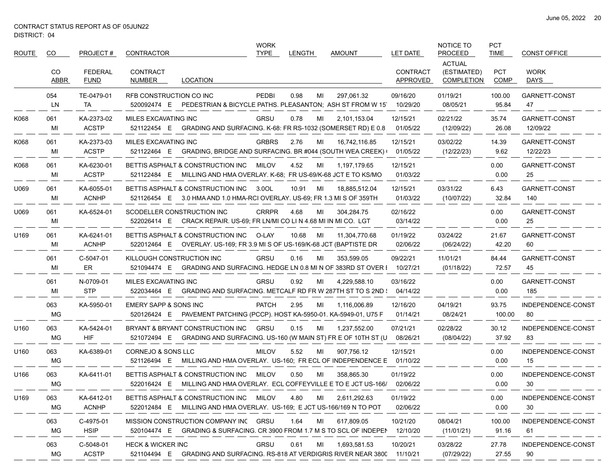$\qquad \qquad -$ 

| <b>ROUTE</b> | CO.        | PROJECT#                      | <b>CONTRACTOR</b>                                                                                                     | <b>WORK</b><br><b>TYPE</b> | LENGTH      | AMOUNT                                                                              | LET DATE                    | NOTICE TO<br><b>PROCEED</b>                       | <b>PCT</b><br><b>TIME</b> | <b>CONST OFFICE</b>       |
|--------------|------------|-------------------------------|-----------------------------------------------------------------------------------------------------------------------|----------------------------|-------------|-------------------------------------------------------------------------------------|-----------------------------|---------------------------------------------------|---------------------------|---------------------------|
|              | CO<br>ABBR | <b>FEDERAL</b><br><b>FUND</b> | <b>CONTRACT</b><br>NUMBER<br>LOCATION                                                                                 |                            |             |                                                                                     | <b>CONTRACT</b><br>APPROVED | <b>ACTUAL</b><br>(ESTIMATED)<br><b>COMPLETION</b> | <b>PCT</b><br><b>COMP</b> | <b>WORK</b><br>DAYS       |
|              | 054<br>LN  | TE-0479-01<br>TA              | RFB CONSTRUCTION CO INC<br>520092474 E PEDESTRIAN & BICYCLE PATHS. PLEASANTON, ASH ST FROM W 15                       | <b>PEDBI</b>               | 0.98<br>MI  | 297,061.32                                                                          | 09/16/20<br>10/29/20        | 01/19/21<br>08/05/21                              | 100.00<br>95.84           | GARNETT-CONST<br>47       |
| K068         | 061<br>MI  | KA-2373-02<br><b>ACSTP</b>    | MILES EXCAVATING INC<br>521122454 E GRADING AND SURFACING. K-68: FR RS-1032 (SOMERSET RD) E 0.8                       | <b>GRSU</b>                | 0.78<br>MI  | 2,101,153.04                                                                        | 12/15/21<br>01/05/22        | 02/21/22<br>(12/09/22)                            | 35.74<br>26.08            | GARNETT-CONST<br>12/09/22 |
| K068         | 061<br>MI  | KA-2373-03<br><b>ACSTP</b>    | MILES EXCAVATING INC<br>521122464 E GRADING, BRIDGE AND SURFACING. BR #044 (SOUTH WEA CREEK)                          | <b>GRBRS</b>               | 2.76<br>MI  | 16,742,116.85                                                                       | 12/15/21<br>01/05/22        | 03/02/22<br>(12/22/23)                            | 14.39<br>9.62             | GARNETT-CONST<br>12/22/23 |
| K068         | 061<br>MI  | KA-6230-01<br><b>ACSTP</b>    | BETTIS ASPHALT & CONSTRUCTION INC<br>521122484 E MILLING AND HMA OVERLAY. K-68; FR US-69/K-68 JCT E TO KS/MO          | MILOV                      | 4.52<br>MI  | 1,197,179.65                                                                        | 12/15/21<br>01/03/22        |                                                   | 0.00<br>0.00              | GARNETT-CONST<br>25       |
| U069         | 061<br>MI  | KA-6055-01<br><b>ACNHP</b>    | BETTIS ASPHALT & CONSTRUCTION INC<br>521126454 E 3.0 HMA AND 1.0 HMA-RCI OVERLAY. US-69; FR 1.3 MI S OF 359TH         | 3.0OL                      | 10.91<br>MI | 18,885,512.04                                                                       | 12/15/21<br>01/03/22        | 03/31/22<br>(10/07/22)                            | 6.43<br>32.84             | GARNETT-CONST<br>140      |
| U069         | 061<br>MI  | KA-6524-01                    | SCODELLER CONSTRUCTION INC<br>522026414 E CRACK REPAIR. US-69: FR LN/MI CO LI N 4.68 MI IN MI CO. LGT                 | <b>CRRPR</b>               | 4.68<br>MI  | 304,284.75                                                                          | 02/16/22<br>03/14/22        |                                                   | 0.00<br>0.00              | GARNETT-CONST<br>25       |
| U169         | 061<br>MI  | KA-6241-01<br><b>ACNHP</b>    | BETTIS ASPHALT & CONSTRUCTION INC<br>522012464 E OVERLAY. US-169; FR 3.9 MI S OF US-169/K-68 JCT (BAPTISTE DR         | O-LAY                      | 10.68<br>MI | 11,304,770.68                                                                       | 01/19/22<br>02/06/22        | 03/24/22<br>(06/24/22)                            | 21.67<br>42.20            | GARNETT-CONST<br>60       |
|              | 061<br>MI  | C-5047-01<br>ER               | KILLOUGH CONSTRUCTION INC<br>521094474 E GRADING AND SURFACING. HEDGE LN 0.8 MI N OF 383RD ST OVER I                  | <b>GRSU</b>                | 0.16<br>MI  | 353.599.05                                                                          | 09/22/21<br>10/27/21        | 11/01/21<br>(01/18/22)                            | 84.44<br>72.57            | GARNETT-CONST<br>45       |
|              | 061<br>MI  | N-0709-01<br><b>STP</b>       | MILES EXCAVATING INC<br>522034464 E                                                                                   | <b>GRSU</b>                | 0.92<br>МI  | 4,229,588.10<br>GRADING AND SURFACING. METCALF RD FR W 287TH ST TO S 2ND : 04/14/22 | 03/16/22                    |                                                   | 0.00<br>0.00              | GARNETT-CONST<br>185      |
|              | 063<br>MG  | KA-5950-01                    | EMERY SAPP & SONS INC<br>520126424 E PAVEMENT PATCHING (PCCP). HOST KA-5950-01. KA-5949-01, U75 F                     | <b>PATCH</b>               | 2.95<br>MI  | 1,116,006.89                                                                        | 12/16/20<br>01/14/21        | 04/19/21<br>08/24/21                              | 93.75<br>100.00           | INDEPENDENCE-CONST<br>80  |
| U160         | 063<br>МG  | KA-5424-01<br><b>HIF</b>      | BRYANT & BRYANT CONSTRUCTION INC<br>521072494 E GRADING AND SURFACING. US-160 (W MAIN ST) FR E OF 10TH ST (U 08/26/21 | GRSU                       | 0.15<br>MI  | 1,237,552.00                                                                        | 07/21/21                    | 02/28/22<br>(08/04/22)                            | 30.12<br>37.92            | INDEPENDENCE-CONST<br>83  |
| U160         | 063<br>МG  | KA-6389-01                    | <b>CORNEJO &amp; SONS LLC</b><br>521126494 E                                                                          | <b>MILOV</b>               | 5.52<br>MI  | 907,756.12<br>MILLING AND HMA OVERLAY. US-160; FR ECL OF INDEPENDENCE E             | 12/15/21<br>01/10/22        |                                                   | 0.00<br>0.00              | INDEPENDENCE-CONST<br>15  |
| U166         | 063<br>МG  | KA-6411-01                    | BETTIS ASPHALT & CONSTRUCTION INC<br>522016424 E                                                                      | <b>MILOV</b>               | 0.50<br>MI  | 358,865.30<br>MILLING AND HMA OVERLAY. ECL COFFEYVILLE E TO E JCT US-166/           | 01/19/22<br>02/06/22        |                                                   | 0.00<br>0.00              | INDEPENDENCE-CONST<br>30  |
| U169         | 063<br>МG  | KA-6412-01<br><b>ACNHP</b>    | BETTIS ASPHALT & CONSTRUCTION INC MILOV<br>522012484 E MILLING AND HMA OVERLAY. US-169; E JCT US-166/169 N TO POT     |                            | 4.80<br>MI  | 2,611,292.63                                                                        | 01/19/22<br>02/06/22        |                                                   | 0.00<br>0.00              | INDEPENDENCE-CONST<br>30  |
|              | 063<br>MG  | C-4975-01<br><b>HSIP</b>      | MISSION CONSTRUCTION COMPANY INC GRSU<br>520104474 E GRADING & SURFACING. CR 3900 FROM 1.7 M S TO SCL OF INDEPEN      |                            | 1.64<br>MI  | 617,809.05                                                                          | 10/21/20<br>12/10/20        | 08/04/21<br>(11/01/21)                            | 100.00<br>91.16           | INDEPENDENCE-CONST<br>61  |
|              | 063<br>MG  | C-5048-01<br><b>ACSTP</b>     | <b>HECK &amp; WICKER INC</b><br>521104494 E GRADING AND SURFACING. RS-818 AT VERDIGRIS RIVER NEAR 3800 11/10/21       | <b>GRSU</b>                | 0.61<br>MI  | 1,693,581.53                                                                        | 10/20/21                    | 03/28/22<br>(07/29/22)                            | 27.78<br>27.55            | INDEPENDENCE-CONST<br>90  |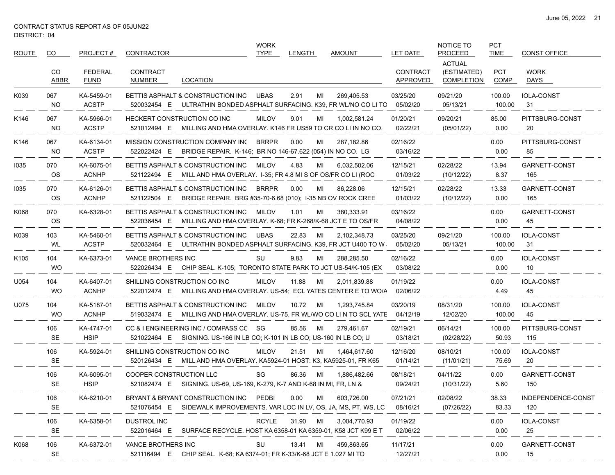| ROUTE            | CO.              | PROJECT#                      | CONTRACTOR                                                                                                         | <b>WORK</b><br><b>TYPE</b> | <b>LENGTH</b> | <b>AMOUNT</b> | LET DATE                    | NOTICE TO<br><b>PROCEED</b>                       | <b>PCT</b><br><b>TIME</b> | <b>CONST OFFICE</b>       |
|------------------|------------------|-------------------------------|--------------------------------------------------------------------------------------------------------------------|----------------------------|---------------|---------------|-----------------------------|---------------------------------------------------|---------------------------|---------------------------|
|                  | CO<br>ABBR       | <b>FEDERAL</b><br><b>FUND</b> | <b>CONTRACT</b><br>NUMBER<br>LOCATION                                                                              |                            |               |               | <b>CONTRACT</b><br>APPROVED | <b>ACTUAL</b><br>(ESTIMATED)<br><b>COMPLETION</b> | <b>PCT</b><br>COMP        | <b>WORK</b><br>DAYS       |
| K039             | 067<br><b>NO</b> | KA-5459-01<br><b>ACSTP</b>    | BETTIS ASPHALT & CONSTRUCTION INC<br>ULTRATHIN BONDED ASPHALT SURFACING. K39, FR WL/NO CO LI TO<br>520032454 E     | <b>UBAS</b>                | 2.91<br>MI    | 269.405.53    | 03/25/20<br>05/02/20        | 09/21/20<br>05/13/21                              | 100.00<br>100.00          | <b>IOLA-CONST</b><br>31   |
| K146             | 067<br><b>NO</b> | KA-5966-01<br><b>ACSTP</b>    | HECKERT CONSTRUCTION CO INC<br>MILLING AND HMA OVERLAY. K146 FR US59 TO CR CO LI IN NO CO.<br>521012494 E          | <b>MILOV</b>               | 9.01<br>MI    | 1,002,581.24  | 01/20/21<br>02/22/21        | 09/20/21<br>(05/01/22)                            | 85.00<br>0.00             | PITTSBURG-CONST<br>20     |
| K146             | 067<br><b>NO</b> | KA-6134-01<br><b>ACSTP</b>    | MISSION CONSTRUCTION COMPANY INC BRRPR<br>BRIDGE REPAIR. K-146; BR NO 146-67.622 (054) IN NO CO. LG<br>522022424 E |                            | 0.00<br>MI    | 287,182.86    | 02/16/22<br>03/16/22        |                                                   | 0.00<br>0.00              | PITTSBURG-CONST<br>85     |
| 1035             | 070<br><b>OS</b> | KA-6075-01<br><b>ACNHP</b>    | BETTIS ASPHALT & CONSTRUCTION INC<br>521122494 E MILL AND HMA OVERLAY 1-35; FR 4.8 MI S OF OS/FR CO LI (ROC        | <b>MILOV</b>               | 4.83<br>MI    | 6,032,502.06  | 12/15/21<br>01/03/22        | 02/28/22<br>(10/12/22)                            | 13.94<br>8.37             | GARNETT-CONST<br>165      |
| 1035             | 070<br><b>OS</b> | KA-6126-01<br><b>ACNHP</b>    | BETTIS ASPHALT & CONSTRUCTION INC<br>BRIDGE REPAIR. BRG #35-70-6.68 (010); I-35 NB OV ROCK CREE<br>521122504 E     | <b>BRRPR</b>               | 0.00<br>МI    | 86,228.06     | 12/15/21<br>01/03/22        | 02/28/22<br>(10/12/22)                            | 13.33<br>0.00             | GARNETT-CONST<br>165      |
| K068             | 070<br><b>OS</b> | KA-6328-01                    | BETTIS ASPHALT & CONSTRUCTION INC<br>MILLING AND HMA OVERLAY. K-68; FR K-268/K-68 JCT E TO OS/FR<br>522036454 E    | <b>MILOV</b>               | 1.01<br>MI    | 380,333.91    | 03/16/22<br>04/08/22        |                                                   | 0.00<br>0.00              | GARNETT-CONST<br>45       |
| K039             | 103<br>WL        | KA-5460-01<br><b>ACSTP</b>    | BETTIS ASPHALT & CONSTRUCTION INC<br>ULTRATHIN BONDED ASPHALT SURFACING. K39, FR JCT U400 TO W.<br>520032464 E     | <b>UBAS</b>                | 22.83<br>MI   | 2,102,348.73  | 03/25/20<br>05/02/20        | 09/21/20<br>05/13/21                              | 100.00<br>100.00          | <b>IOLA-CONST</b><br>31   |
| K <sub>105</sub> | 104<br><b>WO</b> | KA-6373-01                    | VANCE BROTHERS INC<br>522026434 E CHIP SEAL. K-105; TORONTO STATE PARK TO JCT US-54/K-105 (EX                      | SU                         | 9.83<br>MI    | 288,285.50    | 02/16/22<br>03/08/22        |                                                   | 0.00<br>0.00              | <b>IOLA-CONST</b><br>10   |
| U054             | 104<br><b>WO</b> | KA-6407-01<br><b>ACNHP</b>    | SHILLING CONSTRUCTION CO INC<br>522012474 E MILLING AND HMA OVERLAY. US-54; ECL YATES CENTER E TO WO/A             | <b>MILOV</b>               | 11.88<br>MI   | 2,011,839.88  | 01/19/22<br>02/06/22        |                                                   | 0.00<br>4.49              | <b>IOLA-CONST</b><br>45   |
| U075             | 104<br><b>WO</b> | KA-5187-01<br><b>ACNHP</b>    | BETTIS ASPHALT & CONSTRUCTION INC<br>519032474 E MILLING AND HMA OVERLAY. US-75, FR WL/WO CO LIN TO SCL YATE       | MILOV                      | 10.72<br>MI   | 1,293,745.84  | 03/20/19<br>04/12/19        | 08/31/20<br>12/02/20                              | 100.00<br>100.00          | <b>IOLA-CONST</b><br>45   |
|                  | 106<br>SE        | KA-4747-01<br><b>HSIP</b>     | CC & I ENGINEERING INC / COMPASS CC SG<br>521022464 E SIGNING. US-166 IN LB CO; K-101 IN LB CO; US-160 IN LB CO; U |                            | 85.56<br>MI   | 279,461.67    | 02/19/21<br>03/18/21        | 06/14/21<br>(02/28/22)                            | 100.00<br>50.93           | PITTSBURG-CONST<br>115    |
|                  | 106<br><b>SE</b> | KA-5924-01                    | SHILLING CONSTRUCTION CO INC<br>520126434 E MILL AND HMA OVERLAY. KA5924-01 HOST: K3, KA5925-01, FR K65            | <b>MILOV</b>               | 21.51<br>MI   | 1,464,617.60  | 12/16/20<br>01/14/21        | 08/10/21<br>(11/01/21)                            | 100.00<br>75.69           | <b>IOLA-CONST</b><br>20   |
|                  | 106<br><b>SE</b> | KA-6095-01<br><b>HSIP</b>     | COOPER CONSTRUCTION LLC<br>521082474 E SIGNING. US-69, US-169, K-279, K-7 AND K-68 IN MI, FR, LN &                 | SG                         | 86.36<br>MI   | 1,886,482.66  | 08/18/21<br>09/24/21        | 04/11/22<br>(10/31/22)                            | 0.00<br>5.60              | GARNETT-CONST<br>150      |
|                  | 106<br><b>SE</b> | KA-6210-01                    | BRYANT & BRYANT CONSTRUCTION INC PEDBI<br>521076454 E SIDEWALK IMPROVEMENTS. VAR LOC IN LV, OS, JA, MS, PT, WS, LC |                            | 0.00<br>MI    | 603,726.00    | 07/21/21<br>08/16/21        | 02/08/22<br>(07/26/22)                            | 38.33<br>83.33            | INDEPENDENCE-CONST<br>120 |
|                  | 106<br><b>SE</b> | KA-6358-01                    | DUSTROL INC<br>522016464 E SURFACE RECYCLE. HOST KA 6358-01 KA 6359-01. K58 JCT K99 E T                            | <b>RCYLE</b>               | 31.90 MI      | 3,004,770.93  | 01/19/22<br>02/06/22        |                                                   | 0.00<br>0.00              | <b>IOLA-CONST</b><br>25   |
| K068             | 106<br><b>SE</b> | KA-6372-01                    | VANCE BROTHERS INC<br>521116494 E CHIP SEAL. K-68; KA 6374-01; FR K-33/K-68 JCT E 1.027 MI TO                      | SU                         | 13.41 MI      | 459,863.65    | 11/17/21<br>12/27/21        |                                                   | 0.00<br>0.00              | GARNETT-CONST<br>15       |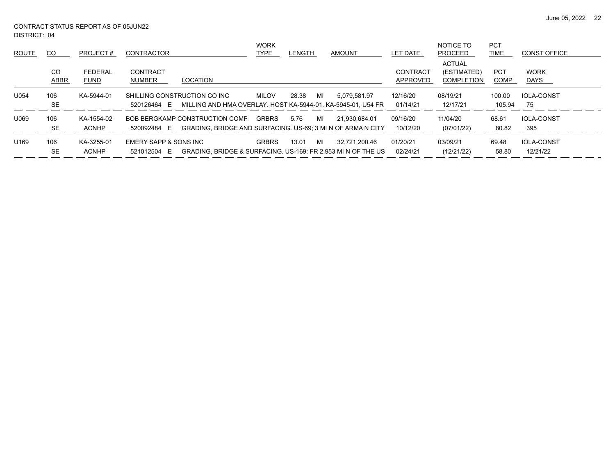June 05, 2022 22

DISTRICT: 04 CONTRACT STATUS REPORT AS OF 05JUN22

| ROUTE            | CO               | PROJECT#                   | <b>CONTRACTOR</b>                                                                                           | <b>WORK</b><br>TYPE | <b>LENGTH</b> | AMOUNT                                                                        | LET DATE                    | NOTICE TO<br><b>PROCEED</b>                       | <b>PCT</b><br>TIME | <b>CONST OFFICE</b>           |
|------------------|------------------|----------------------------|-------------------------------------------------------------------------------------------------------------|---------------------|---------------|-------------------------------------------------------------------------------|-----------------------------|---------------------------------------------------|--------------------|-------------------------------|
|                  | CO<br>ABBR       | FEDERAL<br><b>FUND</b>     | CONTRACT<br>NUMBER<br>LOCATION                                                                              |                     |               |                                                                               | CONTRACT<br><b>APPROVED</b> | <b>ACTUAL</b><br>(ESTIMATED)<br><b>COMPLETION</b> | <b>PCT</b><br>COMP | <b>WORK</b><br><b>DAYS</b>    |
| U054             | 106<br><b>SE</b> | KA-5944-01                 | SHILLING CONSTRUCTION CO INC<br>MILLING AND HMA OVERLAY, HOST KA-5944-01, KA-5945-01, U54 FR<br>520126464 E | MILOV               | 28.38<br>MI   | 5.079.581.97                                                                  | 12/16/20<br>01/14/21        | 08/19/21<br>12/17/21                              | 100.00<br>105.94   | <b>IOLA-CONST</b><br>75       |
| U069             | 106<br><b>SE</b> | KA-1554-02<br><b>ACNHP</b> | BOB BERGKAMP CONSTRUCTION COMP<br>520092484 E                                                               | <b>GRBRS</b>        | 5.76<br>MI    | 21.930.684.01<br>GRADING. BRIDGE AND SURFACING. US-69: 3 MI N OF ARMA N CITY  | 09/16/20<br>10/12/20        | 11/04/20<br>(07/01/22)                            | 68.61<br>80.82     | <b>IOLA-CONST</b><br>395      |
| U <sub>169</sub> | 106<br><b>SE</b> | KA-3255-01<br><b>ACNHP</b> | EMERY SAPP & SONS INC<br>521012504 E                                                                        | <b>GRBRS</b>        | 13.01<br>MI   | 32.721.200.46<br>GRADING, BRIDGE & SURFACING, US-169; FR 2.953 MI N OF THE US | 01/20/21<br>02/24/21        | 03/09/21<br>(12/21/22)                            | 69.48<br>58.80     | <b>IOLA-CONST</b><br>12/21/22 |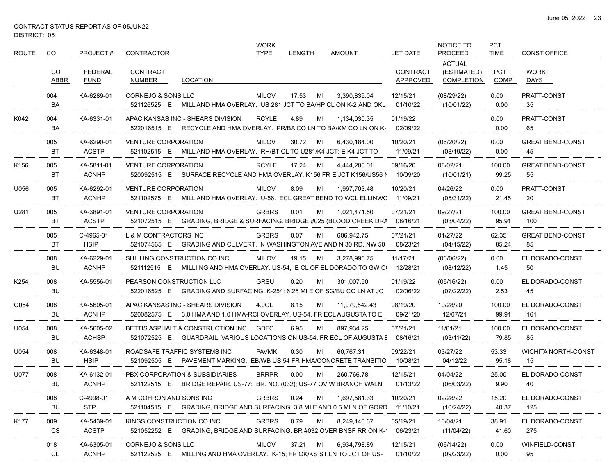| <b>ROUTE</b>     | CO               | PROJECT#                      | <b>CONTRACTOR</b>                                                                                               | <b>WORK</b><br><b>TYPE</b> | LENGTH      | <b>AMOUNT</b>                                                               | <b>LET DATE</b>             | NOTICE TO<br><b>PROCEED</b>                       | <b>PCT</b><br><b>TIME</b> | <b>CONST OFFICE</b>              |
|------------------|------------------|-------------------------------|-----------------------------------------------------------------------------------------------------------------|----------------------------|-------------|-----------------------------------------------------------------------------|-----------------------------|---------------------------------------------------|---------------------------|----------------------------------|
|                  | CO<br>ABBR       | <b>FEDERAL</b><br><b>FUND</b> | <b>CONTRACT</b><br><b>LOCATION</b><br>NUMBER                                                                    |                            |             |                                                                             | <b>CONTRACT</b><br>APPROVED | <b>ACTUAL</b><br>(ESTIMATED)<br><b>COMPLETION</b> | <b>PCT</b><br><b>COMP</b> | <b>WORK</b><br>DAYS              |
|                  | 004<br>BA        | KA-6289-01                    | CORNEJO & SONS LLC<br>MILL AND HMA OVERLAY. US 281 JCT TO BA/HP CL ON K-2 AND OKL<br>521126525 E                | <b>MILOV</b>               | 17.53<br>MI | 3,390,839.04                                                                | 12/15/21<br>01/10/22        | (08/29/22)<br>(10/01/22)                          | 0.00<br>0.00              | PRATT-CONST<br>35                |
| K042             | 004<br>BA        | KA-6331-01                    | APAC KANSAS INC - SHEARS DIVISION<br>RECYCLE AND HMA OVERLAY. PR/BA CO LN TO BA/KM CO LN ON K-<br>522016515 E   | <b>RCYLE</b>               | 4.89<br>ML  | 1,134,030.35                                                                | 01/19/22<br>02/09/22        |                                                   | 0.00<br>0.00              | PRATT-CONST<br>65                |
|                  | 005<br>BT        | KA-6290-01<br><b>ACSTP</b>    | <b>VENTURE CORPORATION</b><br>521102515 E<br>MILL AND HMA OVERLAY. RH/BT CL TO U281/K4 JCT; E K4 JCT TO         | <b>MILOV</b>               | 30.72<br>MI | 6,430,184.00                                                                | 10/20/21<br>11/09/21        | (06/20/22)<br>(08/19/22)                          | 0.00<br>0.00              | <b>GREAT BEND-CONST</b><br>45    |
| K156             | 005<br>BT        | KA-5811-01<br><b>ACNHP</b>    | <b>VENTURE CORPORATION</b><br>520092515 E                                                                       | <b>RCYLE</b>               | 17.24<br>MI | 4,444,200.01<br>SURFACE RECYCLE AND HMA OVERLAY. K156 FR E JCT K156/US56 N  | 09/16/20<br>10/09/20        | 08/02/21<br>(10/01/21)                            | 100.00<br>99.25           | <b>GREAT BEND-CONST</b><br>55    |
| U056             | 005<br>BT        | KA-6292-01<br><b>ACNHP</b>    | <b>VENTURE CORPORATION</b><br>521102575 E<br>MILL AND HMA OVERLAY. U-56. ECL GREAT BEND TO WCL ELLINWC          | <b>MILOV</b>               | 8.09<br>MI  | 1,997,703.48                                                                | 10/20/21<br>11/09/21        | 04/26/22<br>(05/31/22)                            | 0.00<br>21.45             | PRATT-CONST<br>20                |
| U281             | 005<br>BT        | KA-3891-01<br><b>ACSTP</b>    | <b>VENTURE CORPORATION</b><br>GRADING, BRIDGE & SURFACING. BRIDGE #025 (BLOOD CREEK DRA<br>521072515 E          | <b>GRBRS</b>               | 0.01<br>MI  | 1,021,471.50                                                                | 07/21/21<br>08/16/21        | 09/27/21<br>(03/04/22)                            | 100.00<br>95.91           | <b>GREAT BEND-CONST</b><br>100   |
|                  | 005<br>BT        | C-4965-01<br><b>HSIP</b>      | L & M CONTRACTORS INC<br>521074565 E<br>GRADING AND CULVERT. N WASHINGTON AVE AND N 30 RD, NW 50                | <b>GRBRS</b>               | 0.07<br>MI  | 606,942.75                                                                  | 07/21/21<br>08/23/21        | 01/27/22<br>(04/15/22)                            | 62.35<br>85.24            | <b>GREAT BEND-CONST</b><br>85    |
|                  | 008<br>BU        | KA-6229-01<br><b>ACNHP</b>    | SHILLING CONSTRUCTION CO INC<br>521112515 E                                                                     | <b>MILOV</b>               | 19.15<br>MI | 3,278,995.75<br>MILLIING AND HMA OVERLAY. US-54: E CL OF EL DORADO TO GW CO | 11/17/21<br>12/28/21        | (06/06/22)<br>(08/12/22)                          | 0.00<br>1.45              | EL DORADO-CONST<br>50            |
| K <sub>254</sub> | 008<br>BU        | KA-5556-01                    | PEARSON CONSTRUCTION LLC<br>522016525 E<br>GRADING AND SURFACING. K-254: 6.25 MI E OF SG/BU CO LN AT JC         | <b>GRSU</b>                | 0.20<br>MI  | 301,007.50                                                                  | 01/19/22<br>02/06/22        | (05/16/22)<br>(07/22/22)                          | 0.00<br>2.53              | EL DORADO-CONST<br>45            |
| O054             | 008<br>BU        | KA-5605-01<br><b>ACNHP</b>    | APAC KANSAS INC - SHEARS DIVISION<br>3.0 HMA AND 1.0 HMA-RCI OVERLAY. US-54, FR ECL AUGUSTA TO E<br>520082575 E | 4.0OL                      | 8.15<br>MI  | 11,079,542.43                                                               | 08/19/20<br>09/21/20        | 10/28/20<br>12/07/21                              | 100.00<br>99.91           | EL DORADO-CONST<br>161           |
| U054             | 008<br>BU        | KA-5605-02<br><b>ACHSP</b>    | BETTIS ASPHALT & CONSTRUCTION INC<br>GUARDRAIL. VARIOUS LOCATIONS ON US-54: FR ECL OF AUGUSTA E<br>521072525 E  | <b>GDFC</b>                | 6.95<br>MI  | 897,934.25                                                                  | 07/21/21<br>08/16/21        | 11/01/21<br>(03/11/22)                            | 100.00<br>79.85           | EL DORADO-CONST<br>85            |
| U054             | 008<br>BU        | KA-6348-01<br><b>HSIP</b>     | ROADSAFE TRAFFIC SYSTEMS INC<br>521092505 E                                                                     | <b>PAVMK</b>               | 0.30<br>MI  | 60,767.31<br>PAVEMENT MARKING. EB/WB US 54 FR HMA/CONCRETE TRANSITIO        | 09/22/21<br>10/08/21        | 03/27/22<br>04/12/22                              | 53.33<br>95.18            | <b>WICHITA NORTH-CONST</b><br>15 |
| U077             | 008<br>BU        | KA-6132-01<br><b>ACNHP</b>    | PBX CORPORATION & SUBSIDIARIES<br>521122515 E BRIDGE REPAIR. US-77; BR. NO. (032); US-77 OV W BRANCH WALN       | <b>BRRPR</b>               | 0.00<br>MI  | 260.766.78                                                                  | 12/15/21<br>01/13/22        | 04/04/22<br>(06/03/22)                            | 25.00<br>9.90             | EL DORADO-CONST<br>40            |
|                  | 008<br><b>BU</b> | C-4998-01<br><b>STP</b>       | A M COHRON AND SONS INC<br>521104515 E GRADING, BRIDGE AND SURFACING. 3.8 MI E AND 0.5 MI N OF GORD             | <b>GRBRS</b>               | 0.24<br>MI  | 1,697,581.33                                                                | 10/20/21<br>11/10/21        | 02/28/22<br>(10/24/22)                            | 15.20<br>40.37            | EL DORADO-CONST<br>125           |
| K177             | 009<br>CS        | KA-5439-01<br><b>ACSTP</b>    | KINGS CONSTRUCTION CO INC<br>521052252 E GRADING, BRIDGE AND SURFACING. BR #032 OVER BNSF RR ON K-1             | <b>GRBRS</b>               | 0.79<br>MI  | 8,249,140.67                                                                | 05/19/21<br>06/23/21        | 10/04/21<br>(11/04/22)                            | 38.91<br>41.60            | EL DORADO-CONST<br>275           |
|                  | 018<br>CL        | KA-6305-01<br><b>ACNHP</b>    | CORNEJO & SONS LLC<br>521122525 E MILLING AND HMA OVERLAY. K-15; FR OK/KS ST LN TO JCT OF US-                   | MILOV                      | 37.21 MI    | 6,934,798.89                                                                | 12/15/21<br>01/10/22        | (06/14/22)<br>(09/23/22)                          | 0.00<br>0.00              | WINFIELD-CONST<br>95             |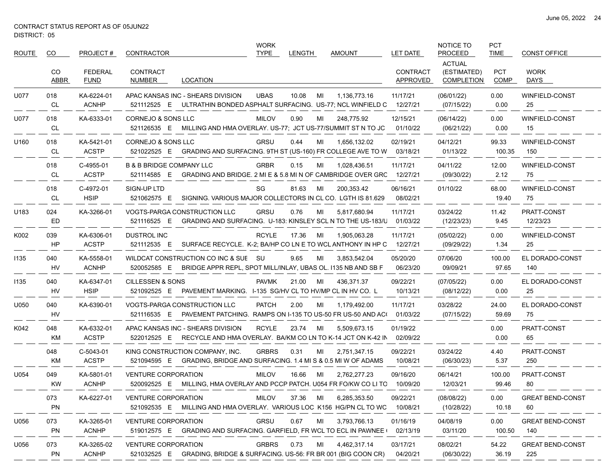| <b>ROUTE</b> | CO          | PROJECT#                      | <b>CONTRACTOR</b>                                                                                                 | <b>WORK</b><br><b>TYPE</b> | <b>LENGTH</b> | <b>AMOUNT</b> | LET DATE                    | NOTICE TO<br><b>PROCEED</b>                | <b>PCT</b><br><b>TIME</b> | <b>CONST OFFICE</b>            |
|--------------|-------------|-------------------------------|-------------------------------------------------------------------------------------------------------------------|----------------------------|---------------|---------------|-----------------------------|--------------------------------------------|---------------------------|--------------------------------|
|              | CO.<br>ABBR | <b>FEDERAL</b><br><b>FUND</b> | <b>CONTRACT</b><br><b>LOCATION</b><br>NUMBER                                                                      |                            |               |               | <b>CONTRACT</b><br>APPROVED | <b>ACTUAL</b><br>(ESTIMATED)<br>COMPLETION | <b>PCT</b><br><b>COMP</b> | <b>WORK</b><br>DAYS            |
| U077         | 018<br>CL   | KA-6224-01<br><b>ACNHP</b>    | APAC KANSAS INC - SHEARS DIVISION<br>521112525 E ULTRATHIN BONDED ASPHALT SURFACING. US-77; NCL WINFIELD C        | <b>UBAS</b>                | 10.08<br>MI   | 1,136,773.16  | 11/17/21<br>12/27/21        | (06/01/22)<br>(07/15/22)                   | 0.00<br>0.00              | <b>WINFIELD-CONST</b><br>25    |
| U077         | 018<br>CL   | KA-6333-01                    | CORNEJO & SONS LLC<br>521126535 E<br>MILLING AND HMA OVERLAY. US-77; JCT US-77/SUMMIT ST N TO JC                  | <b>MILOV</b>               | 0.90<br>MI    | 248,775.92    | 12/15/21<br>01/10/22        | (06/14/22)<br>(06/21/22)                   | 0.00<br>0.00              | WINFIELD-CONST<br>15           |
| U160         | 018<br>CL   | KA-5421-01<br><b>ACSTP</b>    | CORNEJO & SONS LLC<br>521022525 E GRADING AND SURFACING. 9TH ST (US-160) FR COLLEGE AVE TO W                      | <b>GRSU</b>                | 0.44<br>MI    | 1.656.132.02  | 02/19/21<br>03/18/21        | 04/12/21<br>01/13/22                       | 99.33<br>100.35           | WINFIELD-CONST<br>150          |
|              | 018<br>CL   | C-4955-01<br><b>ACSTP</b>     | <b>B &amp; B BRIDGE COMPANY LLC</b><br>521114585 E<br>GRADING AND BRIDGE. 2 MI E & 5.8 MI N OF CAMBRIDGE OVER GRC | <b>GRBR</b>                | 0.15<br>MI    | 1,028,436.51  | 11/17/21<br>12/27/21        | 04/11/22<br>(09/30/22)                     | 12.00<br>2.12             | WINFIELD-CONST<br>75           |
|              | 018<br>CL   | C-4972-01<br><b>HSIP</b>      | SIGN-UP LTD<br>SIGNING, VARIOUS MAJOR COLLECTORS IN CL CO. LGTH IS 81.629<br>521062575 E                          | SG                         | 81.63<br>MI   | 200,353.42    | 06/16/21<br>08/02/21        | 01/10/22                                   | 68.00<br>19.40            | WINFIELD-CONST<br>75           |
| U183         | 024<br>ED   | KA-3266-01                    | <b>VOGTS-PARGA CONSTRUCTION LLC</b><br>521116525 E<br>GRADING AND SURFACING. U-183: KINSLEY SCL N TO THE US-183/U | <b>GRSU</b>                | 0.76<br>MI    | 5,817,680.94  | 11/17/21<br>01/03/22        | 03/24/22<br>(12/23/23)                     | 11.42<br>9.45             | PRATT-CONST<br>12/23/23        |
| K002         | 039<br>HP   | KA-6306-01<br><b>ACSTP</b>    | DUSTROL INC<br>521112535 E SURFACE RECYCLE. K-2; BA/HP CO LN E TO WCL ANTHONY IN HP C                             | <b>RCYLE</b>               | 17.36<br>MI   | 1,905,063.28  | 11/17/21<br>12/27/21        | (05/02/22)<br>(09/29/22)                   | 0.00<br>1.34              | WINFIELD-CONST<br>25           |
| 1135         | 040<br>HV   | KA-5558-01<br><b>ACNHP</b>    | WILDCAT CONSTRUCTION CO INC & SUE SU<br>520052585 E BRIDGE APPR REPL, SPOT MILL/INLAY, UBAS OL. 1135 NB AND SB F  |                            | 9.65<br>MI    | 3.853.542.04  | 05/20/20<br>06/23/20        | 07/06/20<br>09/09/21                       | 100.00<br>97.65           | EL DORADO-CONST<br>140         |
| 1135         | 040<br>HV   | KA-6347-01<br><b>HSIP</b>     | <b>CILLESSEN &amp; SONS</b><br>521092525 E<br>PAVEMENT MARKING. I-135 SG/HV CL TO HV/MP CL IN HV CO. L            | PAVMK                      | 21.00<br>MI   | 436,371.37    | 09/22/21<br>10/13/21        | (07/05/22)<br>(08/12/22)                   | 0.00<br>0.00              | EL DORADO-CONST<br>25          |
| U050         | 040<br>HV   | KA-6390-01                    | VOGTS-PARGA CONSTRUCTION LLC<br>PAVEMENT PATCHING. RAMPS ON I-135 TO US-50 FR US-50 AND AC(<br>521116535 E        | <b>PATCH</b>               | 2.00<br>MI    | 1,179,492.00  | 11/17/21<br>01/03/22        | 03/28/22<br>(07/15/22)                     | 24.00<br>59.69            | EL DORADO-CONST<br>75          |
| K042         | 048<br>KM   | KA-6332-01<br><b>ACSTP</b>    | APAC KANSAS INC - SHEARS DIVISION<br>RECYCLE AND HMA OVERLAY. BA/KM CO LN TO K-14 JCT ON K-42 IN<br>522012525 E   | <b>RCYLE</b>               | 23.74<br>MI   | 5,509,673.15  | 01/19/22<br>02/09/22        |                                            | 0.00<br>0.00              | PRATT-CONST<br>65              |
|              | 048<br>KM   | C-5043-01<br><b>ACSTP</b>     | KING CONSTRUCTION COMPANY, INC.<br>521094595 E GRADING, BRIDGE AND SURFACING. 1.4 MI S & 0.5 MI W OF ADAMS        | <b>GRBRS</b>               | 0.31<br>MI    | 2,751,347.15  | 09/22/21<br>10/08/21        | 03/24/22<br>(06/30/23)                     | 4.40<br>5.37              | PRATT-CONST<br>250             |
| U054         | 049<br>KW   | KA-5801-01<br><b>ACNHP</b>    | <b>VENTURE CORPORATION</b><br>520092525 E MILLING, HMA OVERLAY AND PCCP PATCH. U054 FR FO/KW CO LI TC             | <b>MILOV</b>               | 16.66<br>MI   | 2,762,277.23  | 09/16/20<br>10/09/20        | 06/14/21<br>12/03/21                       | 100.00<br>99.46           | PRATT-CONST<br>80              |
|              | 073<br>PN   | KA-6227-01                    | <b>VENTURE CORPORATION</b><br>521092535 E MILLING AND HMA OVERLAY. VARIOUS LOC K156 HG/PN CL TO WC                | MILOV                      | 37.36 MI      | 6,285,353.50  | 09/22/21<br>10/08/21        | (08/08/22)<br>(10/28/22)                   | 0.00<br>10.18             | <b>GREAT BEND-CONST</b><br>60  |
| U056         | 073<br>PN   | KA-3265-01<br><b>ACNHP</b>    | <b>VENTURE CORPORATION</b><br>519012575 E GRADING AND SURFACING. GARFIELD, FR WCL TO ECL IN PAWNEE                | <b>GRSU</b>                | 0.67<br>MI    | 3,793,766.13  | 01/16/19<br>02/13/19        | 04/08/19<br>03/11/20                       | 0.00<br>100.50            | <b>GREAT BEND-CONST</b><br>140 |
| U056         | 073<br>PN   | KA-3265-02<br><b>ACNHP</b>    | <b>VENTURE CORPORATION</b><br>521032525 E GRADING, BRIDGE & SURFACING. US-56: FR BR 001 (BIG COON CR)             | <b>GRBRS</b>               | 0.73<br>ML    | 4,462,317.14  | 03/17/21<br>04/20/21        | 08/02/21<br>(06/30/22)                     | 54.22<br>36.19            | <b>GREAT BEND-CONST</b><br>225 |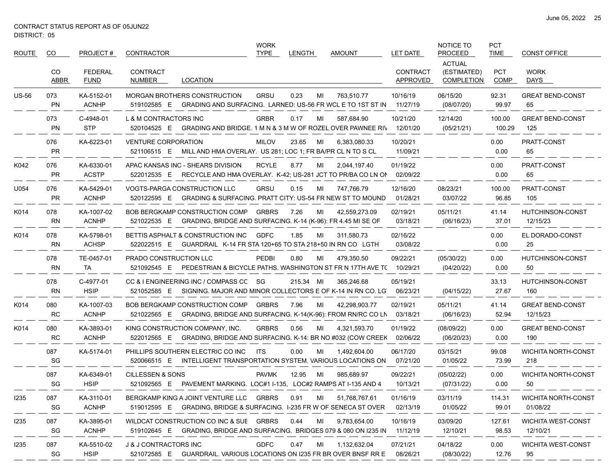$\overbrace{\hspace{25mm}}^{}$ 

| ROUTE        | CO.              | PROJECT#                      | CONTRACTOR                                |                                                                                                                    | <b>WORK</b><br>TYPE | <b>LENGTH</b> |    | <b>AMOUNT</b> | LET DATE                    | NOTICE TO<br><b>PROCEED</b>                       | <b>PCT</b><br><b>TIME</b> | <b>CONST OFFICE</b>                    |
|--------------|------------------|-------------------------------|-------------------------------------------|--------------------------------------------------------------------------------------------------------------------|---------------------|---------------|----|---------------|-----------------------------|---------------------------------------------------|---------------------------|----------------------------------------|
|              | CO<br>ABBR       | <b>FEDERAL</b><br><b>FUND</b> | <b>CONTRACT</b><br>NUMBER                 | LOCATION                                                                                                           |                     |               |    |               | <b>CONTRACT</b><br>APPROVED | <b>ACTUAL</b><br>(ESTIMATED)<br><b>COMPLETION</b> | <b>PCT</b><br>COMP        | <b>WORK</b><br>DAYS                    |
| <b>US-56</b> | 073<br><b>PN</b> | KA-5152-01<br><b>ACNHP</b>    | 519102585 E                               | <b>MORGAN BROTHERS CONSTRUCTION</b><br>GRADING AND SURFACING. LARNED: US-56 FR WCL E TO 1ST ST IN                  | <b>GRSU</b>         | 0.23          | МI | 763.510.77    | 10/16/19<br>11/27/19        | 06/15/20<br>(08/07/20)                            | 92.31<br>99.97            | <b>GREAT BEND-CONST</b><br>65          |
|              | 073<br><b>PN</b> | C-4948-01<br><b>STP</b>       | L & M CONTRACTORS INC                     | 520104525 E GRADING AND BRIDGE. 1 M N & 3 M W OF ROZEL OVER PAWNEE RIV                                             | <b>GRBR</b>         | 0.17          | MI | 587,684.90    | 10/21/20<br>12/01/20        | 12/14/20<br>(05/21/21)                            | 100.00<br>100.29          | <b>GREAT BEND-CONST</b><br>125         |
|              | 076<br><b>PR</b> | KA-6223-01                    | <b>VENTURE CORPORATION</b><br>521106515 E | MILL AND HMA OVERLAY. US 281; LOC 1; FR BA/PR CL N TO S CL                                                         | <b>MILOV</b>        | 23.65         | MI | 6,383,080.33  | 10/20/21<br>11/09/21        |                                                   | 0.00<br>0.00              | <b>PRATT-CONST</b><br>65               |
| K042         | 076<br><b>PR</b> | KA-6330-01<br><b>ACSTP</b>    |                                           | APAC KANSAS INC - SHEARS DIVISION<br>522012535 E RECYCLE AND HMA OVERLAY. K-42; US-281 JCT TO PR/BA CO LN ON       | <b>RCYLE</b>        | 8.77          | МI | 2,044,197.40  | 01/19/22<br>02/09/22        |                                                   | 0.00<br>0.00              | PRATT-CONST<br>65                      |
| U054         | 076<br><b>PR</b> | KA-5429-01<br><b>ACNHP</b>    |                                           | VOGTS-PARGA CONSTRUCTION LLC<br>520122595 E GRADING & SURFACING. PRATT CITY: US-54 FR NEW ST TO MOUND              | <b>GRSU</b>         | 0.15          | MI | 747,766.79    | 12/16/20<br>01/28/21        | 08/23/21<br>03/07/22                              | 100.00<br>96.85           | PRATT-CONST<br>105                     |
| K014         | 078<br>RN        | KA-1007-02<br><b>ACNHP</b>    |                                           | BOB BERGKAMP CONSTRUCTION COMP<br>521022535 E GRADING, BRIDGE AND SURFACING. K-14 (K-96): FR 4.45 MI SE OF         | <b>GRBRS</b>        | 7.26          | MI | 42,559,273.09 | 02/19/21<br>03/18/21        | 05/11/21<br>(06/16/23)                            | 41.14<br>37.01            | <b>HUTCHINSON-CONST</b><br>12/15/23    |
| K014         | 078<br>RN        | KA-5798-01<br><b>ACHSP</b>    | 522022515 E                               | BETTIS ASPHALT & CONSTRUCTION INC<br>GUARDRAIL K-14 FR STA 120+65 TO STA 218+50 IN RN CO LGTH                      | <b>GDFC</b>         | 1.85          | MI | 311,580.73    | 02/16/22<br>03/08/22        |                                                   | 0.00<br>0.00              | EL DORADO-CONST<br>25                  |
|              | 078<br>RN        | TE-0457-01<br>TA              | PRADO CONSTRUCTION LLC                    | 521092545 E PEDESTRIAN & BICYCLE PATHS. WASHINGTON ST FR N 17TH AVE T(10/29/21                                     | <b>PEDBI</b>        | 0.80          | МI | 479,350.50    | 09/22/21                    | (05/30/22)<br>(04/20/22)                          | 0.00<br>0.00              | <b>HUTCHINSON-CONST</b><br>50          |
|              | 078<br>RN        | C-4977-01<br><b>HSIP</b>      | 521052585 E                               | CC & I ENGINEERING INC / COMPASS CC SG<br>SIGNING. MAJOR AND MINOR COLLECTORS E OF K-14 IN RN CO. LG               |                     | 215.34 MI     |    | 365,246.68    | 05/19/21<br>06/23/21        | (04/15/22)                                        | 33.13<br>27.67            | HUTCHINSON-CONST<br>160                |
| K014         | 080<br>RC        | KA-1007-03<br><b>ACNHP</b>    |                                           | BOB BERGKAMP CONSTRUCTION COMP<br>521022565 E GRADING, BRIDGE AND SURFACING. K-14(K-96): FROM RN/RC CO LN          | GRBRS               | 7.96          | MI | 42,298,903.77 | 02/19/21<br>03/18/21        | 05/11/21<br>(06/16/23)                            | 41.14<br>52.94            | <b>GREAT BEND-CONST</b><br>12/15/23    |
| K014         | 080<br>RC        | KA-3893-01<br><b>ACNHP</b>    |                                           | KING CONSTRUCTION COMPANY, INC.<br>522012565 E GRADING, BRIDGE AND SURFACING. K-14: BR NO #032 (COW CREEK          | <b>GRBRS</b>        | 0.56          | МI | 4,321,593.70  | 01/19/22<br>02/06/22        | (08/09/22)<br>(06/20/23)                          | 0.00<br>0.00              | <b>GREAT BEND-CONST</b><br>190         |
|              | 087<br>SG        | KA-5174-01                    | 520066515 E                               | PHILLIPS SOUTHERN ELECTRIC CO INC<br>INTELLIGENT TRANSPORTATION SYSTEM. VARIOUS LOCATIONS ON                       | ITS                 | 0.00          | МI | 1,492,604.00  | 06/17/20<br>07/21/20        | 03/15/21<br>01/05/22                              | 99.08<br>73.99            | WICHITA NORTH-CONST<br>218             |
|              | 087<br>SG        | KA-6349-01<br><b>HSIP</b>     | <b>CILLESSEN &amp; SONS</b>               | 521092565 E PAVEMENT MARKING. LOC#1 I-135, LOC#2 RAMPS AT I-135 AND 4                                              | <b>PAVMK</b>        | 12.95         | MI | 985,689.97    | 09/22/21<br>10/13/21        | (05/02/22)<br>(07/31/22)                          | 0.00<br>0.00              | <b>WICHITA NORTH-CONST</b><br>50       |
| <b>I235</b>  | 087<br>SG        | KA-3110-01<br><b>ACNHP</b>    |                                           | BERGKAMP KING A JOINT VENTURE LLC GRBRS<br>519012595 E GRADING, BRIDGE & SURFACING. I-235 FR W OF SENECA ST OVER   |                     | 0.91          | MI | 51,768,767.61 | 01/16/19<br>02/13/19        | 03/11/19<br>01/05/22                              | 114.31<br>99.01           | <b>WICHITA NORTH-CONST</b><br>01/08/22 |
| 1235         | 087<br>SG        | KA-3895-01<br><b>ACNHP</b>    |                                           | WILDCAT CONSTRUCTION CO INC & SUE GRBRS<br>519102645 E GRADING, BRIDGE AND SURFACING. BRIDGES 079 & 080 ON I235 IN |                     | 0.44          | MI | 9,783,654.00  | 10/16/19<br>11/12/19        | 03/09/20<br>12/10/21                              | 127.61<br>98.53           | <b>WICHITA WEST-CONST</b><br>12/10/21  |
| 1235         | 087<br>SG        | KA-5510-02<br><b>HSIP</b>     | <b>J &amp; J CONTRACTORS INC</b>          | 521072585 E GUARDRAIL. VARIOUS LOCATIONS ON 1235 FR BR OVER BNSF RR E                                              | <b>GDFC</b>         | 0.47          | MI | 1,132,632.04  | 07/21/21<br>08/26/21        | 04/18/22<br>(08/30/22)                            | 0.00<br>12.76             | WICHITA WEST-CONST<br>95               |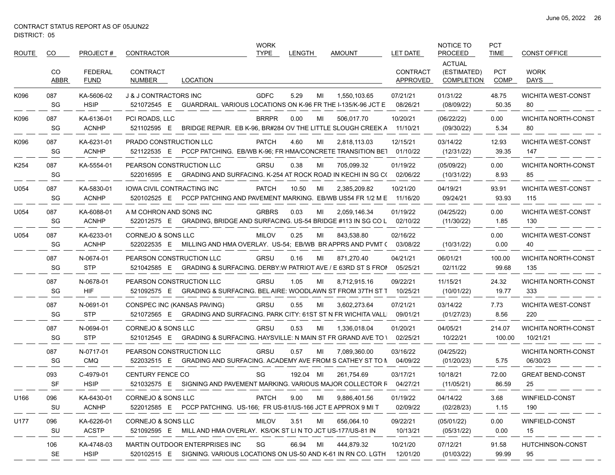| <b>ROUTE</b> | CO               | PROJECT#                      | <b>CONTRACTOR</b>                                                                                                  | <b>WORK</b><br><b>TYPE</b> | LENGTH      | <b>AMOUNT</b>       | LET DATE                    | NOTICE TO<br><b>PROCEED</b>                       | <b>PCT</b><br><b>TIME</b> | <b>CONST OFFICE</b>                    |
|--------------|------------------|-------------------------------|--------------------------------------------------------------------------------------------------------------------|----------------------------|-------------|---------------------|-----------------------------|---------------------------------------------------|---------------------------|----------------------------------------|
|              | CO.<br>ABBR      | <b>FEDERAL</b><br><b>FUND</b> | <b>CONTRACT</b><br><b>LOCATION</b><br>NUMBER                                                                       |                            |             |                     | <b>CONTRACT</b><br>APPROVED | <b>ACTUAL</b><br>(ESTIMATED)<br><b>COMPLETION</b> | PCT<br>COMP               | <b>WORK</b><br>DAYS                    |
| K096         | 087<br>SG        | KA-5606-02<br><b>HSIP</b>     | <b>J &amp; J CONTRACTORS INC</b><br>GUARDRAIL. VARIOUS LOCATIONS ON K-96 FR THE I-135/K-96 JCT E<br>521072545 E    | <b>GDFC</b>                | 5.29<br>MI  | 1,550,103.65        | 07/21/21<br>08/26/21        | 01/31/22<br>(08/09/22)                            | 48.75<br>50.35            | <b>WICHITA WEST-CONST</b><br>80        |
| K096         | 087<br>SG        | KA-6136-01<br><b>ACNHP</b>    | PCI ROADS, LLC<br>521102595 E<br>BRIDGE REPAIR. EB K-96, BR#284 OV THE LITTLE SLOUGH CREEK A                       | <b>BRRPR</b>               | 0.00<br>MI  | 506,017.70          | 10/20/21<br>11/10/21        | (06/22/22)<br>(09/30/22)                          | 0.00<br>5.34              | <b>WICHITA NORTH-CONST</b><br>80       |
| K096         | 087<br>SG        | KA-6231-01<br><b>ACNHP</b>    | PRADO CONSTRUCTION LLC<br>521122535 E PCCP PATCHING. EB/WB K-96; FR HMA/CONCRETE TRANSITION BE1                    | <b>PATCH</b>               | 4.60<br>MI  | 2,818,113.03        | 12/15/21<br>01/10/22        | 03/14/22<br>(12/31/22)                            | 12.93<br>39.35            | <b>WICHITA WEST-CONST</b><br>147       |
| K254         | 087<br>SG        | KA-5554-01                    | PEARSON CONSTRUCTION LLC<br>522016595 E<br>GRADING AND SURFACING. K-254 AT ROCK ROAD IN KECHI IN SG C(             | <b>GRSU</b>                | 0.38<br>MI  | 705,099.32          | 01/19/22<br>02/06/22        | (05/09/22)<br>(10/31/22)                          | 0.00<br>8.93              | <b>WICHITA NORTH-CONST</b><br>85       |
| U054         | 087<br>SG        | KA-5830-01<br><b>ACNHP</b>    | <b>IOWA CIVIL CONTRACTING INC</b><br>520102525 E<br>PCCP PATCHING AND PAVEMENT MARKING. EB/WB US54 FR 1/2 M E      | <b>PATCH</b>               | 10.50<br>MI | 2,385,209.82        | 10/21/20<br>11/16/20        | 04/19/21<br>09/24/21                              | 93.91<br>93.93            | <b>WICHITA WEST-CONST</b><br>115       |
| U054         | 087<br>SG        | KA-6088-01<br><b>ACNHP</b>    | A M COHRON AND SONS INC<br>GRADING, BRIDGE AND SURFACING. US-54 BRIDGE #113 IN SG CO L<br>522012575 E              | <b>GRBRS</b>               | 0.03<br>MI  | 2,059,146.34        | 01/19/22<br>02/10/22        | (04/25/22)<br>(11/30/22)                          | 0.00<br>1.85              | <b>WICHITA WEST-CONST</b><br>130       |
| U054         | 087<br>SG        | KA-6233-01<br><b>ACNHP</b>    | <b>CORNEJO &amp; SONS LLC</b><br>522022535 E MILLING AND HMA OVERLAY. US-54; EB/WB BR APPRS AND PVMT (             | <b>MILOV</b>               | 0.25<br>MI  | 843,538.80          | 02/16/22<br>03/08/22        | (10/31/22)                                        | 0.00<br>0.00              | <b>WICHITA WEST-CONST</b><br>40        |
|              | 087<br>SG        | N-0674-01<br><b>STP</b>       | PEARSON CONSTRUCTION LLC<br>GRADING & SURFACING. DERBY:W PATRIOT AVE / E 63RD ST S FROI<br>521042585 E             | <b>GRSU</b>                | 0.16<br>MI  | 871,270.40          | 04/21/21<br>05/25/21        | 06/01/21<br>02/11/22                              | 100.00<br>99.68           | <b>WICHITA NORTH-CONST</b><br>135      |
|              | 087<br>SG        | N-0678-01<br>HIF              | PEARSON CONSTRUCTION LLC<br>521092575 E GRADING & SURFACING. BEL AIRE: WOODLAWN ST FROM 37TH ST T                  | GRSU                       | 1.05<br>MI  | 8,712,915.16        | 09/22/21<br>10/25/21        | 11/15/21<br>(10/01/22)                            | 24.32<br>19.77            | <b>WICHITA NORTH-CONST</b><br>333      |
|              | 087<br>SG        | N-0691-01<br><b>STP</b>       | CONSPEC INC (KANSAS PAVING)<br>521072565 E GRADING AND SURFACING. PARK CITY: 61ST ST N FR WICHITA VALL             | <b>GRSU</b>                | 0.55<br>MI  | 3,602,273.64        | 07/21/21<br>09/01/21        | 03/14/22<br>(01/27/23)                            | 7.73<br>8.56              | <b>WICHITA WEST-CONST</b><br>220       |
|              | 087<br>SG        | N-0694-01<br><b>STP</b>       | CORNEJO & SONS LLC<br>GRADING & SURFACING. HAYSVILLE: N MAIN ST FR GRAND AVE TO I<br>521012545 E                   | GRSU                       | 0.53<br>MI  | 1,336,018.04        | 01/20/21<br>02/25/21        | 04/05/21<br>10/22/21                              | 214.07<br>100.00          | <b>WICHITA NORTH-CONST</b><br>10/21/21 |
|              | 087<br>SG        | N-0717-01<br><b>CMQ</b>       | PEARSON CONSTRUCTION LLC<br>522032515 E<br>GRADING AND SURFACING. ACADEMY AVE FROM S CATHEY ST TO N                | <b>GRSU</b>                | 0.57<br>MI  | 7,089,360.00        | 03/16/22<br>04/09/22        | (04/25/22)<br>(01/20/23)                          | 5.75                      | <b>WICHITA NORTH-CONST</b><br>06/30/23 |
|              | 093<br><b>SF</b> | C-4979-01<br><b>HSIP</b>      | <b>CENTURY FENCE CO</b><br>521032575 E SIGNING AND PAVEMENT MARKING. VARIOUS MAJOR COLLECTOR F                     | SG                         | 192.04 MI   | 261,754.69          | 03/17/21<br>04/27/21        | 10/18/21<br>(11/05/21)                            | 72.00<br>86.59            | <b>GREAT BEND-CONST</b><br>25          |
| U166         | 096<br>SU        | KA-6430-01<br><b>ACNHP</b>    | CORNEJO & SONS LLC<br>522012585 E PCCP PATCHING. US-166; FR US-81/US-166 JCT E APPROX 9 MIT                        | PATCH                      | 9.00        | 9,886,401.56<br>MI  | 01/19/22<br>02/09/22        | 04/14/22<br>(02/28/23)                            | 3.68<br>1.15              | WINFIELD-CONST<br>190                  |
| U177         | 096<br>SU        | KA-6226-01<br><b>ACSTP</b>    | <b>CORNEJO &amp; SONS LLC</b><br>521092595 E MILL AND HMA OVERLAY. KS/OK ST LI N TO JCT US-177/US-81 IN            | <b>MILOV</b>               | 3.51        | 656.064.10<br>MILLE | 09/22/21<br>10/13/21        | (05/01/22)<br>(05/31/22)                          | 0.00<br>0.00              | WINFIELD-CONST<br>15                   |
|              | 106<br>SE        | KA-4748-03<br><b>HSIP</b>     | MARTIN OUTDOOR ENTERPRISES INC<br>520102515 E SIGNING. VARIOUS LOCATIONS ON US-50 AND K-61 IN RN CO. LGTH 12/01/20 | SG                         | 66.94 MI    | 444,879.32          | 10/21/20                    | 07/12/21<br>(01/03/22)                            | 91.58<br>99.99            | HUTCHINSON-CONST<br>95                 |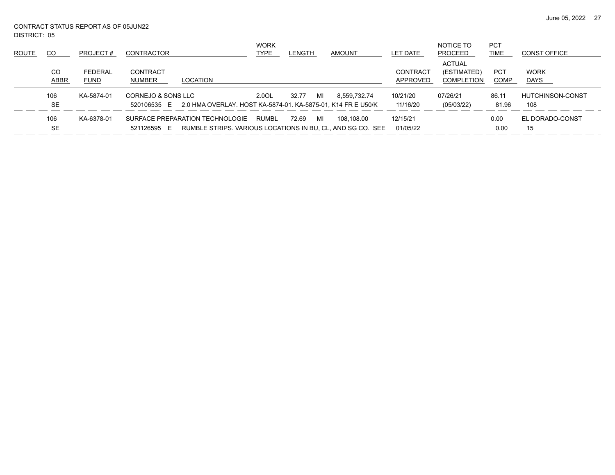June 05, 2022 27

DISTRICT: 05 CONTRACT STATUS REPORT AS OF 05JUN22

| <b>ROUTE</b> | CO               | PROJECT#               | <b>CONTRACTOR</b>                 |                                                                                               | <b>WORK</b><br>TYPE | <b>LENGTH</b> |    | AMOUNT       | LET DATE                    | NOTICE TO<br>PROCEED                              | <b>PCT</b><br><b>TIME</b> | <b>CONST OFFICE</b>        |
|--------------|------------------|------------------------|-----------------------------------|-----------------------------------------------------------------------------------------------|---------------------|---------------|----|--------------|-----------------------------|---------------------------------------------------|---------------------------|----------------------------|
|              | CO<br>ABBR       | FEDERAL<br><b>FUND</b> | CONTRACT<br><b>NUMBER</b>         | LOCATION                                                                                      |                     |               |    |              | <b>CONTRACT</b><br>APPROVED | <b>ACTUAL</b><br>(ESTIMATED)<br><b>COMPLETION</b> | <b>PCT</b><br><b>COMP</b> | <b>WORK</b><br><b>DAYS</b> |
|              | 106<br><b>SE</b> | KA-5874-01             | CORNEJO & SONS LLC<br>520106535 E | 2.0 HMA OVERLAY. HOST KA-5874-01. KA-5875-01, K14 FR E U50/K                                  | 2.0OL               | 32.77         | MI | 8.559.732.74 | 10/21/20<br>11/16/20        | 07/26/21<br>(05/03/22)                            | 86.11<br>81.96            | HUTCHINSON-CONST<br>108    |
|              | 106<br><b>SE</b> | KA-6378-01             | 521126595<br>E                    | SURFACE PREPARATION TECHNOLOGIE<br>RUMBLE STRIPS, VARIOUS LOCATIONS IN BU, CL, AND SG CO. SEE | RUMBL               | 72.69         | MI | 108,108.00   | 12/15/21<br>01/05/22        |                                                   | 0.00<br>0.00              | EL DORADO-CONST<br>15      |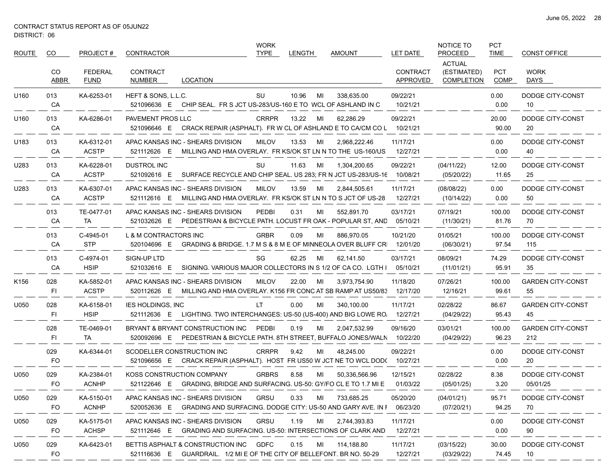| <b>ROUTE</b> | CO               | PROJECT#                      | <b>CONTRACTOR</b>                                                                                                     |                                                            | <b>WORK</b><br><b>TYPE</b> | <b>LENGTH</b> |      | <b>AMOUNT</b>                                                                        | <b>LET DATE</b>             | NOTICE TO<br><b>PROCEED</b>                       | <b>PCT</b><br><b>TIME</b> | <b>CONST OFFICE</b>             |
|--------------|------------------|-------------------------------|-----------------------------------------------------------------------------------------------------------------------|------------------------------------------------------------|----------------------------|---------------|------|--------------------------------------------------------------------------------------|-----------------------------|---------------------------------------------------|---------------------------|---------------------------------|
|              | CO<br>ABBR       | <b>FEDERAL</b><br><b>FUND</b> | <b>CONTRACT</b><br>NUMBER                                                                                             | <b>LOCATION</b>                                            |                            |               |      |                                                                                      | <b>CONTRACT</b><br>APPROVED | <b>ACTUAL</b><br>(ESTIMATED)<br><b>COMPLETION</b> | <b>PCT</b><br><b>COMP</b> | <b>WORK</b><br>DAYS             |
| U160         | 013<br>CA        | KA-6253-01                    | HEFT & SONS, L.L.C.<br>521096636 E                                                                                    | CHIP SEAL. FR S JCT US-283/US-160 E TO WCL OF ASHLAND IN C | SU                         | 10.96         | MI   | 338,635.00                                                                           | 09/22/21<br>10/21/21        |                                                   | 0.00<br>0.00              | DODGE CITY-CONST<br>10          |
| U160         | 013<br>CA        | KA-6286-01                    | PAVEMENT PROS LLC<br>521096646 E                                                                                      |                                                            | <b>CRRPR</b>               | 13.22         | MI   | 62,286.29<br>CRACK REPAIR (ASPHALT). FR W CL OF ASHLAND E TO CA/CM CO L  10/21/21    | 09/22/21                    |                                                   | 20.00<br>90.00            | DODGE CITY-CONST<br>20          |
| U183         | 013<br>CA        | KA-6312-01<br><b>ACSTP</b>    | APAC KANSAS INC - SHEARS DIVISION<br>521112626 E                                                                      |                                                            | MILOV                      | 13.53         | MI   | 2,968,222.46<br>MILLING AND HMA OVERLAY. FR KS/OK ST LN N TO THE US-160/US           | 11/17/21<br>12/27/21        |                                                   | 0.00<br>0.00              | DODGE CITY-CONST<br>40          |
| U283         | 013<br>CA        | KA-6228-01<br><b>ACSTP</b>    | <b>DUSTROL INC</b><br>521092616 E                                                                                     |                                                            | SU                         | 11.63         | MI   | 1,304,200.65<br>SURFACE RECYCLE AND CHIP SEAL. US 283, FR N JCT US-283/US-16         | 09/22/21<br>10/08/21        | (04/11/22)<br>(05/20/22)                          | 12.00<br>11.65            | DODGE CITY-CONST<br>25          |
| U283         | 013<br>CA        | KA-6307-01<br><b>ACSTP</b>    | APAC KANSAS INC - SHEARS DIVISION<br>521112616 E                                                                      |                                                            | MILOV                      | 13.59         | MI   | 2,844,505.61<br>MILLING AND HMA OVERLAY. FR KS/OK ST LN N TO S JCT OF US-28          | 11/17/21<br>12/27/21        | (08/08/22)<br>(10/14/22)                          | 0.00<br>0.00              | DODGE CITY-CONST<br>50          |
|              | 013<br>CA        | TE-0477-01<br>TA              | APAC KANSAS INC - SHEARS DIVISION<br>521032626 E                                                                      |                                                            | PEDBI                      | 0.31          | MI   | 552,891.70<br>PEDESTRIAN & BICYCLE PATH. LOCUST FR OAK - POPULAR ST, AND             | 03/17/21<br>05/10/21        | 07/19/21<br>(11/30/21)                            | 100.00<br>81.76           | DODGE CITY-CONST<br>70          |
|              | 013<br>CA        | C-4945-01<br><b>STP</b>       | L & M CONTRACTORS INC<br>520104696 E                                                                                  |                                                            | <b>GRBR</b>                | 0.09          | MI   | 886.970.05<br>GRADING & BRIDGE. 1.7 M S & 8 M E OF MINNEOLA OVER BLUFF CR            | 10/21/20<br>12/01/20        | 01/05/21<br>(06/30/21)                            | 100.00<br>97.54           | DODGE CITY-CONST<br>115         |
|              | 013<br>CA        | C-4974-01<br><b>HSIP</b>      | SIGN-UP LTD<br>521032616 E                                                                                            |                                                            | SG                         | 62.25         | MI   | 62,141.50<br>SIGNING. VARIOUS MAJOR COLLECTORS IN S 1/2 OF CA CO. LGTH I             | 03/17/21<br>05/10/21        | 08/09/21<br>(11/01/21)                            | 74.29<br>95.91            | DODGE CITY-CONST<br>35          |
| K156         | 028<br>FI        | KA-5852-01<br><b>ACSTP</b>    | APAC KANSAS INC - SHEARS DIVISION<br>520112626 E                                                                      |                                                            | MILOV                      | 22.00         | MI   | 3,973,754.90<br>MILLING AND HMA OVERLAY. K156 FR CONC AT SB RAMP AT US50/83 12/17/20 | 11/18/20                    | 07/26/21<br>12/16/21                              | 100.00<br>99.61           | <b>GARDEN CITY-CONST</b><br>55  |
| U050         | 028<br>FI        | KA-6158-01<br><b>HSIP</b>     | <b>IES HOLDINGS, INC</b><br>521112636 E LIGHTING. TWO INTERCHANGES: US-50 (US-400) AND BIG LOWE RO                    |                                                            | LT.                        | 0.00          | MI   | 340,100.00                                                                           | 11/17/21<br>12/27/21        | 02/28/22<br>(04/29/22)                            | 86.67<br>95.43            | <b>GARDEN CITY-CONST</b><br>45  |
|              | 028<br>FI        | TE-0469-01<br>TA              | BRYANT & BRYANT CONSTRUCTION INC<br>520092696 E                                                                       |                                                            | <b>PEDBI</b>               | 0.19          | MI   | 2,047,532.99<br>PEDESTRIAN & BICYCLE PATH. 8TH STREET, BUFFALO JONES/WALN            | 09/16/20<br>10/22/20        | 03/01/21<br>(04/29/22)                            | 100.00<br>96.23           | <b>GARDEN CITY-CONST</b><br>212 |
|              | 029<br><b>FO</b> | KA-6344-01                    | SCODELLER CONSTRUCTION INC<br>521096656 E                                                                             |                                                            | <b>CRRPR</b>               | 9.42          | MI   | 48,245.00<br>CRACK REPAIR (ASPHALT). HOST FR US50 W JCT NE TO WCL DOD( 10/27/21      | 09/22/21                    |                                                   | 0.00<br>0.00              | DODGE CITY-CONST<br>20          |
| U050         | 029<br>FO        | KA-2384-01<br><b>ACNHP</b>    | KOSS CONSTRUCTION COMPANY<br>521122646 E GRADING, BRIDGE AND SURFACING, US-50; GY/FO CL E TO 1.7 MI E                 |                                                            | <b>GRBRS</b>               | 8.58          | MI   | 50,336,566.96                                                                        | 12/15/21<br>01/03/22        | 02/28/22<br>(05/01/25)                            | 8.38<br>3.20              | DODGE CITY-CONST<br>05/01/25    |
| U050         | 029<br>FO.       | KA-5150-01<br><b>ACNHP</b>    | APAC KANSAS INC - SHEARS DIVISION<br>520052636 E GRADING AND SURFACING. DODGE CITY: US-50 AND GARY AVE. IN I 06/23/20 |                                                            | GRSU                       | 0.33          |      | MI 733,685.25                                                                        | 05/20/20                    | (04/01/21)<br>(07/20/21)                          | 95.71<br>94.25            | DODGE CITY-CONST<br>70          |
| U050         | 029<br>FO.       | KA-5175-01<br><b>ACHSP</b>    | APAC KANSAS INC - SHEARS DIVISION<br>521112646 E GRADING AND SURFACING. US-50: INTERSECTIONS OF CLARK AND             |                                                            | GRSU                       | 1.19          | MILL | 2,744,393.83                                                                         | 11/17/21<br>12/27/21        |                                                   | 0.00<br>0.00              | DODGE CITY-CONST<br>90          |
| U050         | 029<br>FO.       | KA-6423-01                    | BETTIS ASPHALT & CONSTRUCTION INC GDFC<br>521116636 E GUARDRAIL 1/2 MI E OF THE CITY OF BELLEFONT. BR NO. 50-29       |                                                            |                            | 0.15          | ML   | 114,188.80                                                                           | 11/17/21<br>12/27/21        | (03/15/22)<br>(03/29/22)                          | 30.00<br>74.45            | DODGE CITY-CONST<br>10          |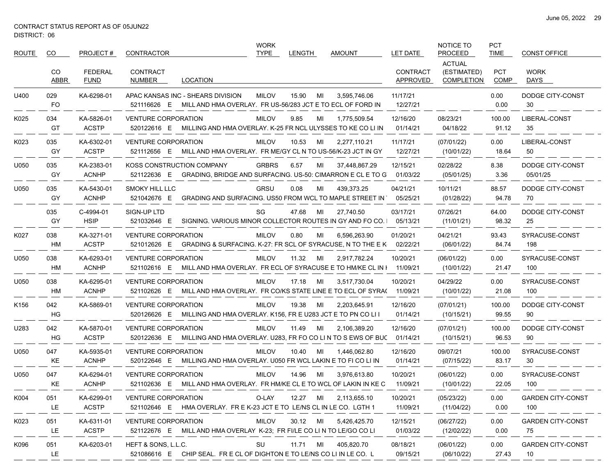| <b>ROUTE</b>     | CO.              | PROJECT#                      | <b>CONTRACTOR</b>                                                                                                 | <b>WORK</b><br><b>TYPE</b> | LENGTH |    | <b>AMOUNT</b>         | LET DATE                    | NOTICE TO<br><b>PROCEED</b>                       | <b>PCT</b><br><b>TIME</b> | <b>CONST OFFICE</b>             |
|------------------|------------------|-------------------------------|-------------------------------------------------------------------------------------------------------------------|----------------------------|--------|----|-----------------------|-----------------------------|---------------------------------------------------|---------------------------|---------------------------------|
|                  | CO.<br>ABBR      | <b>FEDERAL</b><br><b>FUND</b> | <b>CONTRACT</b><br><b>LOCATION</b><br>NUMBER                                                                      |                            |        |    |                       | <b>CONTRACT</b><br>APPROVED | <b>ACTUAL</b><br>(ESTIMATED)<br><b>COMPLETION</b> | PCT<br>COMP               | <b>WORK</b><br>DAYS             |
| U400             | 029<br><b>FO</b> | KA-6298-01                    | APAC KANSAS INC - SHEARS DIVISION<br>MILL AND HMA OVERLAY. FR US-56/283 JCT E TO ECL OF FORD IN<br>521116626 E    | <b>MILOV</b>               | 15.90  | MI | 3,595,746.06          | 11/17/21<br>12/27/21        |                                                   | 0.00<br>0.00              | DODGE CITY-CONST<br>30          |
| K025             | 034<br>GT        | KA-5826-01<br><b>ACSTP</b>    | <b>VENTURE CORPORATION</b><br>MILLING AND HMA OVERLAY. K-25 FR NCL ULYSSES TO KE CO LI IN<br>520122616 E          | <b>MILOV</b>               | 9.85   | MI | 1,775,509.54          | 12/16/20<br>01/14/21        | 08/23/21<br>04/18/22                              | 100.00<br>91.12           | LIBERAL-CONST<br>35             |
| K023             | 035<br>GY        | KA-6302-01<br><b>ACSTP</b>    | <b>VENTURE CORPORATION</b><br>MILL AND HMA OVERLAY. FR ME/GY CL N TO US-56/K-23 JCT IN GY<br>521112656 E          | <b>MILOV</b>               | 10.53  | MI | 2,277,110.21          | 11/17/21<br>12/27/21        | (07/01/22)<br>(10/01/22)                          | 0.00<br>18.64             | LIBERAL-CONST<br>50             |
| U050             | 035<br>GY        | KA-2383-01<br><b>ACNHP</b>    | KOSS CONSTRUCTION COMPANY<br>GRADING, BRIDGE AND SURFACING. US-50: CIMARRON E CL E TO G<br>521122636 E            | <b>GRBRS</b>               | 6.57   | MI | 37,448,867.29         | 12/15/21<br>01/03/22        | 02/28/22<br>(05/01/25)                            | 8.38<br>3.36              | DODGE CITY-CONST<br>05/01/25    |
| U050             | 035<br>GY        | KA-5430-01<br><b>ACNHP</b>    | <b>SMOKY HILL LLC</b><br>GRADING AND SURFACING. US50 FROM WCL TO MAPLE STREET IN<br>521042676 E                   | GRSU                       | 0.08   | MI | 439,373.25            | 04/21/21<br>05/25/21        | 10/11/21<br>(01/28/22)                            | 88.57<br>94.78            | DODGE CITY-CONST<br>70          |
|                  | 035<br>GY        | C-4994-01<br><b>HSIP</b>      | SIGN-UP LTD<br>521032646 E<br>SIGNING. VARIOUS MINOR COLLECTOR ROUTES IN GY AND FO CO.                            | SG                         | 47.68  | MI | 27,740.50             | 03/17/21<br>05/13/21        | 07/26/21<br>(11/01/21)                            | 64.00<br>98.32            | DODGE CITY-CONST<br>25          |
| K027             | 038<br>HM        | KA-3271-01<br><b>ACSTP</b>    | <b>VENTURE CORPORATION</b><br>521012626 E<br>GRADING & SURFACING. K-27: FR SCL OF SYRACUSE, N TO THE E K          | <b>MILOV</b>               | 0.80   | MI | 6,596,263.90          | 01/20/21<br>02/22/21        | 04/21/21<br>(06/01/22)                            | 93.43<br>84.74            | SYRACUSE-CONST<br>198           |
| U050             | 038<br>HM        | KA-6293-01<br><b>ACNHP</b>    | <b>VENTURE CORPORATION</b><br>521102616 E<br>MILL AND HMA OVERLAY. FR ECL OF SYRACUSE E TO HM/KE CL IN I          | <b>MILOV</b>               | 11.32  | MI | 2,917,782.24          | 10/20/21<br>11/09/21        | (06/01/22)<br>(10/01/22)                          | 0.00<br>21.47             | SYRACUSE-CONST<br>100           |
| U050             | 038<br>HM        | KA-6295-01<br><b>ACNHP</b>    | <b>VENTURE CORPORATION</b><br>MILL AND HMA OVERLAY. FR CO/KS STATE LINE E TO ECL OF SYRA( 11/09/21<br>521102626 E | <b>MILOV</b>               | 17.18  | MI | 3,517,730.04          | 10/20/21                    | 04/29/22<br>(10/01/22)                            | 0.00<br>21.08             | SYRACUSE-CONST<br>100           |
| K <sub>156</sub> | 042<br>HG        | KA-5869-01                    | <b>VENTURE CORPORATION</b><br>520126626 E<br>MILLING AND HMA OVERLAY. K156, FR E U283 JCT E TO PN CO LI I         | <b>MILOV</b>               | 19.38  | MI | 2,203,645.91          | 12/16/20<br>01/14/21        | (07/01/21)<br>(10/15/21)                          | 100.00<br>99.55           | DODGE CITY-CONST<br>90          |
| U283             | 042<br>HG        | KA-5870-01<br><b>ACSTP</b>    | <b>VENTURE CORPORATION</b><br>MILLING AND HMA OVERLAY. U283, FR FO CO LI N TO S EWS OF BUC<br>520122636 E         | <b>MILOV</b>               | 11.49  | MI | 2,106,389.20          | 12/16/20<br>01/14/21        | (07/01/21)<br>(10/15/21)                          | 100.00<br>96.53           | DODGE CITY-CONST<br>90          |
| U050             | 047<br>KE        | KA-5935-01<br><b>ACNHP</b>    | <b>VENTURE CORPORATION</b><br>520122646 E<br>MILLING AND HMA OVERLAY. U050 FR WCL LAKIN E TO FI CO LI IN          | <b>MILOV</b>               | 10.40  | MI | 1.446.062.80          | 12/16/20<br>01/14/21        | 09/07/21<br>(07/15/22)                            | 100.00<br>83.17           | SYRACUSE-CONST<br>30            |
| U050             | 047<br>KE        | KA-6294-01<br><b>ACNHP</b>    | <b>VENTURE CORPORATION</b><br>521102636 E MILL AND HMA OVERLAY. FR HM/KE CL E TO WCL OF LAKIN IN KE C             | <b>MILOV</b>               | 14.96  | MI | 3,976,613.80          | 10/20/21<br>11/09/21        | (06/01/22)<br>(10/01/22)                          | 0.00<br>22.05             | SYRACUSE-CONST<br>100           |
| K004             | 051<br>LE.       | KA-6299-01<br><b>ACSTP</b>    | VENTURE CORPORATION<br>521102646 E HMA OVERLAY. FR E K-23 JCT E TO LE/NS CL IN LE CO. LGTH 1                      | O-LAY                      |        |    | 12.27 MI 2,113,655.10 | 10/20/21<br>11/09/21        | (05/23/22)<br>(11/04/22)                          | 0.00<br>0.00              | <b>GARDEN CITY-CONST</b><br>100 |
| K023             | 051<br>LE.       | KA-6311-01<br><b>ACSTP</b>    | <b>VENTURE CORPORATION</b><br>521122676 E MILLAND HMA OVERLAY K-23; FR FI/LE CO LI N TO LE/GO CO LI               | MILOV                      |        |    | 30.12 MI 5,426,425.70 | 12/15/21<br>01/03/22        | (06/27/22)<br>(12/02/22)                          | 0.00<br>0.00              | <b>GARDEN CITY-CONST</b><br>75  |
| K096             | 051<br>LE.       | KA-6203-01                    | HEFT & SONS, L.L.C.<br>521086616 E CHIP SEAL. FR E CL OF DIGHTON E TO LE/NS CO LI IN LE CO. L                     | SU                         |        |    | 11.71 MI 405,820.70   | 08/18/21<br>09/15/21        | (06/01/22)<br>(06/10/22)                          | 0.00<br>27.43             | <b>GARDEN CITY-CONST</b><br>10  |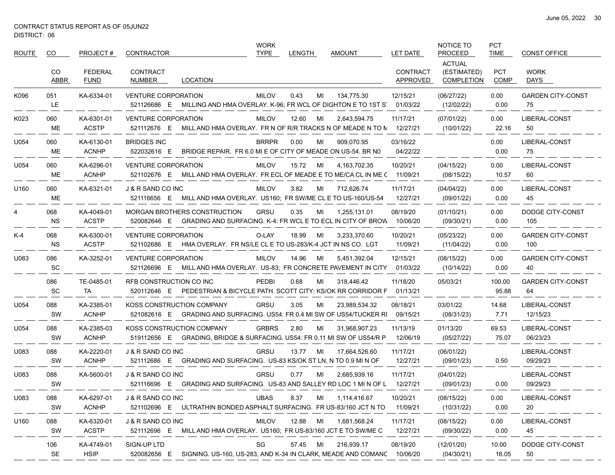$\overbrace{\hspace{25mm}}^{}$ 

| ROUTE | CO.              | PROJECT#                      | CONTRACTOR                        |                                                                                                                | <b>WORK</b><br><b>TYPE</b> | <b>LENGTH</b> |    | <b>AMOUNT</b>   | <b>LET DATE</b>             | NOTICE TO<br><b>PROCEED</b>                       | <b>PCT</b><br><b>TIME</b> | <b>CONST OFFICE</b>             |
|-------|------------------|-------------------------------|-----------------------------------|----------------------------------------------------------------------------------------------------------------|----------------------------|---------------|----|-----------------|-----------------------------|---------------------------------------------------|---------------------------|---------------------------------|
|       | CO<br>ABBR       | <b>FEDERAL</b><br><b>FUND</b> | <b>CONTRACT</b><br>NUMBER         | LOCATION                                                                                                       |                            |               |    |                 | <b>CONTRACT</b><br>APPROVED | <b>ACTUAL</b><br>(ESTIMATED)<br><b>COMPLETION</b> | <b>PCT</b><br>COMP        | <b>WORK</b><br>DAYS             |
| K096  | 051<br>LE        | KA-6334-01                    | <b>VENTURE CORPORATION</b>        | 521126686 E MILLING AND HMA OVERLAY. K-96; FR WCL OF DIGHTON E TO 1ST S                                        | <b>MILOV</b>               | 0.43          | MI | 134.775.30      | 12/15/21<br>01/03/22        | (06/27/22)<br>(12/02/22)                          | 0.00<br>0.00              | <b>GARDEN CITY-CONST</b><br>75  |
| K023  | 060<br>ME        | KA-6301-01<br><b>ACSTP</b>    | <b>VENTURE CORPORATION</b>        | 521112676 E MILL AND HMA OVERLAY. FR N OF R/R TRACKS N OF MEADE N TO N 12/27/21                                | MILOV                      | 12.60         | MI | 2,643,594.75    | 11/17/21                    | (07/01/22)<br>(10/01/22)                          | 0.00<br>22.16             | LIBERAL-CONST<br>50             |
| U054  | 060<br>ME        | KA-6130-01<br><b>ACNHP</b>    | <b>BRIDGES INC</b><br>522032616 E | BRIDGE REPAIR. FR 6.0 MI E OF CITY OF MEADE ON US-54. BR NO                                                    | <b>BRRPR</b>               | 0.00          | MI | 909,070.95      | 03/16/22<br>04/22/22        |                                                   | 0.00<br>0.00              | LIBERAL-CONST<br>75             |
| U054  | 060<br>ME        | KA-6296-01<br><b>ACNHP</b>    | <b>VENTURE CORPORATION</b>        | 521102676 E MILL AND HMA OVERLAY. FR ECL OF MEADE E TO ME/CA CL IN ME (11/09/21                                | MILOV                      | 15.72         | MI | 4, 163, 702. 35 | 10/20/21                    | (04/15/22)<br>(08/15/22)                          | 0.00<br>10.57             | LIBERAL-CONST<br>60             |
| U160  | 060<br>ME        | KA-6321-01                    | J & R SAND CO INC                 | 521116656 E MILL AND HMA OVERLAY. US160; FR SW/ME CL E TO US-160/US-54                                         | <b>MILOV</b>               | 3.82          | MI | 712,626.74      | 11/17/21<br>12/27/21        | (04/04/22)<br>(09/01/22)                          | 0.00<br>0.00              | LIBERAL-CONST<br>45             |
| 4     | 068<br><b>NS</b> | KA-4049-01<br><b>ACSTP</b>    |                                   | <b>MORGAN BROTHERS CONSTRUCTION</b><br>520082646 E GRADING AND SURFACING. K-4: FR WCL E TO ECL IN CITY OF BROW | GRSU                       | 0.35          | MI | 1,255,131.01    | 08/19/20<br>10/06/20        | (01/10/21)<br>(09/30/21)                          | 0.00<br>0.00              | DODGE CITY-CONST<br>105         |
| K-4   | 068<br><b>NS</b> | KA-6300-01<br><b>ACSTP</b>    | <b>VENTURE CORPORATION</b>        | 521102686 E HMA OVERLAY. FR NS/LE CL E TO US-283/K-4 JCT IN NS CO. LGT                                         | O-LAY                      | 18.99         | MI | 3,233,370.60    | 10/20/21<br>11/09/21        | (05/23/22)<br>(11/04/22)                          | 0.00<br>0.00              | <b>GARDEN CITY-CONST</b><br>100 |
| U083  | 086<br>SC        | KA-3252-01                    | <b>VENTURE CORPORATION</b>        | 521126696 E MILL AND HMA OVERLAY. US-83; FR CONCRETE PAVEMENT IN CITY 01/03/22                                 | <b>MILOV</b>               | 14.96         | MI | 5,451,392.04    | 12/15/21                    | (08/15/22)<br>(10/14/22)                          | 0.00<br>0.00              | <b>GARDEN CITY-CONST</b><br>40  |
|       | 086<br><b>SC</b> | TE-0485-01<br>TA              | RFB CONSTRUCTION CO INC           | 520112646 E PEDESTRIAN & BICYCLE PATH. SCOTT CITY: KS/OK RR CORRIDOR F                                         | <b>PEDBI</b>               | 0.68          | MI | 318,446.42      | 11/18/20<br>01/13/21        | 05/03/21                                          | 100.00<br>95.88           | <b>GARDEN CITY-CONST</b><br>64  |
| U054  | 088<br>SW        | KA-2385-01<br><b>ACNHP</b>    |                                   | KOSS CONSTRUCTION COMPANY<br>521082616 E GRADING AND SURFACING. US54: FR 0.4 MI SW OF US54/TUCKER RI           | <b>GRSU</b>                | 3.05          | MI | 23,989,534.32   | 08/18/21<br>09/15/21        | 03/01/22<br>(08/31/23)                            | 14.68<br>7.71             | LIBERAL-CONST<br>12/15/23       |
| U054  | 088<br>SW        | KA-2385-03<br><b>ACNHP</b>    |                                   | KOSS CONSTRUCTION COMPANY<br>519112656 E GRADING, BRIDGE & SURFACING. US54: FR 0.11 MI SW OF US54/R P          | <b>GRBRS</b>               | 2.80          | МI | 31,968,907.23   | 11/13/19<br>12/06/19        | 01/13/20<br>(05/27/22)                            | 69.53<br>75.07            | LIBERAL-CONST<br>06/23/23       |
| U083  | 088<br>SW        | KA-2220-01<br><b>ACNHP</b>    | J & R SAND CO INC<br>521112686 E  | GRADING AND SURFACING. US-83 KS/OK ST LN, N TO 0.9 MI N OF                                                     | GRSU                       | 13.77         | MI | 17,664,526.60   | 11/17/21<br>12/27/21        | (06/01/22)<br>(09/01/23)                          | 0.50                      | LIBERAL-CONST<br>09/29/23       |
| U083  | 088<br>SW        | KA-5600-01                    | J & R SAND CO INC                 | 521116696 E GRADING AND SURFACING. US-83 AND SALLEY RD LOC 1 MIN OF L 12/27/21                                 | <b>GRSU</b>                | 0.77          | МI | 2,685,939.16    | 11/17/21                    | (04/01/22)<br>(09/01/23)                          | 0.00                      | LIBERAL-CONST<br>09/29/23       |
| U083  | 088<br>SW        | KA-6297-01<br><b>ACNHP</b>    | J & R SAND CO INC                 | 521102696 E ULTRATHIN BONDED ASPHALT SURFACING. FR US-83/160 JCT N TO                                          | <b>UBAS</b>                | 8.37          | ΜI | 1,114,416.67    | 10/20/21<br>11/09/21        | (08/15/22)<br>(10/31/22)                          | 0.00<br>0.00              | LIBERAL-CONST<br>20             |
| U160  | 088<br>SW        | KA-6320-01<br><b>ACSTP</b>    | J & R SAND CO INC                 | 521112696 E MILL AND HMA OVERLAY. US160; FR US-83/160 JCT E TO SW/ME C                                         | <b>MILOV</b>               | 12.88         | MI | 1,681,568.24    | 11/17/21<br>12/27/21        | (08/15/22)<br>(09/30/22)                          | 0.00<br>0.00              | LIBERAL-CONST<br>45             |
|       | 106<br>SE        | KA-4749-01<br><b>HSIP</b>     | SIGN-UP LTD                       | 520082656 E SIGNING. US-160, US-283, AND K-34 IN CLARK, MEADE AND COMANC                                       | SG                         | 57.45         | MI | 216,939.17      | 08/19/20<br>10/06/20        | (12/01/20)<br>(04/30/21)                          | 10.00<br>16.05            | DODGE CITY-CONST<br>50          |